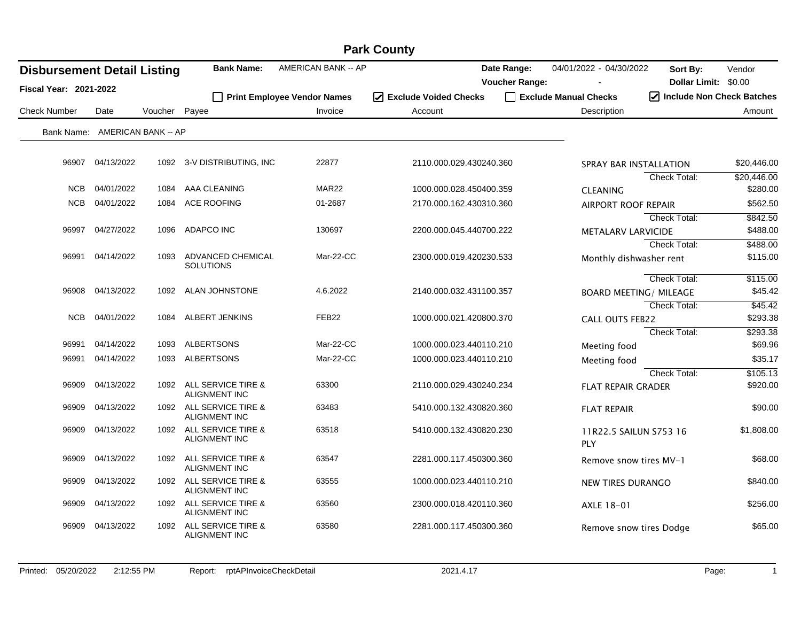| <b>Park County</b>                 |                     |         |                                                       |                                    |                         |                                      |                               |                                                |             |  |  |
|------------------------------------|---------------------|---------|-------------------------------------------------------|------------------------------------|-------------------------|--------------------------------------|-------------------------------|------------------------------------------------|-------------|--|--|
| <b>Disbursement Detail Listing</b> |                     |         | <b>Bank Name:</b>                                     | AMERICAN BANK -- AP                |                         | Date Range:<br><b>Voucher Range:</b> | 04/01/2022 - 04/30/2022       | Sort By:<br>Dollar Limit: \$0.00               | Vendor      |  |  |
| <b>Fiscal Year: 2021-2022</b>      |                     |         |                                                       | <b>Print Employee Vendor Names</b> | □ Exclude Voided Checks |                                      | Exclude Manual Checks         | $\sqrt{\phantom{a}}$ Include Non Check Batches |             |  |  |
| <b>Check Number</b>                | Date                | Voucher | Payee                                                 | Invoice                            | Account                 |                                      | Description                   |                                                | Amount      |  |  |
| Bank Name:                         | AMERICAN BANK -- AP |         |                                                       |                                    |                         |                                      |                               |                                                |             |  |  |
|                                    |                     |         |                                                       |                                    |                         |                                      |                               |                                                |             |  |  |
| 96907                              | 04/13/2022          |         | 1092 3-V DISTRIBUTING, INC                            | 22877                              | 2110.000.029.430240.360 |                                      | SPRAY BAR INSTALLATION        |                                                | \$20,446.00 |  |  |
|                                    |                     |         |                                                       |                                    |                         |                                      |                               | <b>Check Total:</b>                            | \$20,446.00 |  |  |
| <b>NCB</b>                         | 04/01/2022          | 1084    | AAA CLEANING                                          | MAR <sub>22</sub>                  | 1000.000.028.450400.359 |                                      | <b>CLEANING</b>               |                                                | \$280.00    |  |  |
| <b>NCB</b>                         | 04/01/2022          | 1084    | <b>ACE ROOFING</b>                                    | 01-2687                            | 2170.000.162.430310.360 |                                      | <b>AIRPORT ROOF REPAIR</b>    |                                                | \$562.50    |  |  |
|                                    |                     |         |                                                       |                                    |                         |                                      |                               | <b>Check Total:</b>                            | \$842.50    |  |  |
| 96997                              | 04/27/2022          | 1096    | ADAPCO INC                                            | 130697                             | 2200.000.045.440700.222 |                                      | METALARV LARVICIDE            |                                                | \$488.00    |  |  |
|                                    |                     |         |                                                       |                                    |                         |                                      |                               | <b>Check Total:</b>                            | \$488.00    |  |  |
|                                    | 96991 04/14/2022    | 1093    | ADVANCED CHEMICAL<br><b>SOLUTIONS</b>                 | Mar-22-CC                          | 2300.000.019.420230.533 |                                      | Monthly dishwasher rent       |                                                | \$115.00    |  |  |
|                                    |                     |         |                                                       |                                    |                         |                                      |                               | Check Total:                                   | \$115.00    |  |  |
| 96908                              | 04/13/2022          | 1092    | ALAN JOHNSTONE                                        | 4.6.2022                           | 2140.000.032.431100.357 |                                      | <b>BOARD MEETING/ MILEAGE</b> |                                                | \$45.42     |  |  |
|                                    |                     |         |                                                       |                                    |                         |                                      |                               | <b>Check Total:</b>                            | \$45.42     |  |  |
| <b>NCB</b>                         | 04/01/2022          | 1084    | ALBERT JENKINS                                        | FEB <sub>22</sub>                  | 1000.000.021.420800.370 |                                      | <b>CALL OUTS FEB22</b>        |                                                | \$293.38    |  |  |
|                                    |                     |         |                                                       |                                    |                         |                                      |                               | <b>Check Total:</b>                            | \$293.38    |  |  |
| 96991                              | 04/14/2022          | 1093    | ALBERTSONS                                            | Mar-22-CC                          | 1000.000.023.440110.210 |                                      | Meeting food                  |                                                | \$69.96     |  |  |
| 96991                              | 04/14/2022          | 1093    | ALBERTSONS                                            | Mar-22-CC                          | 1000.000.023.440110.210 |                                      | Meeting food                  |                                                | \$35.17     |  |  |
|                                    |                     |         |                                                       |                                    |                         |                                      |                               | <b>Check Total:</b>                            | \$105.13    |  |  |
| 96909                              | 04/13/2022          | 1092    | ALL SERVICE TIRE &<br><b>ALIGNMENT INC</b>            | 63300                              | 2110.000.029.430240.234 |                                      | <b>FLAT REPAIR GRADER</b>     |                                                | \$920.00    |  |  |
| 96909                              | 04/13/2022          | 1092    | <b>ALL SERVICE TIRE &amp;</b><br><b>ALIGNMENT INC</b> | 63483                              | 5410.000.132.430820.360 |                                      | <b>FLAT REPAIR</b>            |                                                | \$90.00     |  |  |
| 96909                              | 04/13/2022          | 1092    | ALL SERVICE TIRE &<br><b>ALIGNMENT INC</b>            | 63518                              | 5410.000.132.430820.230 |                                      | 11R22.5 SAILUN S753 16<br>PLY |                                                | \$1,808.00  |  |  |
| 96909                              | 04/13/2022          | 1092    | ALL SERVICE TIRE &<br><b>ALIGNMENT INC</b>            | 63547                              | 2281.000.117.450300.360 |                                      | Remove snow tires MV-1        |                                                | \$68.00     |  |  |
| 96909                              | 04/13/2022          | 1092    | ALL SERVICE TIRE &<br><b>ALIGNMENT INC</b>            | 63555                              | 1000.000.023.440110.210 |                                      | NEW TIRES DURANGO             |                                                | \$840.00    |  |  |
| 96909                              | 04/13/2022          | 1092    | <b>ALL SERVICE TIRE &amp;</b><br><b>ALIGNMENT INC</b> | 63560                              | 2300.000.018.420110.360 |                                      | AXLE 18-01                    |                                                | \$256.00    |  |  |
| 96909                              | 04/13/2022          | 1092    | ALL SERVICE TIRE &<br><b>ALIGNMENT INC</b>            | 63580                              | 2281.000.117.450300.360 |                                      | Remove snow tires Dodge       |                                                | \$65.00     |  |  |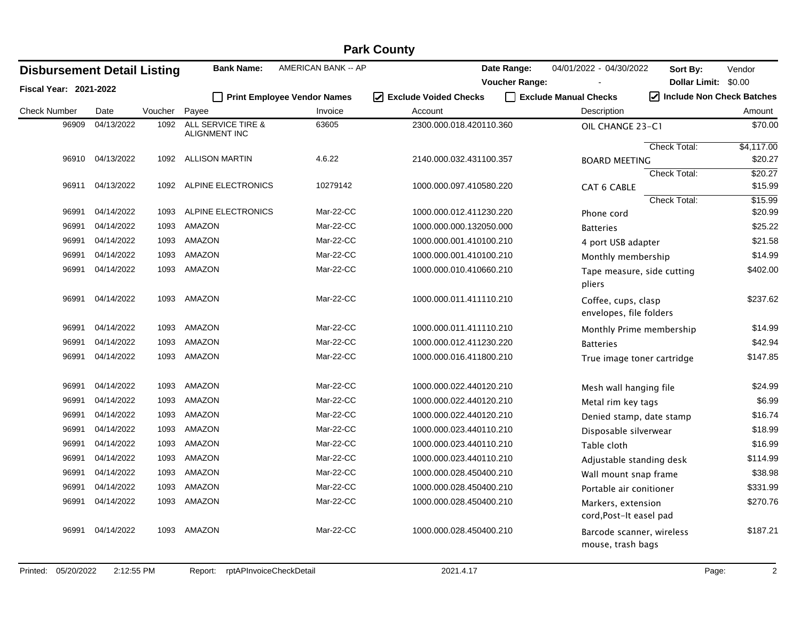|                                    | <b>Park County</b> |         |                                     |                                    |                                   |                       |                                                |                           |            |  |  |  |
|------------------------------------|--------------------|---------|-------------------------------------|------------------------------------|-----------------------------------|-----------------------|------------------------------------------------|---------------------------|------------|--|--|--|
| <b>Disbursement Detail Listing</b> |                    |         | <b>Bank Name:</b>                   | AMERICAN BANK -- AP                |                                   | Date Range:           | 04/01/2022 - 04/30/2022                        | Sort By:                  | Vendor     |  |  |  |
| Fiscal Year: 2021-2022             |                    |         |                                     |                                    |                                   | <b>Voucher Range:</b> |                                                | Dollar Limit: \$0.00      |            |  |  |  |
|                                    |                    |         |                                     | <b>Print Employee Vendor Names</b> | <b>Exclude Voided Checks</b><br>⋈ |                       | Exclude Manual Checks                          | Include Non Check Batches |            |  |  |  |
| <b>Check Number</b>                | Date               | Voucher | Payee                               | Invoice                            | Account                           |                       | Description                                    |                           | Amount     |  |  |  |
| 96909                              | 04/13/2022         | 1092    | ALL SERVICE TIRE &<br>ALIGNMENT INC | 63605                              | 2300.000.018.420110.360           |                       | OIL CHANGE 23-C1                               |                           | \$70.00    |  |  |  |
|                                    |                    |         |                                     |                                    |                                   |                       |                                                | <b>Check Total:</b>       | \$4,117.00 |  |  |  |
| 96910                              | 04/13/2022         | 1092    | ALLISON MARTIN                      | 4.6.22                             | 2140.000.032.431100.357           |                       | <b>BOARD MEETING</b>                           |                           | \$20.27    |  |  |  |
|                                    |                    |         |                                     |                                    |                                   |                       |                                                | <b>Check Total:</b>       | \$20.27    |  |  |  |
| 96911                              | 04/13/2022         | 1092    | ALPINE ELECTRONICS                  | 10279142                           | 1000.000.097.410580.220           |                       | <b>CAT 6 CABLE</b>                             |                           | \$15.99    |  |  |  |
|                                    |                    |         |                                     |                                    |                                   |                       |                                                | <b>Check Total:</b>       | \$15.99    |  |  |  |
| 96991                              | 04/14/2022         | 1093    | ALPINE ELECTRONICS                  | Mar-22-CC                          | 1000.000.012.411230.220           |                       | Phone cord                                     |                           | \$20.99    |  |  |  |
| 96991                              | 04/14/2022         | 1093    | <b>AMAZON</b>                       | Mar-22-CC                          | 1000.000.000.132050.000           |                       | <b>Batteries</b>                               |                           | \$25.22    |  |  |  |
| 96991                              | 04/14/2022         | 1093    | AMAZON                              | Mar-22-CC                          | 1000.000.001.410100.210           |                       | 4 port USB adapter                             |                           | \$21.58    |  |  |  |
| 96991                              | 04/14/2022         | 1093    | <b>AMAZON</b>                       | Mar-22-CC                          | 1000.000.001.410100.210           |                       | Monthly membership                             |                           | \$14.99    |  |  |  |
| 96991                              | 04/14/2022         | 1093    | AMAZON                              | Mar-22-CC                          | 1000.000.010.410660.210           |                       | Tape measure, side cutting<br>pliers           |                           | \$402.00   |  |  |  |
| 96991                              | 04/14/2022         | 1093    | AMAZON                              | Mar-22-CC                          | 1000.000.011.411110.210           |                       | Coffee, cups, clasp<br>envelopes, file folders |                           | \$237.62   |  |  |  |
| 96991                              | 04/14/2022         | 1093    | AMAZON                              | Mar-22-CC                          | 1000.000.011.411110.210           |                       | Monthly Prime membership                       |                           | \$14.99    |  |  |  |
| 96991                              | 04/14/2022         | 1093    | AMAZON                              | Mar-22-CC                          | 1000.000.012.411230.220           |                       | <b>Batteries</b>                               |                           | \$42.94    |  |  |  |
| 96991                              | 04/14/2022         | 1093    | AMAZON                              | Mar-22-CC                          | 1000.000.016.411800.210           |                       | True image toner cartridge                     |                           | \$147.85   |  |  |  |
| 96991                              | 04/14/2022         | 1093    | <b>AMAZON</b>                       | Mar-22-CC                          | 1000.000.022.440120.210           |                       | Mesh wall hanging file                         |                           | \$24.99    |  |  |  |
| 96991                              | 04/14/2022         | 1093    | AMAZON                              | Mar-22-CC                          | 1000.000.022.440120.210           |                       | Metal rim key tags                             |                           | \$6.99     |  |  |  |
| 96991                              | 04/14/2022         | 1093    | AMAZON                              | Mar-22-CC                          | 1000.000.022.440120.210           |                       | Denied stamp, date stamp                       |                           | \$16.74    |  |  |  |
| 96991                              | 04/14/2022         | 1093    | AMAZON                              | Mar-22-CC                          | 1000.000.023.440110.210           |                       | Disposable silverwear                          |                           | \$18.99    |  |  |  |
| 96991                              | 04/14/2022         | 1093    | AMAZON                              | Mar-22-CC                          | 1000.000.023.440110.210           |                       | Table cloth                                    |                           | \$16.99    |  |  |  |
| 96991                              | 04/14/2022         | 1093    | AMAZON                              | Mar-22-CC                          | 1000.000.023.440110.210           |                       | Adjustable standing desk                       |                           | \$114.99   |  |  |  |
| 96991                              | 04/14/2022         | 1093    | AMAZON                              | Mar-22-CC                          | 1000.000.028.450400.210           |                       | Wall mount snap frame                          |                           | \$38.98    |  |  |  |
| 96991                              | 04/14/2022         | 1093    | AMAZON                              | Mar-22-CC                          | 1000.000.028.450400.210           |                       | Portable air conitioner                        |                           | \$331.99   |  |  |  |
| 96991                              | 04/14/2022         | 1093    | AMAZON                              | Mar-22-CC                          | 1000.000.028.450400.210           |                       | Markers, extension<br>cord, Post-It easel pad  |                           | \$270.76   |  |  |  |
| 96991                              | 04/14/2022         | 1093    | AMAZON                              | Mar-22-CC                          | 1000.000.028.450400.210           |                       | Barcode scanner, wireless<br>mouse, trash bags |                           | \$187.21   |  |  |  |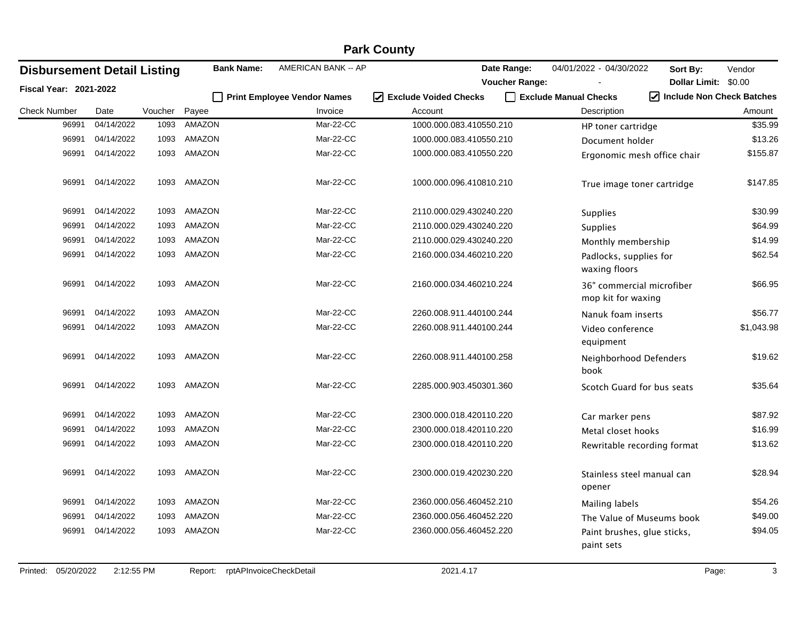| <b>Disbursement Detail Listing</b> |            |         | <b>Bank Name:</b> | AMERICAN BANK -- AP                |                                   | Date Range:           | 04/01/2022 - 04/30/2022                         | Sort By:                                       | Vendor     |
|------------------------------------|------------|---------|-------------------|------------------------------------|-----------------------------------|-----------------------|-------------------------------------------------|------------------------------------------------|------------|
| <b>Fiscal Year: 2021-2022</b>      |            |         |                   |                                    |                                   | <b>Voucher Range:</b> |                                                 | Dollar Limit: \$0.00                           |            |
|                                    |            |         |                   | <b>Print Employee Vendor Names</b> | <b>Exclude Voided Checks</b><br>☑ |                       | Exclude Manual Checks                           | $\sqrt{\phantom{a}}$ Include Non Check Batches |            |
| <b>Check Number</b>                | Date       | Voucher | Payee             | Invoice                            | Account                           |                       | Description                                     |                                                | Amount     |
| 96991                              | 04/14/2022 | 1093    | <b>AMAZON</b>     | Mar-22-CC                          | 1000.000.083.410550.210           |                       | HP toner cartridge                              |                                                | \$35.99    |
| 96991                              | 04/14/2022 | 1093    | AMAZON            | Mar-22-CC                          | 1000.000.083.410550.210           |                       | Document holder                                 |                                                | \$13.26    |
| 96991                              | 04/14/2022 | 1093    | AMAZON            | Mar-22-CC                          | 1000.000.083.410550.220           |                       | Ergonomic mesh office chair                     |                                                | \$155.87   |
| 96991                              | 04/14/2022 | 1093    | AMAZON            | Mar-22-CC                          | 1000.000.096.410810.210           |                       | True image toner cartridge                      |                                                | \$147.85   |
| 96991                              | 04/14/2022 | 1093    | AMAZON            | Mar-22-CC                          | 2110.000.029.430240.220           |                       | <b>Supplies</b>                                 |                                                | \$30.99    |
| 96991                              | 04/14/2022 | 1093    | AMAZON            | Mar-22-CC                          | 2110.000.029.430240.220           |                       | <b>Supplies</b>                                 |                                                | \$64.99    |
| 96991                              | 04/14/2022 | 1093    | AMAZON            | Mar-22-CC                          | 2110.000.029.430240.220           |                       | Monthly membership                              |                                                | \$14.99    |
| 96991                              | 04/14/2022 | 1093    | AMAZON            | Mar-22-CC                          | 2160.000.034.460210.220           |                       | Padlocks, supplies for<br>waxing floors         |                                                | \$62.54    |
| 96991                              | 04/14/2022 | 1093    | AMAZON            | Mar-22-CC                          | 2160.000.034.460210.224           |                       | 36" commercial microfiber<br>mop kit for waxing |                                                | \$66.95    |
| 96991                              | 04/14/2022 | 1093    | AMAZON            | Mar-22-CC                          | 2260.008.911.440100.244           |                       | Nanuk foam inserts                              |                                                | \$56.77    |
| 96991                              | 04/14/2022 | 1093    | AMAZON            | Mar-22-CC                          | 2260.008.911.440100.244           |                       | Video conference<br>equipment                   |                                                | \$1,043.98 |
| 96991                              | 04/14/2022 | 1093    | AMAZON            | Mar-22-CC                          | 2260.008.911.440100.258           |                       | Neighborhood Defenders<br>book                  |                                                | \$19.62    |
| 96991                              | 04/14/2022 | 1093    | AMAZON            | Mar-22-CC                          | 2285.000.903.450301.360           |                       | Scotch Guard for bus seats                      |                                                | \$35.64    |
| 96991                              | 04/14/2022 | 1093    | AMAZON            | Mar-22-CC                          | 2300.000.018.420110.220           |                       | Car marker pens                                 |                                                | \$87.92    |
| 96991                              | 04/14/2022 | 1093    | AMAZON            | Mar-22-CC                          | 2300.000.018.420110.220           |                       | Metal closet hooks                              |                                                | \$16.99    |
| 96991                              | 04/14/2022 | 1093    | AMAZON            | Mar-22-CC                          | 2300.000.018.420110.220           |                       | Rewritable recording format                     |                                                | \$13.62    |
| 96991                              | 04/14/2022 | 1093    | <b>AMAZON</b>     | Mar-22-CC                          | 2300.000.019.420230.220           |                       | Stainless steel manual can<br>opener            |                                                | \$28.94    |
| 96991                              | 04/14/2022 | 1093    | AMAZON            | Mar-22-CC                          | 2360.000.056.460452.210           |                       | Mailing labels                                  |                                                | \$54.26    |
| 96991                              | 04/14/2022 | 1093    | AMAZON            | Mar-22-CC                          | 2360.000.056.460452.220           |                       | The Value of Museums book                       |                                                | \$49.00    |
| 96991                              | 04/14/2022 | 1093    | AMAZON            | Mar-22-CC                          | 2360.000.056.460452.220           |                       | Paint brushes, glue sticks,<br>paint sets       |                                                | \$94.05    |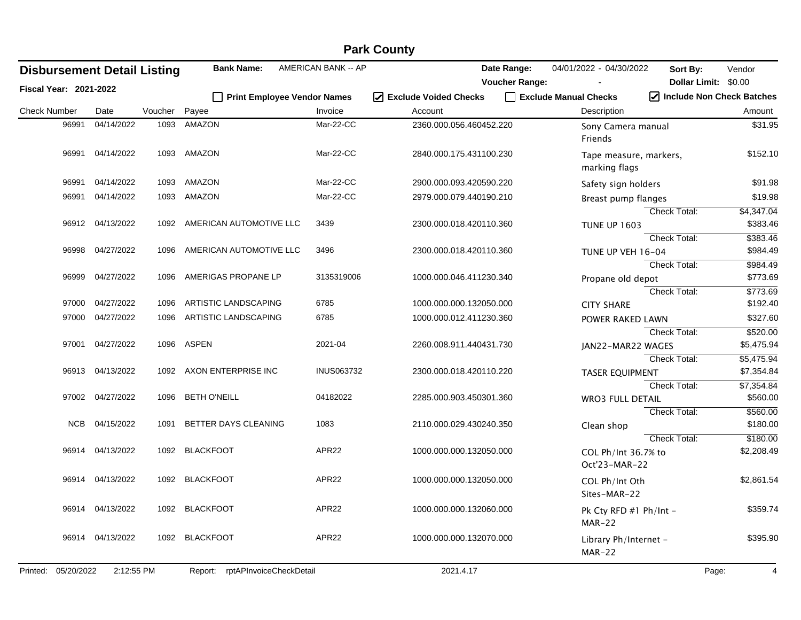|                     | <b>Park County</b>            |                                    |         |                                    |                     |                         |                                         |                                                |  |  |  |  |
|---------------------|-------------------------------|------------------------------------|---------|------------------------------------|---------------------|-------------------------|-----------------------------------------|------------------------------------------------|--|--|--|--|
|                     |                               | <b>Disbursement Detail Listing</b> |         | <b>Bank Name:</b>                  | AMERICAN BANK -- AP | Date Range:             | 04/01/2022 - 04/30/2022<br>Sort By:     | Vendor                                         |  |  |  |  |
|                     | <b>Fiscal Year: 2021-2022</b> |                                    |         |                                    |                     | <b>Voucher Range:</b>   |                                         | Dollar Limit: \$0.00                           |  |  |  |  |
|                     |                               |                                    |         | <b>Print Employee Vendor Names</b> |                     | I Exclude Voided Checks | Exclude Manual Checks                   | $\sqrt{\phantom{a}}$ Include Non Check Batches |  |  |  |  |
| <b>Check Number</b> |                               | Date                               | Voucher | Payee                              | Invoice             | Account                 | Description                             | Amount                                         |  |  |  |  |
|                     | 96991                         | 04/14/2022                         | 1093    | AMAZON                             | Mar-22-CC           | 2360.000.056.460452.220 | Sony Camera manual<br>Friends           | \$31.95                                        |  |  |  |  |
|                     | 96991                         | 04/14/2022                         |         | 1093 AMAZON                        | Mar-22-CC           | 2840.000.175.431100.230 | Tape measure, markers,<br>marking flags | \$152.10                                       |  |  |  |  |
|                     | 96991                         | 04/14/2022                         | 1093    | AMAZON                             | Mar-22-CC           | 2900.000.093.420590.220 | Safety sign holders                     | \$91.98                                        |  |  |  |  |
|                     | 96991                         | 04/14/2022                         | 1093    | AMAZON                             | Mar-22-CC           | 2979.000.079.440190.210 | Breast pump flanges                     | \$19.98                                        |  |  |  |  |
|                     |                               |                                    |         |                                    |                     |                         | Check Total:                            | \$4,347.04                                     |  |  |  |  |
|                     |                               | 96912 04/13/2022                   | 1092    | AMERICAN AUTOMOTIVE LLC            | 3439                | 2300.000.018.420110.360 | <b>TUNE UP 1603</b>                     | \$383.46                                       |  |  |  |  |
|                     |                               |                                    |         |                                    |                     |                         | Check Total:                            | \$383.46                                       |  |  |  |  |
|                     | 96998                         | 04/27/2022                         | 1096    | AMERICAN AUTOMOTIVE LLC            | 3496                | 2300.000.018.420110.360 | TUNE UP VEH 16-04                       | \$984.49                                       |  |  |  |  |
|                     |                               |                                    |         |                                    |                     |                         | Check Total:                            | \$984.49                                       |  |  |  |  |
|                     | 96999                         | 04/27/2022                         | 1096    | AMERIGAS PROPANE LP                | 3135319006          | 1000.000.046.411230.340 | Propane old depot                       | \$773.69                                       |  |  |  |  |
|                     |                               |                                    |         |                                    |                     |                         | <b>Check Total:</b>                     | \$773.69                                       |  |  |  |  |
|                     | 97000                         | 04/27/2022                         | 1096    | ARTISTIC LANDSCAPING               | 6785                | 1000.000.000.132050.000 | <b>CITY SHARE</b>                       | \$192.40                                       |  |  |  |  |
|                     | 97000                         | 04/27/2022                         | 1096    | ARTISTIC LANDSCAPING               | 6785                | 1000.000.012.411230.360 | POWER RAKED LAWN                        | \$327.60                                       |  |  |  |  |
|                     |                               |                                    |         |                                    |                     |                         | Check Total:                            | \$520.00                                       |  |  |  |  |
|                     | 97001                         | 04/27/2022                         | 1096    | <b>ASPEN</b>                       | 2021-04             | 2260.008.911.440431.730 | JAN22-MAR22 WAGES                       | \$5,475.94                                     |  |  |  |  |
|                     |                               |                                    |         |                                    |                     |                         | Check Total:                            | \$5,475.94                                     |  |  |  |  |
|                     |                               | 96913 04/13/2022                   | 1092    | AXON ENTERPRISE INC                | <b>INUS063732</b>   | 2300.000.018.420110.220 | TASER EQUIPMENT                         | \$7,354.84                                     |  |  |  |  |
|                     |                               |                                    |         |                                    |                     |                         | Check Total:                            | \$7,354.84                                     |  |  |  |  |
|                     |                               | 97002 04/27/2022                   | 1096    | <b>BETH O'NEILL</b>                | 04182022            | 2285.000.903.450301.360 | <b>WRO3 FULL DETAIL</b>                 | \$560.00                                       |  |  |  |  |
|                     |                               |                                    |         |                                    |                     |                         | Check Total:                            | \$560.00                                       |  |  |  |  |
|                     | NCB.                          | 04/15/2022                         | 1091    | BETTER DAYS CLEANING               | 1083                | 2110.000.029.430240.350 | Clean shop                              | \$180.00                                       |  |  |  |  |
|                     |                               |                                    |         |                                    |                     |                         | <b>Check Total:</b>                     | \$180.00                                       |  |  |  |  |
|                     |                               | 96914 04/13/2022                   |         | 1092 BLACKFOOT                     | APR22               | 1000.000.000.132050.000 | COL Ph/Int 36.7% to<br>Oct'23-MAR-22    | \$2,208.49                                     |  |  |  |  |
|                     | 96914                         | 04/13/2022                         | 1092    | <b>BLACKFOOT</b>                   | APR22               | 1000.000.000.132050.000 | COL Ph/Int Oth<br>Sites-MAR-22          | \$2,861.54                                     |  |  |  |  |
|                     |                               | 96914 04/13/2022                   |         | 1092 BLACKFOOT                     | APR22               | 1000.000.000.132060.000 | Pk Cty RFD $#1$ Ph/Int -<br>$MAP-22$    | \$359.74                                       |  |  |  |  |
|                     |                               | 96914 04/13/2022                   |         | 1092 BLACKFOOT                     | APR22               | 1000.000.000.132070.000 | Library Ph/Internet -<br>MAR-22         | \$395.90                                       |  |  |  |  |
|                     | Printed: 05/20/2022           | 2:12:55 PM                         |         | Report: rptAPInvoiceCheckDetail    |                     | 2021.4.17               |                                         | Page:<br>4                                     |  |  |  |  |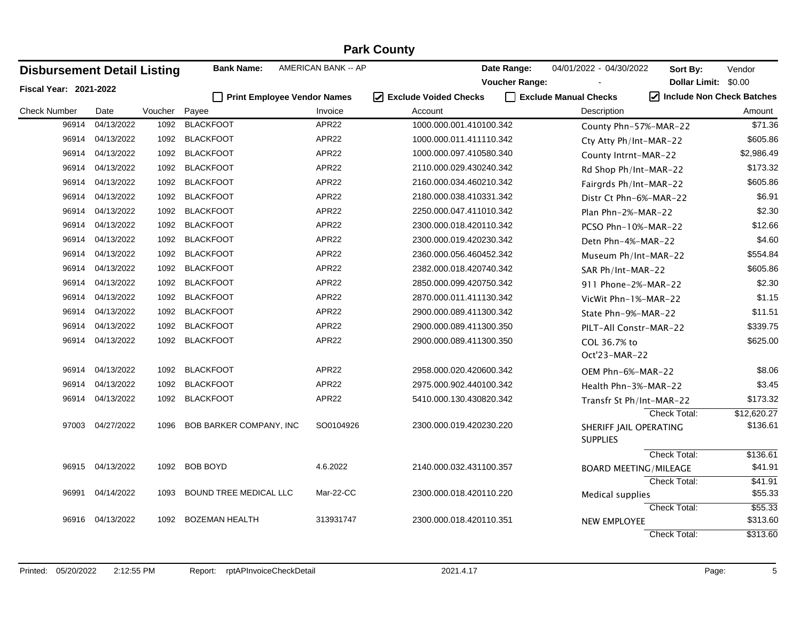| <b>Disbursement Detail Listing</b> |                  |         | <b>Bank Name:</b>                  | AMERICAN BANK -- AP |                                   | Date Range:           | 04/01/2022 - 04/30/2022                   | Sort By:                                       | Vendor      |
|------------------------------------|------------------|---------|------------------------------------|---------------------|-----------------------------------|-----------------------|-------------------------------------------|------------------------------------------------|-------------|
| Fiscal Year: 2021-2022             |                  |         |                                    |                     |                                   | <b>Voucher Range:</b> |                                           | Dollar Limit: \$0.00                           |             |
|                                    |                  |         | <b>Print Employee Vendor Names</b> |                     | ☑<br><b>Exclude Voided Checks</b> | $\mathsf{L}$          | <b>Exclude Manual Checks</b>              | $\sqrt{\phantom{a}}$ Include Non Check Batches |             |
| <b>Check Number</b>                | Date             | Voucher | Payee                              | Invoice             | Account                           |                       | Description                               |                                                | Amount      |
| 96914                              | 04/13/2022       | 1092    | <b>BLACKFOOT</b>                   | APR22               | 1000.000.001.410100.342           |                       | County Phn-57%-MAR-22                     |                                                | \$71.36     |
| 96914                              | 04/13/2022       |         | 1092 BLACKFOOT                     | APR22               | 1000.000.011.411110.342           |                       | Cty Atty Ph/Int-MAR-22                    |                                                | \$605.86    |
| 96914                              | 04/13/2022       |         | 1092 BLACKFOOT                     | APR22               | 1000.000.097.410580.340           |                       | County Intrnt-MAR-22                      |                                                | \$2,986.49  |
| 96914                              | 04/13/2022       | 1092    | <b>BLACKFOOT</b>                   | APR22               | 2110.000.029.430240.342           |                       | Rd Shop Ph/Int-MAR-22                     |                                                | \$173.32    |
| 96914                              | 04/13/2022       |         | 1092 BLACKFOOT                     | APR22               | 2160.000.034.460210.342           |                       | Fairgrds Ph/Int-MAR-22                    |                                                | \$605.86    |
| 96914                              | 04/13/2022       |         | 1092 BLACKFOOT                     | APR22               | 2180.000.038.410331.342           |                       | Distr Ct Phn-6%-MAR-22                    |                                                | \$6.91      |
| 96914                              | 04/13/2022       | 1092    | <b>BLACKFOOT</b>                   | APR22               | 2250.000.047.411010.342           |                       | Plan Phn-2%-MAR-22                        |                                                | \$2.30      |
| 96914                              | 04/13/2022       | 1092    | <b>BLACKFOOT</b>                   | APR22               | 2300.000.018.420110.342           |                       | PCSO Phn-10%-MAR-22                       |                                                | \$12.66     |
| 96914                              | 04/13/2022       | 1092    | <b>BLACKFOOT</b>                   | APR22               | 2300.000.019.420230.342           |                       | Detn Phn-4%-MAR-22                        |                                                | \$4.60      |
| 96914                              | 04/13/2022       |         | 1092 BLACKFOOT                     | APR22               | 2360.000.056.460452.342           |                       | Museum Ph/Int-MAR-22                      |                                                | \$554.84    |
| 96914                              | 04/13/2022       | 1092    | <b>BLACKFOOT</b>                   | APR22               | 2382.000.018.420740.342           |                       | SAR Ph/Int-MAR-22                         |                                                | \$605.86    |
| 96914                              | 04/13/2022       | 1092    | <b>BLACKFOOT</b>                   | APR22               | 2850.000.099.420750.342           |                       | 911 Phone-2%-MAR-22                       |                                                | \$2.30      |
| 96914                              | 04/13/2022       | 1092    | <b>BLACKFOOT</b>                   | APR22               | 2870.000.011.411130.342           |                       | VicWit Phn-1%-MAR-22                      |                                                | \$1.15      |
| 96914                              | 04/13/2022       |         | 1092 BLACKFOOT                     | APR22               | 2900.000.089.411300.342           |                       | State Phn-9%-MAR-22                       |                                                | \$11.51     |
| 96914                              | 04/13/2022       |         | 1092 BLACKFOOT                     | APR22               | 2900.000.089.411300.350           |                       | PILT-All Constr-MAR-22                    |                                                | \$339.75    |
| 96914                              | 04/13/2022       | 1092    | <b>BLACKFOOT</b>                   | APR22               | 2900.000.089.411300.350           |                       | COL 36.7% to                              |                                                | \$625.00    |
|                                    |                  |         |                                    |                     |                                   |                       | Oct'23-MAR-22                             |                                                |             |
| 96914                              | 04/13/2022       | 1092    | <b>BLACKFOOT</b>                   | APR22               | 2958.000.020.420600.342           |                       | OEM Phn-6%-MAR-22                         |                                                | \$8.06      |
| 96914                              | 04/13/2022       |         | 1092 BLACKFOOT                     | APR22               | 2975.000.902.440100.342           |                       | Health Phn-3%-MAR-22                      |                                                | \$3.45      |
| 96914                              | 04/13/2022       |         | 1092 BLACKFOOT                     | APR22               | 5410.000.130.430820.342           |                       | Transfr St Ph/Int-MAR-22                  |                                                | \$173.32    |
|                                    |                  |         |                                    |                     |                                   |                       |                                           | Check Total:                                   | \$12,620.27 |
|                                    | 97003 04/27/2022 | 1096    | BOB BARKER COMPANY, INC            | SO0104926           | 2300.000.019.420230.220           |                       | SHERIFF JAIL OPERATING<br><b>SUPPLIES</b> |                                                | \$136.61    |
|                                    |                  |         |                                    |                     |                                   |                       |                                           | <b>Check Total:</b>                            | \$136.61    |
|                                    | 96915 04/13/2022 |         | 1092 BOB BOYD                      | 4.6.2022            | 2140.000.032.431100.357           |                       | <b>BOARD MEETING/MILEAGE</b>              |                                                | \$41.91     |
|                                    |                  |         |                                    |                     |                                   |                       |                                           | Check Total:                                   | \$41.91     |
| 96991                              | 04/14/2022       | 1093    | BOUND TREE MEDICAL LLC             | Mar-22-CC           | 2300.000.018.420110.220           |                       | Medical supplies                          |                                                | \$55.33     |
|                                    |                  |         |                                    |                     |                                   |                       |                                           | Check Total:                                   | \$55.33     |
| 96916                              | 04/13/2022       | 1092    | <b>BOZEMAN HEALTH</b>              | 313931747           | 2300.000.018.420110.351           |                       | <b>NEW EMPLOYEE</b>                       |                                                | \$313.60    |
|                                    |                  |         |                                    |                     |                                   |                       |                                           | Check Total:                                   | \$313.60    |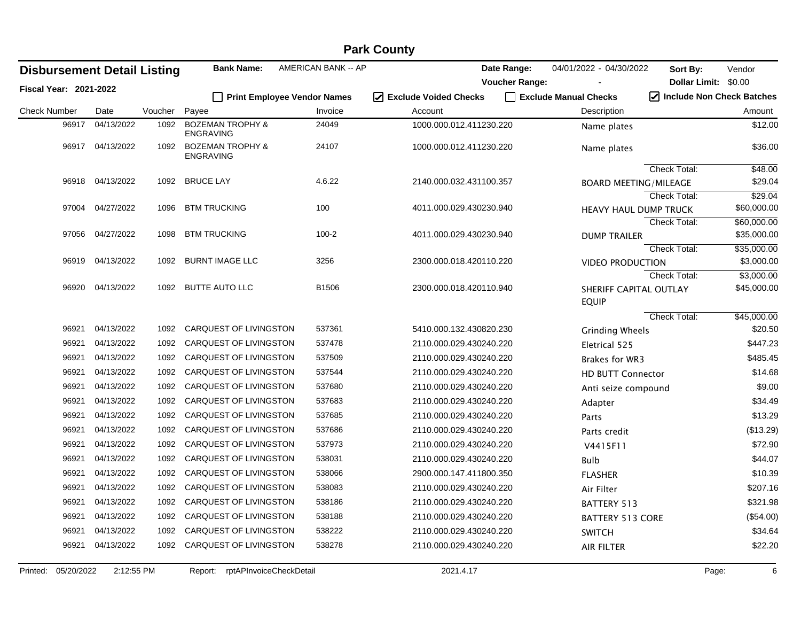|                                    |                  |         |                                                 |                                    | <b>Fain Coulity</b>     |                       |                              |                           |                           |
|------------------------------------|------------------|---------|-------------------------------------------------|------------------------------------|-------------------------|-----------------------|------------------------------|---------------------------|---------------------------|
| <b>Disbursement Detail Listing</b> |                  |         | <b>Bank Name:</b>                               | AMERICAN BANK -- AP                |                         | Date Range:           | 04/01/2022 - 04/30/2022      | Sort By:                  | Vendor                    |
| <b>Fiscal Year: 2021-2022</b>      |                  |         |                                                 |                                    |                         | <b>Voucher Range:</b> |                              | Dollar Limit: \$0.00      |                           |
|                                    |                  |         |                                                 | <b>Print Employee Vendor Names</b> | □ Exclude Voided Checks |                       | Exclude Manual Checks        | Include Non Check Batches |                           |
| <b>Check Number</b>                | Date             | Voucher | Payee                                           | Invoice                            | Account                 |                       | Description                  |                           | Amount                    |
| 96917                              | 04/13/2022       | 1092    | <b>BOZEMAN TROPHY &amp;</b><br><b>ENGRAVING</b> | 24049                              | 1000.000.012.411230.220 |                       | Name plates                  |                           | \$12.00                   |
|                                    | 96917 04/13/2022 | 1092    | <b>BOZEMAN TROPHY &amp;</b><br><b>ENGRAVING</b> | 24107                              | 1000.000.012.411230.220 |                       | Name plates                  |                           | \$36.00                   |
|                                    |                  |         |                                                 |                                    |                         |                       |                              | <b>Check Total:</b>       | \$48.00                   |
|                                    | 96918 04/13/2022 | 1092    | <b>BRUCE LAY</b>                                | 4.6.22                             | 2140.000.032.431100.357 |                       | <b>BOARD MEETING/MILEAGE</b> |                           | \$29.04                   |
|                                    |                  |         |                                                 |                                    |                         |                       |                              | <b>Check Total:</b>       | \$29.04                   |
| 97004                              | 04/27/2022       | 1096    | <b>BTM TRUCKING</b>                             | 100                                | 4011.000.029.430230.940 |                       | HEAVY HAUL DUMP TRUCK        |                           | \$60,000.00               |
|                                    |                  |         |                                                 |                                    |                         |                       |                              | <b>Check Total:</b>       | \$60,000.00               |
| 97056                              | 04/27/2022       | 1098    | <b>BTM TRUCKING</b>                             | $100 - 2$                          | 4011.000.029.430230.940 |                       | <b>DUMP TRAILER</b>          |                           | \$35,000.00               |
| 96919                              | 04/13/2022       | 1092    | <b>BURNT IMAGE LLC</b>                          | 3256                               | 2300.000.018.420110.220 |                       |                              | Check Total:              | \$35,000.00<br>\$3,000.00 |
|                                    |                  |         |                                                 |                                    |                         |                       | <b>VIDEO PRODUCTION</b>      | Check Total:              | \$3,000.00                |
| 96920                              | 04/13/2022       | 1092    | <b>BUTTE AUTO LLC</b>                           | B1506                              | 2300.000.018.420110.940 |                       | SHERIFF CAPITAL OUTLAY       |                           | \$45,000.00               |
|                                    |                  |         |                                                 |                                    |                         |                       | <b>EQUIP</b>                 |                           |                           |
|                                    |                  |         |                                                 |                                    |                         |                       |                              | Check Total:              | \$45,000.00               |
| 96921                              | 04/13/2022       | 1092    | CARQUEST OF LIVINGSTON                          | 537361                             | 5410.000.132.430820.230 |                       | <b>Grinding Wheels</b>       |                           | \$20.50                   |
| 96921                              | 04/13/2022       | 1092    | CARQUEST OF LIVINGSTON                          | 537478                             | 2110.000.029.430240.220 |                       | Eletrical 525                |                           | \$447.23                  |
| 96921                              | 04/13/2022       | 1092    | CARQUEST OF LIVINGSTON                          | 537509                             | 2110.000.029.430240.220 |                       | <b>Brakes for WR3</b>        |                           | \$485.45                  |
| 96921                              | 04/13/2022       | 1092    | CARQUEST OF LIVINGSTON                          | 537544                             | 2110.000.029.430240.220 |                       | <b>HD BUTT Connector</b>     |                           | \$14.68                   |
| 96921                              | 04/13/2022       | 1092    | CARQUEST OF LIVINGSTON                          | 537680                             | 2110.000.029.430240.220 |                       | Anti seize compound          |                           | \$9.00                    |
| 96921                              | 04/13/2022       | 1092    | CARQUEST OF LIVINGSTON                          | 537683                             | 2110.000.029.430240.220 |                       | Adapter                      |                           | \$34.49                   |
| 96921                              | 04/13/2022       | 1092    | CARQUEST OF LIVINGSTON                          | 537685                             | 2110.000.029.430240.220 |                       | Parts                        |                           | \$13.29                   |
| 96921                              | 04/13/2022       | 1092    | CARQUEST OF LIVINGSTON                          | 537686                             | 2110.000.029.430240.220 |                       | Parts credit                 |                           | (\$13.29)                 |
| 96921                              | 04/13/2022       | 1092    | CARQUEST OF LIVINGSTON                          | 537973                             | 2110.000.029.430240.220 |                       | V4415F11                     |                           | \$72.90                   |
| 96921                              | 04/13/2022       | 1092    | CARQUEST OF LIVINGSTON                          | 538031                             | 2110.000.029.430240.220 |                       | Bulb                         |                           | \$44.07                   |
| 96921                              | 04/13/2022       | 1092    | CARQUEST OF LIVINGSTON                          | 538066                             | 2900.000.147.411800.350 |                       | <b>FLASHER</b>               |                           | \$10.39                   |
| 96921                              | 04/13/2022       | 1092    | CARQUEST OF LIVINGSTON                          | 538083                             | 2110.000.029.430240.220 |                       | Air Filter                   |                           | \$207.16                  |
| 96921                              | 04/13/2022       | 1092    | CARQUEST OF LIVINGSTON                          | 538186                             | 2110.000.029.430240.220 |                       | BATTERY 513                  |                           | \$321.98                  |
| 96921                              | 04/13/2022       | 1092    | CARQUEST OF LIVINGSTON                          | 538188                             | 2110.000.029.430240.220 |                       | <b>BATTERY 513 CORE</b>      |                           | (\$54.00)                 |
| 96921                              | 04/13/2022       | 1092    | CARQUEST OF LIVINGSTON                          | 538222                             | 2110.000.029.430240.220 |                       | <b>SWITCH</b>                |                           | \$34.64                   |
| 96921                              | 04/13/2022       | 1092    | <b>CARQUEST OF LIVINGSTON</b>                   | 538278                             | 2110.000.029.430240.220 |                       | <b>AIR FILTER</b>            |                           | \$22.20                   |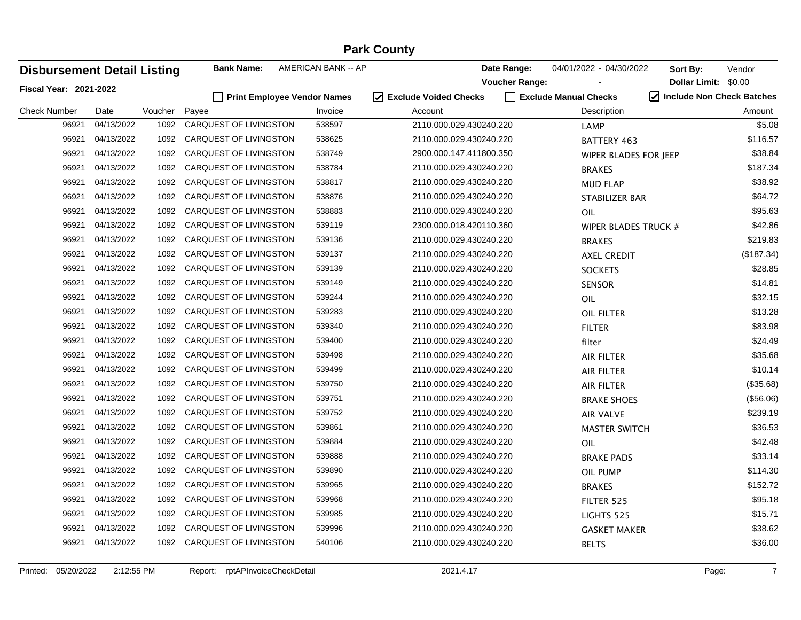| <b>Disbursement Detail Listing</b> |            |         | <b>Bank Name:</b>           | AMERICAN BANK -- AP |                         | Date Range:           | 04/01/2022 - 04/30/2022 | Sort By:             | Vendor                                         |
|------------------------------------|------------|---------|-----------------------------|---------------------|-------------------------|-----------------------|-------------------------|----------------------|------------------------------------------------|
| Fiscal Year: 2021-2022             |            |         |                             |                     |                         | <b>Voucher Range:</b> |                         | Dollar Limit: \$0.00 |                                                |
|                                    |            |         | Print Employee Vendor Names |                     | ☑ Exclude Voided Checks |                       | Exclude Manual Checks   |                      | $\sqrt{\phantom{a}}$ Include Non Check Batches |
| <b>Check Number</b>                | Date       | Voucher | Payee                       | Invoice             | Account                 |                       | Description             |                      | Amount                                         |
| 96921                              | 04/13/2022 | 1092    | CARQUEST OF LIVINGSTON      | 538597              | 2110.000.029.430240.220 |                       | <b>LAMP</b>             |                      | \$5.08                                         |
| 96921                              | 04/13/2022 | 1092    | CARQUEST OF LIVINGSTON      | 538625              | 2110.000.029.430240.220 |                       | <b>BATTERY 463</b>      |                      | \$116.57                                       |
| 96921                              | 04/13/2022 | 1092    | CARQUEST OF LIVINGSTON      | 538749              | 2900.000.147.411800.350 |                       | WIPER BLADES FOR JEEP   |                      | \$38.84                                        |
| 96921                              | 04/13/2022 | 1092    | CARQUEST OF LIVINGSTON      | 538784              | 2110.000.029.430240.220 |                       | <b>BRAKES</b>           |                      | \$187.34                                       |
| 96921                              | 04/13/2022 | 1092    | CARQUEST OF LIVINGSTON      | 538817              | 2110.000.029.430240.220 |                       | <b>MUD FLAP</b>         |                      | \$38.92                                        |
| 96921                              | 04/13/2022 | 1092    | CARQUEST OF LIVINGSTON      | 538876              | 2110.000.029.430240.220 |                       | STABILIZER BAR          |                      | \$64.72                                        |
| 96921                              | 04/13/2022 | 1092    | CARQUEST OF LIVINGSTON      | 538883              | 2110.000.029.430240.220 |                       | OIL                     |                      | \$95.63                                        |
| 96921                              | 04/13/2022 | 1092    | CARQUEST OF LIVINGSTON      | 539119              | 2300.000.018.420110.360 |                       | WIPER BLADES TRUCK #    |                      | \$42.86                                        |
| 96921                              | 04/13/2022 | 1092    | CARQUEST OF LIVINGSTON      | 539136              | 2110.000.029.430240.220 |                       | <b>BRAKES</b>           |                      | \$219.83                                       |
| 96921                              | 04/13/2022 | 1092    | CARQUEST OF LIVINGSTON      | 539137              | 2110.000.029.430240.220 |                       | <b>AXEL CREDIT</b>      |                      | (\$187.34)                                     |
| 96921                              | 04/13/2022 | 1092    | CARQUEST OF LIVINGSTON      | 539139              | 2110.000.029.430240.220 |                       | <b>SOCKETS</b>          |                      | \$28.85                                        |
| 96921                              | 04/13/2022 | 1092    | CARQUEST OF LIVINGSTON      | 539149              | 2110.000.029.430240.220 |                       | <b>SENSOR</b>           |                      | \$14.81                                        |
| 96921                              | 04/13/2022 | 1092    | CARQUEST OF LIVINGSTON      | 539244              | 2110.000.029.430240.220 |                       | OIL                     |                      | \$32.15                                        |
| 96921                              | 04/13/2022 | 1092    | CARQUEST OF LIVINGSTON      | 539283              | 2110.000.029.430240.220 |                       | <b>OIL FILTER</b>       |                      | \$13.28                                        |
| 96921                              | 04/13/2022 | 1092    | CARQUEST OF LIVINGSTON      | 539340              | 2110.000.029.430240.220 |                       | <b>FILTER</b>           |                      | \$83.98                                        |
| 96921                              | 04/13/2022 | 1092    | CARQUEST OF LIVINGSTON      | 539400              | 2110.000.029.430240.220 |                       | filter                  |                      | \$24.49                                        |
| 96921                              | 04/13/2022 | 1092    | CARQUEST OF LIVINGSTON      | 539498              | 2110.000.029.430240.220 |                       | AIR FILTER              |                      | \$35.68                                        |
| 96921                              | 04/13/2022 | 1092    | CARQUEST OF LIVINGSTON      | 539499              | 2110.000.029.430240.220 |                       | <b>AIR FILTER</b>       |                      | \$10.14                                        |
| 96921                              | 04/13/2022 | 1092    | CARQUEST OF LIVINGSTON      | 539750              | 2110.000.029.430240.220 |                       | AIR FILTER              |                      | (\$35.68)                                      |
| 96921                              | 04/13/2022 | 1092    | CARQUEST OF LIVINGSTON      | 539751              | 2110.000.029.430240.220 |                       | <b>BRAKE SHOES</b>      |                      | (\$56.06)                                      |
| 96921                              | 04/13/2022 | 1092    | CARQUEST OF LIVINGSTON      | 539752              | 2110.000.029.430240.220 |                       | <b>AIR VALVE</b>        |                      | \$239.19                                       |
| 96921                              | 04/13/2022 | 1092    | CARQUEST OF LIVINGSTON      | 539861              | 2110.000.029.430240.220 |                       | <b>MASTER SWITCH</b>    |                      | \$36.53                                        |
| 96921                              | 04/13/2022 | 1092    | CARQUEST OF LIVINGSTON      | 539884              | 2110.000.029.430240.220 |                       | OIL                     |                      | \$42.48                                        |
| 96921                              | 04/13/2022 | 1092    | CARQUEST OF LIVINGSTON      | 539888              | 2110.000.029.430240.220 |                       | <b>BRAKE PADS</b>       |                      | \$33.14                                        |
| 96921                              | 04/13/2022 | 1092    | CARQUEST OF LIVINGSTON      | 539890              | 2110.000.029.430240.220 |                       | OIL PUMP                |                      | \$114.30                                       |
| 96921                              | 04/13/2022 | 1092    | CARQUEST OF LIVINGSTON      | 539965              | 2110.000.029.430240.220 |                       | <b>BRAKES</b>           |                      | \$152.72                                       |
| 96921                              | 04/13/2022 | 1092    | CARQUEST OF LIVINGSTON      | 539968              | 2110.000.029.430240.220 |                       | FILTER 525              |                      | \$95.18                                        |
| 96921                              | 04/13/2022 | 1092    | CARQUEST OF LIVINGSTON      | 539985              | 2110.000.029.430240.220 |                       | LIGHTS 525              |                      | \$15.71                                        |
| 96921                              | 04/13/2022 | 1092    | CARQUEST OF LIVINGSTON      | 539996              | 2110.000.029.430240.220 |                       | <b>GASKET MAKER</b>     |                      | \$38.62                                        |
| 96921                              | 04/13/2022 | 1092    | CARQUEST OF LIVINGSTON      | 540106              | 2110.000.029.430240.220 |                       | <b>BELTS</b>            |                      | \$36.00                                        |
|                                    |            |         |                             |                     |                         |                       |                         |                      |                                                |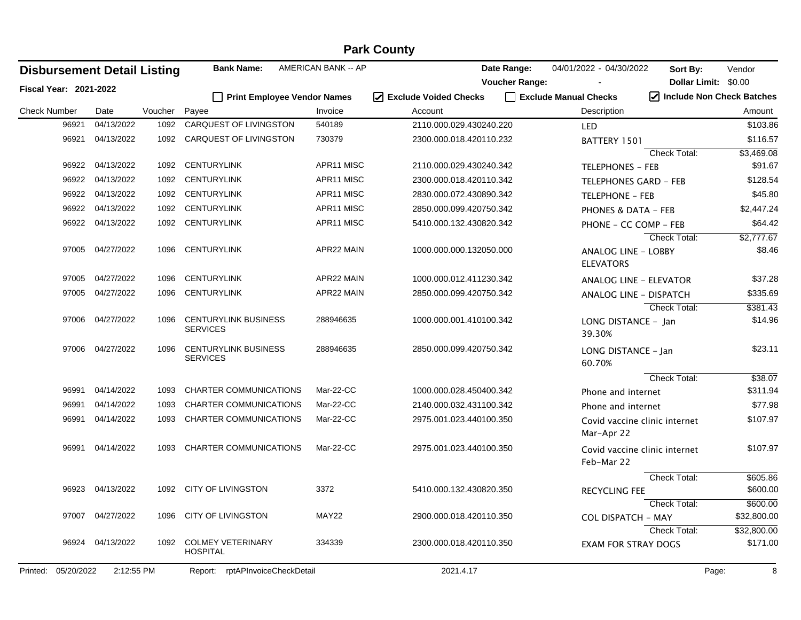|                                    | <b>Park County</b> |                 |                                                |                     |                                    |                                             |                                                     |  |  |  |  |  |
|------------------------------------|--------------------|-----------------|------------------------------------------------|---------------------|------------------------------------|---------------------------------------------|-----------------------------------------------------|--|--|--|--|--|
| <b>Disbursement Detail Listing</b> |                    |                 | <b>Bank Name:</b>                              | AMERICAN BANK -- AP | Date Range:                        | 04/01/2022 - 04/30/2022                     | Sort By:<br>Vendor                                  |  |  |  |  |  |
| <b>Fiscal Year: 2021-2022</b>      |                    |                 |                                                |                     | <b>Voucher Range:</b>              |                                             | Dollar Limit: \$0.00<br>7 Include Non Check Batches |  |  |  |  |  |
|                                    |                    |                 | <b>Print Employee Vendor Names</b>             |                     | I Exclude Voided Checks            | Exclude Manual Checks                       |                                                     |  |  |  |  |  |
| <b>Check Number</b><br>96921       | Date<br>04/13/2022 | Voucher<br>1092 | Payee<br>CARQUEST OF LIVINGSTON                | Invoice<br>540189   | Account<br>2110.000.029.430240.220 | Description                                 | Amount<br>\$103.86                                  |  |  |  |  |  |
|                                    | 04/13/2022         |                 | CARQUEST OF LIVINGSTON                         |                     |                                    | LED                                         |                                                     |  |  |  |  |  |
| 96921                              |                    | 1092            |                                                | 730379              | 2300.000.018.420110.232            | BATTERY 1501                                | \$116.57<br><b>Check Total:</b>                     |  |  |  |  |  |
| 96922                              | 04/13/2022         | 1092            | <b>CENTURYLINK</b>                             | APR11 MISC          | 2110.000.029.430240.342            | <b>TELEPHONES - FEB</b>                     | \$3,469.08<br>\$91.67                               |  |  |  |  |  |
| 96922                              | 04/13/2022         | 1092            | <b>CENTURYLINK</b>                             | APR11 MISC          | 2300.000.018.420110.342            | <b>TELEPHONES GARD - FEB</b>                | \$128.54                                            |  |  |  |  |  |
| 96922                              | 04/13/2022         | 1092            | <b>CENTURYLINK</b>                             | APR11 MISC          | 2830.000.072.430890.342            |                                             | \$45.80                                             |  |  |  |  |  |
| 96922                              | 04/13/2022         | 1092            | <b>CENTURYLINK</b>                             | APR11 MISC          | 2850.000.099.420750.342            | <b>TELEPHONE - FEB</b>                      | \$2,447.24                                          |  |  |  |  |  |
| 96922                              | 04/13/2022         | 1092            | <b>CENTURYLINK</b>                             | APR11 MISC          | 5410.000.132.430820.342            | PHONES & DATA - FEB                         | \$64.42                                             |  |  |  |  |  |
|                                    |                    |                 |                                                |                     |                                    | PHONE - CC COMP - FEB                       | \$2,777.67<br>Check Total:                          |  |  |  |  |  |
|                                    | 97005 04/27/2022   | 1096            | <b>CENTURYLINK</b>                             | APR22 MAIN          | 1000.000.000.132050.000            | ANALOG LINE - LOBBY<br><b>ELEVATORS</b>     | \$8.46                                              |  |  |  |  |  |
| 97005                              | 04/27/2022         | 1096            | <b>CENTURYLINK</b>                             | APR22 MAIN          | 1000.000.012.411230.342            | <b>ANALOG LINE - ELEVATOR</b>               | \$37.28                                             |  |  |  |  |  |
| 97005                              | 04/27/2022         | 1096            | <b>CENTURYLINK</b>                             | APR22 MAIN          | 2850.000.099.420750.342            | ANALOG LINE - DISPATCH                      | \$335.69                                            |  |  |  |  |  |
|                                    |                    |                 |                                                |                     |                                    |                                             | <b>Check Total:</b><br>\$381.43                     |  |  |  |  |  |
| 97006                              | 04/27/2022         | 1096            | <b>CENTURYLINK BUSINESS</b><br><b>SERVICES</b> | 288946635           | 1000.000.001.410100.342            | LONG DISTANCE - Jan<br>39.30%               | \$14.96                                             |  |  |  |  |  |
| 97006                              | 04/27/2022         | 1096            | <b>CENTURYLINK BUSINESS</b><br><b>SERVICES</b> | 288946635           | 2850.000.099.420750.342            | LONG DISTANCE - Jan<br>60.70%               | \$23.11                                             |  |  |  |  |  |
|                                    |                    |                 |                                                |                     |                                    |                                             | Check Total:<br>\$38.07                             |  |  |  |  |  |
| 96991                              | 04/14/2022         | 1093            | <b>CHARTER COMMUNICATIONS</b>                  | Mar-22-CC           | 1000.000.028.450400.342            | Phone and internet                          | \$311.94                                            |  |  |  |  |  |
| 96991                              | 04/14/2022         | 1093            | <b>CHARTER COMMUNICATIONS</b>                  | Mar-22-CC           | 2140.000.032.431100.342            | Phone and internet                          | \$77.98                                             |  |  |  |  |  |
| 96991                              | 04/14/2022         | 1093            | <b>CHARTER COMMUNICATIONS</b>                  | Mar-22-CC           | 2975.001.023.440100.350            | Covid vaccine clinic internet<br>Mar-Apr 22 | \$107.97                                            |  |  |  |  |  |
| 96991                              | 04/14/2022         | 1093            | <b>CHARTER COMMUNICATIONS</b>                  | Mar-22-CC           | 2975.001.023.440100.350            | Covid vaccine clinic internet<br>Feb-Mar 22 | \$107.97                                            |  |  |  |  |  |
|                                    |                    |                 |                                                |                     |                                    |                                             | Check Total:<br>\$605.86                            |  |  |  |  |  |
|                                    | 96923 04/13/2022   | 1092            | <b>CITY OF LIVINGSTON</b>                      | 3372                | 5410.000.132.430820.350            | <b>RECYCLING FEE</b>                        | \$600.00                                            |  |  |  |  |  |
|                                    |                    |                 |                                                |                     |                                    |                                             | Check Total:<br>\$600.00                            |  |  |  |  |  |
|                                    | 97007 04/27/2022   | 1096            | <b>CITY OF LIVINGSTON</b>                      | MAY22               | 2900.000.018.420110.350            | <b>COL DISPATCH - MAY</b>                   | \$32,800.00                                         |  |  |  |  |  |
|                                    |                    |                 |                                                |                     |                                    |                                             | Check Total:<br>\$32,800.00                         |  |  |  |  |  |
|                                    | 96924 04/13/2022   | 1092            | <b>COLMEY VETERINARY</b><br><b>HOSPITAL</b>    | 334339              | 2300.000.018.420110.350            | <b>EXAM FOR STRAY DOGS</b>                  | \$171.00                                            |  |  |  |  |  |
| 05/20/2022<br>Printed:             | 2:12:55 PM         |                 | Report: rptAPInvoiceCheckDetail                |                     | 2021.4.17                          |                                             | Page:<br>8                                          |  |  |  |  |  |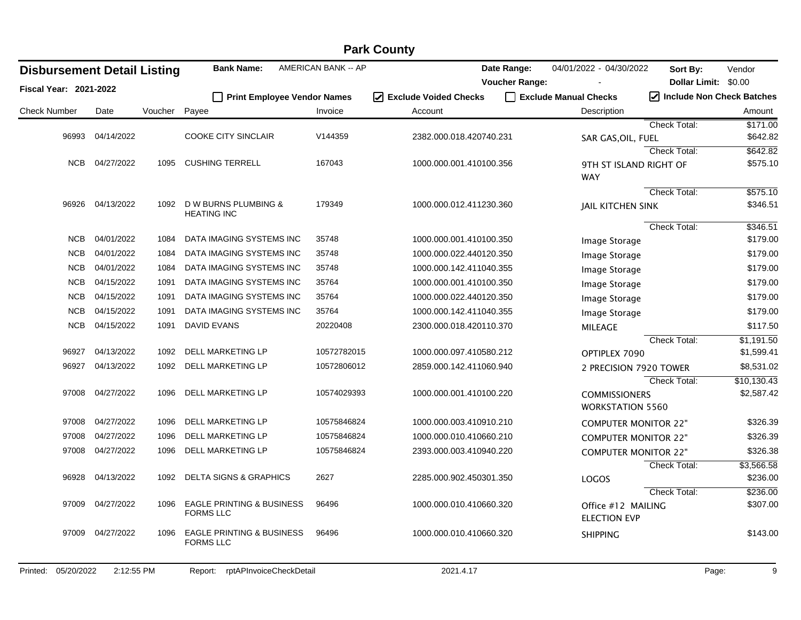| <b>Park County</b>                 |            |         |                                         |                     |                                 |                             |                             |                      |  |  |  |
|------------------------------------|------------|---------|-----------------------------------------|---------------------|---------------------------------|-----------------------------|-----------------------------|----------------------|--|--|--|
| <b>Disbursement Detail Listing</b> |            |         | <b>Bank Name:</b>                       | AMERICAN BANK -- AP | Date Range:                     | 04/01/2022 - 04/30/2022     | Sort By:                    | Vendor               |  |  |  |
| Fiscal Year: 2021-2022             |            |         |                                         |                     | <b>Voucher Range:</b>           |                             | Dollar Limit: \$0.00        |                      |  |  |  |
|                                    |            |         | П<br><b>Print Employee Vendor Names</b> |                     | $\sqrt{}$ Exclude Voided Checks | Exclude Manual Checks       | √ Include Non Check Batches |                      |  |  |  |
| <b>Check Number</b>                | Date       | Voucher | Payee                                   | Invoice             | Account                         | Description                 |                             | Amount               |  |  |  |
|                                    |            |         |                                         |                     |                                 |                             | Check Total:                | \$171.00             |  |  |  |
| 96993                              | 04/14/2022 |         | <b>COOKE CITY SINCLAIR</b>              | V144359             | 2382.000.018.420740.231         | SAR GAS, OIL, FUEL          |                             | \$642.82             |  |  |  |
| <b>NCB</b>                         | 04/27/2022 | 1095    | <b>CUSHING TERRELL</b>                  | 167043              |                                 |                             | <b>Check Total:</b>         | \$642.82             |  |  |  |
|                                    |            |         |                                         |                     | 1000.000.001.410100.356         | 9TH ST ISLAND RIGHT OF      |                             | \$575.10             |  |  |  |
|                                    |            |         |                                         |                     |                                 | <b>WAY</b>                  |                             |                      |  |  |  |
| 96926                              | 04/13/2022 | 1092    | D W BURNS PLUMBING &                    | 179349              | 1000.000.012.411230.360         |                             | <b>Check Total:</b>         | \$575.10<br>\$346.51 |  |  |  |
|                                    |            |         | <b>HEATING INC</b>                      |                     |                                 | <b>JAIL KITCHEN SINK</b>    |                             |                      |  |  |  |
|                                    |            |         |                                         |                     |                                 |                             | Check Total:                | \$346.51             |  |  |  |
| <b>NCB</b>                         | 04/01/2022 | 1084    | DATA IMAGING SYSTEMS INC                | 35748               | 1000.000.001.410100.350         | Image Storage               |                             | \$179.00             |  |  |  |
| <b>NCB</b>                         | 04/01/2022 | 1084    | DATA IMAGING SYSTEMS INC                | 35748               | 1000.000.022.440120.350         | Image Storage               |                             | \$179.00             |  |  |  |
| <b>NCB</b>                         | 04/01/2022 | 1084    | DATA IMAGING SYSTEMS INC                | 35748               | 1000.000.142.411040.355         | Image Storage               |                             | \$179.00             |  |  |  |
| <b>NCB</b>                         | 04/15/2022 | 1091    | DATA IMAGING SYSTEMS INC                | 35764               | 1000.000.001.410100.350         | Image Storage               |                             | \$179.00             |  |  |  |
| <b>NCB</b>                         | 04/15/2022 | 1091    | DATA IMAGING SYSTEMS INC                | 35764               | 1000.000.022.440120.350         | Image Storage               |                             | \$179.00             |  |  |  |
| <b>NCB</b>                         | 04/15/2022 | 1091    | DATA IMAGING SYSTEMS INC                | 35764               | 1000.000.142.411040.355         | Image Storage               |                             | \$179.00             |  |  |  |
| <b>NCB</b>                         | 04/15/2022 | 1091    | <b>DAVID EVANS</b>                      | 20220408            | 2300.000.018.420110.370         | <b>MILEAGE</b>              |                             | \$117.50             |  |  |  |
|                                    |            |         |                                         |                     |                                 |                             | Check Total:                | \$1,191.50           |  |  |  |
| 96927                              | 04/13/2022 | 1092    | DELL MARKETING LP                       | 10572782015         | 1000.000.097.410580.212         | OPTIPLEX 7090               |                             | \$1,599.41           |  |  |  |
| 96927                              | 04/13/2022 | 1092    | DELL MARKETING LP                       | 10572806012         | 2859.000.142.411060.940         | 2 PRECISION 7920 TOWER      |                             | \$8,531.02           |  |  |  |
|                                    |            |         |                                         |                     |                                 |                             | <b>Check Total:</b>         | \$10,130.43          |  |  |  |
| 97008                              | 04/27/2022 | 1096    | <b>DELL MARKETING LP</b>                | 10574029393         | 1000.000.001.410100.220         | <b>COMMISSIONERS</b>        |                             | \$2,587.42           |  |  |  |
|                                    |            |         |                                         |                     |                                 | <b>WORKSTATION 5560</b>     |                             |                      |  |  |  |
| 97008                              | 04/27/2022 | 1096    | DELL MARKETING LP                       | 10575846824         | 1000.000.003.410910.210         | <b>COMPUTER MONITOR 22"</b> |                             | \$326.39             |  |  |  |
| 97008                              | 04/27/2022 | 1096    | DELL MARKETING LP                       | 10575846824         | 1000.000.010.410660.210         | <b>COMPUTER MONITOR 22"</b> |                             | \$326.39             |  |  |  |
| 97008                              | 04/27/2022 | 1096    | DELL MARKETING LP                       | 10575846824         | 2393.000.003.410940.220         | <b>COMPUTER MONITOR 22"</b> |                             | \$326.38             |  |  |  |
|                                    |            |         |                                         |                     |                                 |                             | Check Total:                | \$3,566.58           |  |  |  |
| 96928                              | 04/13/2022 | 1092    | <b>DELTA SIGNS &amp; GRAPHICS</b>       | 2627                | 2285.000.902.450301.350         | <b>LOGOS</b>                |                             | \$236.00             |  |  |  |
|                                    |            |         |                                         |                     |                                 |                             | Check Total:                | \$236.00             |  |  |  |
| 97009                              | 04/27/2022 | 1096    | <b>EAGLE PRINTING &amp; BUSINESS</b>    | 96496               | 1000.000.010.410660.320         | Office #12 MAILING          |                             | \$307.00             |  |  |  |
|                                    |            |         | <b>FORMS LLC</b>                        |                     |                                 | <b>ELECTION EVP</b>         |                             |                      |  |  |  |
| 97009                              | 04/27/2022 | 1096    | <b>EAGLE PRINTING &amp; BUSINESS</b>    | 96496               | 1000.000.010.410660.320         | <b>SHIPPING</b>             |                             | \$143.00             |  |  |  |
|                                    |            |         | <b>FORMS LLC</b>                        |                     |                                 |                             |                             |                      |  |  |  |
|                                    |            |         |                                         |                     |                                 |                             |                             |                      |  |  |  |

#### Printed: 05/20/2022 2:12:55 PM Report: rptAPInvoiceCheckDetail 2021.4.17 2021.4.17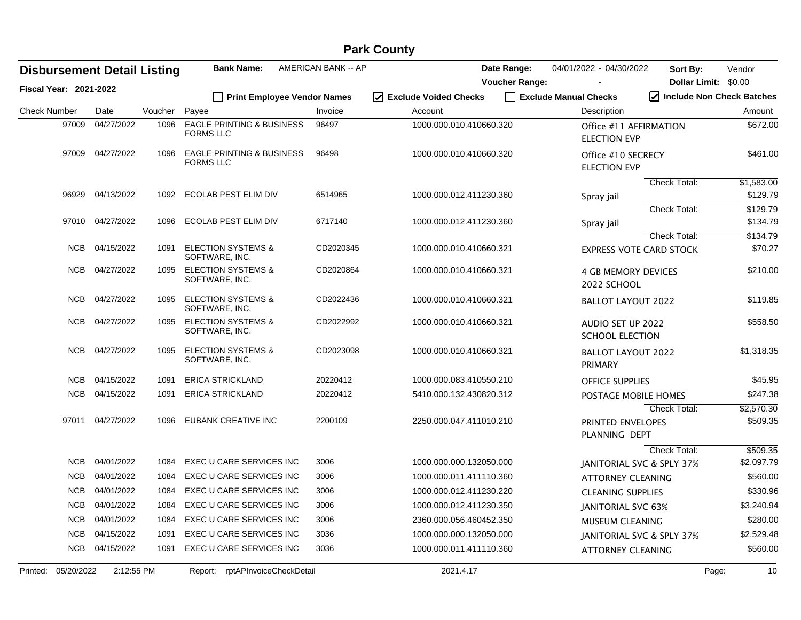| <b>Disbursement Detail Listing</b> |                  |         | <b>Bank Name:</b>                                        | AMERICAN BANK -- AP |                                   | Date Range:           | 04/01/2022 - 04/30/2022                       | Sort By:            | Vendor                                                                 |
|------------------------------------|------------------|---------|----------------------------------------------------------|---------------------|-----------------------------------|-----------------------|-----------------------------------------------|---------------------|------------------------------------------------------------------------|
| <b>Fiscal Year: 2021-2022</b>      |                  |         |                                                          |                     |                                   | <b>Voucher Range:</b> |                                               |                     | Dollar Limit: \$0.00<br>$\sqrt{\phantom{a}}$ Include Non Check Batches |
|                                    |                  |         | <b>Print Employee Vendor Names</b>                       |                     | ☑<br><b>Exclude Voided Checks</b> |                       | Exclude Manual Checks                         |                     |                                                                        |
| <b>Check Number</b>                | Date             | Voucher | Payee                                                    | Invoice             | Account                           |                       | Description                                   |                     | Amount                                                                 |
| 97009                              | 04/27/2022       | 1096    | <b>EAGLE PRINTING &amp; BUSINESS</b><br><b>FORMS LLC</b> | 96497               | 1000.000.010.410660.320           |                       | Office #11 AFFIRMATION<br><b>ELECTION EVP</b> |                     | \$672.00                                                               |
|                                    | 97009 04/27/2022 | 1096    | <b>EAGLE PRINTING &amp; BUSINESS</b><br><b>FORMS LLC</b> | 96498               | 1000.000.010.410660.320           |                       | Office #10 SECRECY<br><b>ELECTION EVP</b>     |                     | \$461.00                                                               |
|                                    |                  |         |                                                          |                     |                                   |                       |                                               | <b>Check Total:</b> | \$1,583.00                                                             |
| 96929                              | 04/13/2022       | 1092    | ECOLAB PEST ELIM DIV                                     | 6514965             | 1000.000.012.411230.360           |                       | Spray jail                                    |                     | \$129.79                                                               |
|                                    |                  |         |                                                          |                     |                                   |                       |                                               | Check Total:        | \$129.79                                                               |
| 97010                              | 04/27/2022       | 1096    | ECOLAB PEST ELIM DIV                                     | 6717140             | 1000.000.012.411230.360           |                       | Spray jail                                    |                     | \$134.79                                                               |
|                                    |                  |         |                                                          |                     |                                   |                       |                                               | Check Total:        | \$134.79                                                               |
| <b>NCB</b>                         | 04/15/2022       | 1091    | <b>ELECTION SYSTEMS &amp;</b><br>SOFTWARE, INC.          | CD2020345           | 1000.000.010.410660.321           |                       | <b>EXPRESS VOTE CARD STOCK</b>                |                     | \$70.27                                                                |
| <b>NCB</b>                         | 04/27/2022       | 1095    | <b>ELECTION SYSTEMS &amp;</b><br>SOFTWARE, INC.          | CD2020864           | 1000.000.010.410660.321           |                       | <b>4 GB MEMORY DEVICES</b><br>2022 SCHOOL     |                     | \$210.00                                                               |
| <b>NCB</b>                         | 04/27/2022       | 1095    | <b>ELECTION SYSTEMS &amp;</b><br>SOFTWARE, INC.          | CD2022436           | 1000.000.010.410660.321           |                       | <b>BALLOT LAYOUT 2022</b>                     |                     | \$119.85                                                               |
| <b>NCB</b>                         | 04/27/2022       | 1095    | <b>ELECTION SYSTEMS &amp;</b><br>SOFTWARE, INC.          | CD2022992           | 1000.000.010.410660.321           |                       | AUDIO SET UP 2022<br><b>SCHOOL ELECTION</b>   |                     | \$558.50                                                               |
| NCB                                | 04/27/2022       | 1095    | <b>ELECTION SYSTEMS &amp;</b><br>SOFTWARE, INC.          | CD2023098           | 1000.000.010.410660.321           |                       | <b>BALLOT LAYOUT 2022</b><br>PRIMARY          |                     | \$1,318.35                                                             |
| <b>NCB</b>                         | 04/15/2022       | 1091    | <b>ERICA STRICKLAND</b>                                  | 20220412            | 1000.000.083.410550.210           |                       | <b>OFFICE SUPPLIES</b>                        |                     | \$45.95                                                                |
| <b>NCB</b>                         | 04/15/2022       | 1091    | <b>ERICA STRICKLAND</b>                                  | 20220412            | 5410.000.132.430820.312           |                       | POSTAGE MOBILE HOMES                          |                     | \$247.38                                                               |
|                                    |                  |         |                                                          |                     |                                   |                       |                                               | Check Total:        | \$2,570.30                                                             |
| 97011                              | 04/27/2022       | 1096    | <b>EUBANK CREATIVE INC</b>                               | 2200109             | 2250.000.047.411010.210           |                       | PRINTED ENVELOPES<br>PLANNING DEPT            |                     | \$509.35                                                               |
|                                    |                  |         |                                                          |                     |                                   |                       |                                               | Check Total:        | \$509.35                                                               |
| <b>NCB</b>                         | 04/01/2022       | 1084    | EXEC U CARE SERVICES INC                                 | 3006                | 1000.000.000.132050.000           |                       | JANITORIAL SVC & SPLY 37%                     |                     | \$2,097.79                                                             |
| <b>NCB</b>                         | 04/01/2022       | 1084    | EXEC U CARE SERVICES INC                                 | 3006                | 1000.000.011.411110.360           |                       | <b>ATTORNEY CLEANING</b>                      |                     | \$560.00                                                               |
| <b>NCB</b>                         | 04/01/2022       | 1084    | EXEC U CARE SERVICES INC                                 | 3006                | 1000.000.012.411230.220           |                       | <b>CLEANING SUPPLIES</b>                      |                     | \$330.96                                                               |
| <b>NCB</b>                         | 04/01/2022       | 1084    | EXEC U CARE SERVICES INC                                 | 3006                | 1000.000.012.411230.350           |                       | JANITORIAL SVC 63%                            |                     | \$3,240.94                                                             |
| <b>NCB</b>                         | 04/01/2022       | 1084    | EXEC U CARE SERVICES INC                                 | 3006                | 2360.000.056.460452.350           |                       | MUSEUM CLEANING                               |                     | \$280.00                                                               |
| <b>NCB</b>                         | 04/15/2022       | 1091    | EXEC U CARE SERVICES INC                                 | 3036                | 1000.000.000.132050.000           |                       | JANITORIAL SVC & SPLY 37%                     |                     | \$2,529.48                                                             |
| <b>NCB</b>                         | 04/15/2022       | 1091    | EXEC U CARE SERVICES INC                                 | 3036                | 1000.000.011.411110.360           |                       | <b>ATTORNEY CLEANING</b>                      |                     | \$560.00                                                               |
| Printed: 05/20/2022                | 2:12:55 PM       |         | rptAPInvoiceCheckDetail<br>Report:                       |                     | 2021.4.17                         |                       |                                               |                     | Page:<br>10                                                            |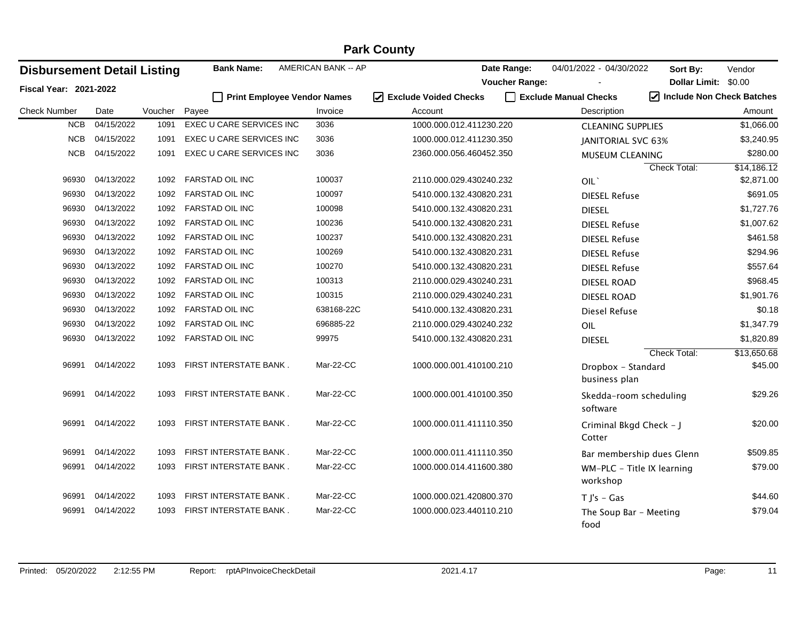| <b>Disbursement Detail Listing</b> |            |         | <b>Bank Name:</b>                  | AMERICAN BANK -- AP | Date Range:                      | 04/01/2022 - 04/30/2022    | Sort By:             | Vendor                    |
|------------------------------------|------------|---------|------------------------------------|---------------------|----------------------------------|----------------------------|----------------------|---------------------------|
| <b>Fiscal Year: 2021-2022</b>      |            |         |                                    |                     | <b>Voucher Range:</b>            |                            | Dollar Limit: \$0.00 |                           |
|                                    |            |         | <b>Print Employee Vendor Names</b> |                     | $\sqrt{ }$ Exclude Voided Checks | Exclude Manual Checks      |                      | Include Non Check Batches |
| <b>Check Number</b>                | Date       | Voucher | Payee                              | Invoice             | Account                          | Description                |                      | Amount                    |
| <b>NCB</b>                         | 04/15/2022 | 1091    | <b>EXEC U CARE SERVICES INC</b>    | 3036                | 1000.000.012.411230.220          | <b>CLEANING SUPPLIES</b>   |                      | \$1,066.00                |
| <b>NCB</b>                         | 04/15/2022 | 1091    | EXEC U CARE SERVICES INC           | 3036                | 1000.000.012.411230.350          | JANITORIAL SVC 63%         |                      | \$3,240.95                |
| <b>NCB</b>                         | 04/15/2022 | 1091    | EXEC U CARE SERVICES INC           | 3036                | 2360.000.056.460452.350          | MUSEUM CLEANING            |                      | \$280.00                  |
|                                    |            |         |                                    |                     |                                  |                            | Check Total:         | \$14,186.12               |
| 96930                              | 04/13/2022 | 1092    | <b>FARSTAD OIL INC</b>             | 100037              | 2110.000.029.430240.232          | OIL'                       |                      | \$2,871.00                |
| 96930                              | 04/13/2022 | 1092    | FARSTAD OIL INC                    | 100097              | 5410.000.132.430820.231          | <b>DIESEL Refuse</b>       |                      | \$691.05                  |
| 96930                              | 04/13/2022 | 1092    | FARSTAD OIL INC                    | 100098              | 5410.000.132.430820.231          | <b>DIESEL</b>              |                      | \$1,727.76                |
| 96930                              | 04/13/2022 | 1092    | FARSTAD OIL INC                    | 100236              | 5410.000.132.430820.231          | <b>DIESEL Refuse</b>       |                      | \$1,007.62                |
| 96930                              | 04/13/2022 | 1092    | <b>FARSTAD OIL INC</b>             | 100237              | 5410.000.132.430820.231          | <b>DIESEL Refuse</b>       |                      | \$461.58                  |
| 96930                              | 04/13/2022 | 1092    | <b>FARSTAD OIL INC</b>             | 100269              | 5410.000.132.430820.231          | <b>DIESEL Refuse</b>       |                      | \$294.96                  |
| 96930                              | 04/13/2022 | 1092    | <b>FARSTAD OIL INC</b>             | 100270              | 5410.000.132.430820.231          | <b>DIESEL Refuse</b>       |                      | \$557.64                  |
| 96930                              | 04/13/2022 | 1092    | <b>FARSTAD OIL INC</b>             | 100313              | 2110.000.029.430240.231          | <b>DIESEL ROAD</b>         |                      | \$968.45                  |
| 96930                              | 04/13/2022 | 1092    | <b>FARSTAD OIL INC</b>             | 100315              | 2110.000.029.430240.231          | <b>DIESEL ROAD</b>         |                      | \$1,901.76                |
| 96930                              | 04/13/2022 | 1092    | FARSTAD OIL INC                    | 638168-22C          | 5410.000.132.430820.231          | Diesel Refuse              |                      | \$0.18                    |
| 96930                              | 04/13/2022 | 1092    | <b>FARSTAD OIL INC</b>             | 696885-22           | 2110.000.029.430240.232          | OIL                        |                      | \$1,347.79                |
| 96930                              | 04/13/2022 | 1092    | FARSTAD OIL INC                    | 99975               | 5410.000.132.430820.231          | <b>DIESEL</b>              |                      | \$1,820.89                |
|                                    |            |         |                                    |                     |                                  |                            | Check Total:         | \$13,650.68               |
| 96991                              | 04/14/2022 | 1093    | FIRST INTERSTATE BANK.             | Mar-22-CC           | 1000.000.001.410100.210          | Dropbox - Standard         |                      | \$45.00                   |
|                                    |            |         |                                    |                     |                                  | business plan              |                      |                           |
| 96991                              | 04/14/2022 | 1093    | FIRST INTERSTATE BANK.             | Mar-22-CC           | 1000.000.001.410100.350          | Skedda-room scheduling     |                      | \$29.26                   |
|                                    |            |         |                                    |                     |                                  | software                   |                      |                           |
| 96991                              | 04/14/2022 | 1093    | FIRST INTERSTATE BANK.             | Mar-22-CC           | 1000.000.011.411110.350          | Criminal Bkgd Check - J    |                      | \$20.00                   |
|                                    |            |         |                                    |                     |                                  | Cotter                     |                      |                           |
| 96991                              | 04/14/2022 | 1093    | FIRST INTERSTATE BANK.             | Mar-22-CC           | 1000.000.011.411110.350          | Bar membership dues Glenn  |                      | \$509.85                  |
| 96991                              | 04/14/2022 | 1093    | FIRST INTERSTATE BANK.             | Mar-22-CC           | 1000.000.014.411600.380          | WM-PLC - Title IX learning |                      | \$79.00                   |
|                                    |            |         |                                    |                     |                                  | workshop                   |                      |                           |
| 96991                              | 04/14/2022 | 1093    | FIRST INTERSTATE BANK.             | Mar-22-CC           | 1000.000.021.420800.370          | $T J's - Gas$              |                      | \$44.60                   |
| 96991                              | 04/14/2022 | 1093    | FIRST INTERSTATE BANK.             | Mar-22-CC           | 1000.000.023.440110.210          | The Soup Bar - Meeting     |                      | \$79.04                   |
|                                    |            |         |                                    |                     |                                  | food                       |                      |                           |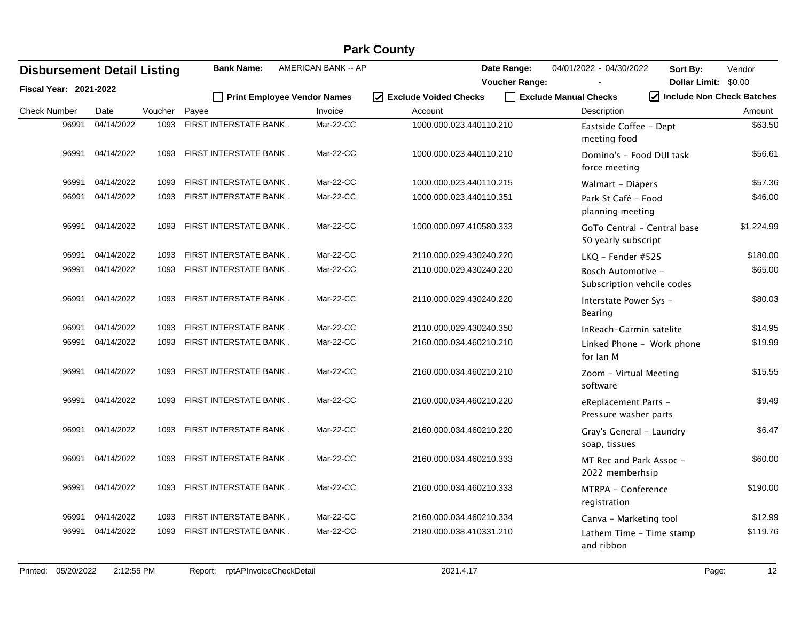| <b>Disbursement Detail Listing</b> |            |         | <b>Bank Name:</b>      | AMERICAN BANK -- AP         |                         | Date Range:           | 04/01/2022 - 04/30/2022                            | Sort By:             | Vendor                                         |
|------------------------------------|------------|---------|------------------------|-----------------------------|-------------------------|-----------------------|----------------------------------------------------|----------------------|------------------------------------------------|
| <b>Fiscal Year: 2021-2022</b>      |            |         |                        |                             |                         | <b>Voucher Range:</b> |                                                    | Dollar Limit: \$0.00 |                                                |
|                                    |            |         |                        | Print Employee Vendor Names | √ Exclude Voided Checks |                       | Exclude Manual Checks                              |                      | $\sqrt{\phantom{a}}$ Include Non Check Batches |
| <b>Check Number</b>                | Date       | Voucher | Payee                  | Invoice                     | Account                 |                       | Description                                        |                      | Amount                                         |
| 96991                              | 04/14/2022 | 1093    | FIRST INTERSTATE BANK. | Mar-22-CC                   | 1000.000.023.440110.210 |                       | Eastside Coffee - Dept<br>meeting food             |                      | \$63.50                                        |
| 96991                              | 04/14/2022 | 1093    | FIRST INTERSTATE BANK. | Mar-22-CC                   | 1000.000.023.440110.210 |                       | Domino's - Food DUI task<br>force meeting          |                      | \$56.61                                        |
| 96991                              | 04/14/2022 | 1093    | FIRST INTERSTATE BANK. | Mar-22-CC                   | 1000.000.023.440110.215 |                       | Walmart - Diapers                                  |                      | \$57.36                                        |
| 96991                              | 04/14/2022 | 1093    | FIRST INTERSTATE BANK. | Mar-22-CC                   | 1000.000.023.440110.351 |                       | Park St Café - Food<br>planning meeting            |                      | \$46.00                                        |
| 96991                              | 04/14/2022 | 1093    | FIRST INTERSTATE BANK. | Mar-22-CC                   | 1000.000.097.410580.333 |                       | GoTo Central - Central base<br>50 yearly subscript |                      | \$1,224.99                                     |
| 96991                              | 04/14/2022 | 1093    | FIRST INTERSTATE BANK. | Mar-22-CC                   | 2110.000.029.430240.220 |                       | LKQ - Fender #525                                  |                      | \$180.00                                       |
| 96991                              | 04/14/2022 | 1093    | FIRST INTERSTATE BANK. | Mar-22-CC                   | 2110.000.029.430240.220 |                       | Bosch Automotive -<br>Subscription vehcile codes   |                      | \$65.00                                        |
| 96991                              | 04/14/2022 | 1093    | FIRST INTERSTATE BANK. | Mar-22-CC                   | 2110.000.029.430240.220 |                       | Interstate Power Sys -<br>Bearing                  |                      | \$80.03                                        |
| 96991                              | 04/14/2022 | 1093    | FIRST INTERSTATE BANK. | Mar-22-CC                   | 2110.000.029.430240.350 |                       | InReach-Garmin satelite                            |                      | \$14.95                                        |
| 96991                              | 04/14/2022 | 1093    | FIRST INTERSTATE BANK. | Mar-22-CC                   | 2160.000.034.460210.210 |                       | Linked Phone - Work phone<br>for lan M             |                      | \$19.99                                        |
| 96991                              | 04/14/2022 | 1093    | FIRST INTERSTATE BANK. | Mar-22-CC                   | 2160.000.034.460210.210 |                       | Zoom - Virtual Meeting<br>software                 |                      | \$15.55                                        |
| 96991                              | 04/14/2022 | 1093    | FIRST INTERSTATE BANK. | Mar-22-CC                   | 2160.000.034.460210.220 |                       | eReplacement Parts -<br>Pressure washer parts      |                      | \$9.49                                         |
| 96991                              | 04/14/2022 | 1093    | FIRST INTERSTATE BANK. | Mar-22-CC                   | 2160.000.034.460210.220 |                       | Gray's General - Laundry<br>soap, tissues          |                      | \$6.47                                         |
| 96991                              | 04/14/2022 | 1093    | FIRST INTERSTATE BANK. | Mar-22-CC                   | 2160.000.034.460210.333 |                       | MT Rec and Park Assoc -<br>2022 memberhsip         |                      | \$60.00                                        |
| 96991                              | 04/14/2022 | 1093    | FIRST INTERSTATE BANK. | Mar-22-CC                   | 2160.000.034.460210.333 |                       | MTRPA - Conference<br>registration                 |                      | \$190.00                                       |
| 96991                              | 04/14/2022 | 1093    | FIRST INTERSTATE BANK. | Mar-22-CC                   | 2160.000.034.460210.334 |                       | Canva - Marketing tool                             |                      | \$12.99                                        |
| 96991                              | 04/14/2022 | 1093    | FIRST INTERSTATE BANK. | Mar-22-CC                   | 2180.000.038.410331.210 |                       | Lathem Time - Time stamp<br>and ribbon             |                      | \$119.76                                       |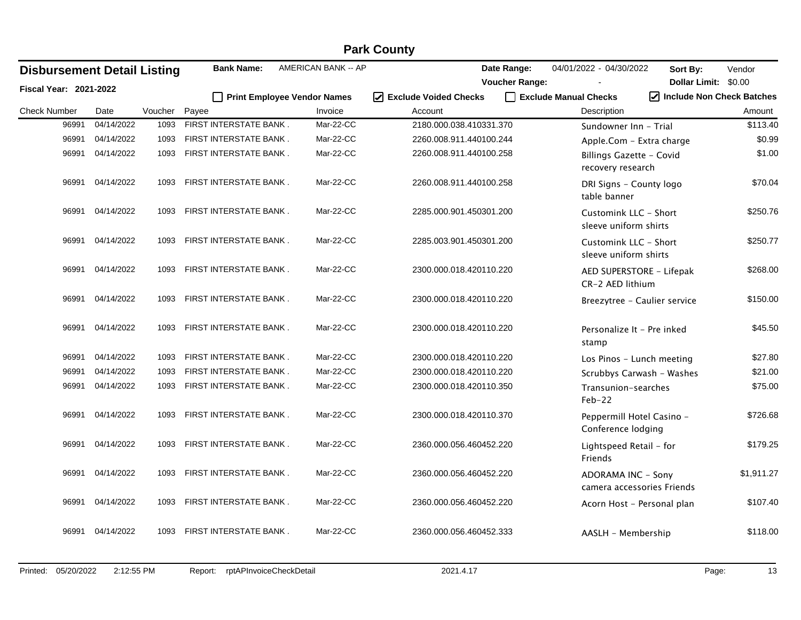|                                    |            |         |       |                        | AMERICAN BANK -- AP         |                         |                                      |                                                  |                                  |            |
|------------------------------------|------------|---------|-------|------------------------|-----------------------------|-------------------------|--------------------------------------|--------------------------------------------------|----------------------------------|------------|
| <b>Disbursement Detail Listing</b> |            |         |       | <b>Bank Name:</b>      |                             |                         | Date Range:<br><b>Voucher Range:</b> | 04/01/2022 - 04/30/2022                          | Sort By:<br>Dollar Limit: \$0.00 | Vendor     |
| Fiscal Year: 2021-2022             |            |         |       |                        | Print Employee Vendor Names | ☑ Exclude Voided Checks |                                      | Exclude Manual Checks                            | Include Non Check Batches        |            |
| <b>Check Number</b>                | Date       | Voucher | Payee |                        | Invoice                     | Account                 |                                      | Description                                      |                                  | Amount     |
| 96991                              | 04/14/2022 | 1093    |       | FIRST INTERSTATE BANK. | Mar-22-CC                   | 2180.000.038.410331.370 |                                      | Sundowner Inn - Trial                            |                                  | \$113.40   |
| 96991                              | 04/14/2022 | 1093    |       | FIRST INTERSTATE BANK. | Mar-22-CC                   | 2260.008.911.440100.244 |                                      | Apple.Com - Extra charge                         |                                  | \$0.99     |
| 96991                              | 04/14/2022 | 1093    |       | FIRST INTERSTATE BANK. | Mar-22-CC                   | 2260.008.911.440100.258 |                                      | Billings Gazette - Covid<br>recovery research    |                                  | \$1.00     |
| 96991                              | 04/14/2022 | 1093    |       | FIRST INTERSTATE BANK. | Mar-22-CC                   | 2260.008.911.440100.258 |                                      | DRI Signs - County logo<br>table banner          |                                  | \$70.04    |
| 96991                              | 04/14/2022 | 1093    |       | FIRST INTERSTATE BANK. | Mar-22-CC                   | 2285.000.901.450301.200 |                                      | Customink LLC - Short<br>sleeve uniform shirts   |                                  | \$250.76   |
| 96991                              | 04/14/2022 | 1093    |       | FIRST INTERSTATE BANK. | Mar-22-CC                   | 2285.003.901.450301.200 |                                      | Customink LLC - Short<br>sleeve uniform shirts   |                                  | \$250.77   |
| 96991                              | 04/14/2022 | 1093    |       | FIRST INTERSTATE BANK. | Mar-22-CC                   | 2300.000.018.420110.220 |                                      | AED SUPERSTORE - Lifepak<br>CR-2 AED lithium     |                                  | \$268.00   |
| 96991                              | 04/14/2022 | 1093    |       | FIRST INTERSTATE BANK. | Mar-22-CC                   | 2300.000.018.420110.220 |                                      | Breezytree - Caulier service                     |                                  | \$150.00   |
| 96991                              | 04/14/2022 | 1093    |       | FIRST INTERSTATE BANK. | Mar-22-CC                   | 2300.000.018.420110.220 |                                      | Personalize It - Pre inked<br>stamp              |                                  | \$45.50    |
| 96991                              | 04/14/2022 | 1093    |       | FIRST INTERSTATE BANK. | Mar-22-CC                   | 2300.000.018.420110.220 |                                      | Los Pinos - Lunch meeting                        |                                  | \$27.80    |
| 96991                              | 04/14/2022 | 1093    |       | FIRST INTERSTATE BANK. | Mar-22-CC                   | 2300.000.018.420110.220 |                                      | Scrubbys Carwash - Washes                        |                                  | \$21.00    |
| 96991                              | 04/14/2022 | 1093    |       | FIRST INTERSTATE BANK. | Mar-22-CC                   | 2300.000.018.420110.350 |                                      | Transunion-searches<br>$Feb-22$                  |                                  | \$75.00    |
| 96991                              | 04/14/2022 | 1093    |       | FIRST INTERSTATE BANK. | Mar-22-CC                   | 2300.000.018.420110.370 |                                      | Peppermill Hotel Casino -<br>Conference lodging  |                                  | \$726.68   |
| 96991                              | 04/14/2022 | 1093    |       | FIRST INTERSTATE BANK. | Mar-22-CC                   | 2360.000.056.460452.220 |                                      | Lightspeed Retail - for<br>Friends               |                                  | \$179.25   |
| 96991                              | 04/14/2022 | 1093    |       | FIRST INTERSTATE BANK. | Mar-22-CC                   | 2360.000.056.460452.220 |                                      | ADORAMA INC - Sony<br>camera accessories Friends |                                  | \$1,911.27 |
| 96991                              | 04/14/2022 | 1093    |       | FIRST INTERSTATE BANK. | Mar-22-CC                   | 2360.000.056.460452.220 |                                      | Acorn Host - Personal plan                       |                                  | \$107.40   |
| 96991                              | 04/14/2022 | 1093    |       | FIRST INTERSTATE BANK. | Mar-22-CC                   | 2360.000.056.460452.333 |                                      | AASLH - Membership                               |                                  | \$118.00   |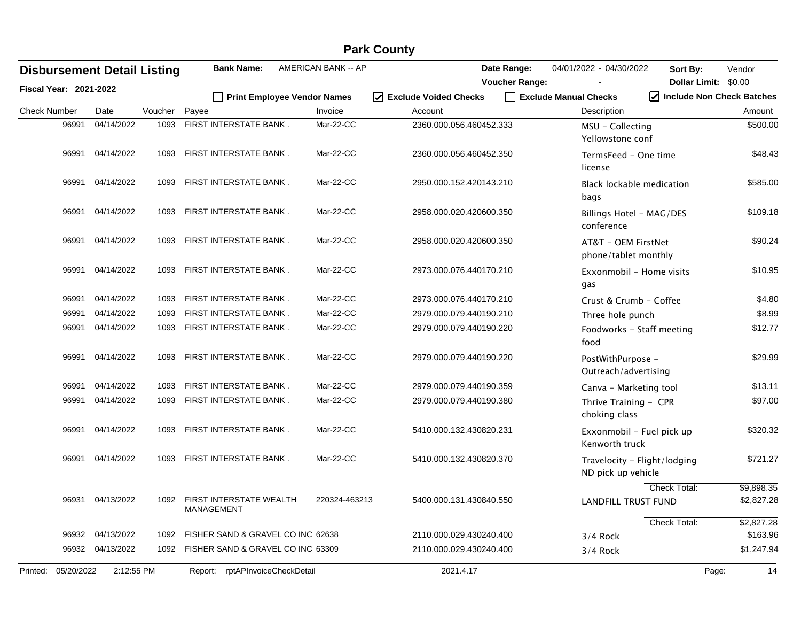|                     |                               |                                    |         |                                            |                     | <b>Park County</b>      |                       |                                                    |                           |                          |
|---------------------|-------------------------------|------------------------------------|---------|--------------------------------------------|---------------------|-------------------------|-----------------------|----------------------------------------------------|---------------------------|--------------------------|
|                     |                               | <b>Disbursement Detail Listing</b> |         | <b>Bank Name:</b>                          | AMERICAN BANK -- AP |                         | Date Range:           | 04/01/2022 - 04/30/2022                            | Sort By:                  | Vendor                   |
|                     | <b>Fiscal Year: 2021-2022</b> |                                    |         |                                            |                     |                         | <b>Voucher Range:</b> |                                                    | <b>Dollar Limit:</b>      | \$0.00                   |
|                     |                               |                                    |         | <b>Print Employee Vendor Names</b>         |                     | I Exclude Voided Checks |                       | Exclude Manual Checks                              | Include Non Check Batches |                          |
| <b>Check Number</b> |                               | Date                               | Voucher | Payee                                      | Invoice             | Account                 |                       | Description                                        |                           | Amount                   |
|                     | 96991                         | 04/14/2022                         | 1093    | FIRST INTERSTATE BANK.                     | Mar-22-CC           | 2360.000.056.460452.333 |                       | MSU - Collecting<br>Yellowstone conf               |                           | \$500.00                 |
|                     | 96991                         | 04/14/2022                         | 1093    | FIRST INTERSTATE BANK.                     | Mar-22-CC           | 2360.000.056.460452.350 |                       | TermsFeed - One time<br>license                    |                           | \$48.43                  |
|                     | 96991                         | 04/14/2022                         | 1093    | FIRST INTERSTATE BANK.                     | Mar-22-CC           | 2950.000.152.420143.210 |                       | <b>Black lockable medication</b><br>bags           |                           | \$585.00                 |
|                     | 96991                         | 04/14/2022                         | 1093    | FIRST INTERSTATE BANK.                     | Mar-22-CC           | 2958.000.020.420600.350 |                       | Billings Hotel - MAG/DES<br>conference             |                           | \$109.18                 |
|                     | 96991                         | 04/14/2022                         | 1093    | FIRST INTERSTATE BANK.                     | Mar-22-CC           | 2958.000.020.420600.350 |                       | AT&T - OEM FirstNet<br>phone/tablet monthly        |                           | \$90.24                  |
|                     | 96991                         | 04/14/2022                         | 1093    | FIRST INTERSTATE BANK.                     | Mar-22-CC           | 2973.000.076.440170.210 |                       | Exxonmobil - Home visits<br>gas                    |                           | \$10.95                  |
|                     | 96991                         | 04/14/2022                         | 1093    | FIRST INTERSTATE BANK.                     | Mar-22-CC           | 2973.000.076.440170.210 |                       | Crust & Crumb - Coffee                             |                           | \$4.80                   |
|                     | 96991                         | 04/14/2022                         | 1093    | FIRST INTERSTATE BANK.                     | Mar-22-CC           | 2979.000.079.440190.210 |                       | Three hole punch                                   |                           | \$8.99                   |
|                     | 96991                         | 04/14/2022                         | 1093    | FIRST INTERSTATE BANK.                     | Mar-22-CC           | 2979.000.079.440190.220 |                       | Foodworks - Staff meeting<br>food                  |                           | \$12.77                  |
|                     | 96991                         | 04/14/2022                         | 1093    | FIRST INTERSTATE BANK.                     | Mar-22-CC           | 2979.000.079.440190.220 |                       | PostWithPurpose -<br>Outreach/advertising          |                           | \$29.99                  |
|                     | 96991                         | 04/14/2022                         | 1093    | FIRST INTERSTATE BANK.                     | Mar-22-CC           | 2979.000.079.440190.359 |                       | Canva - Marketing tool                             |                           | \$13.11                  |
|                     | 96991                         | 04/14/2022                         | 1093    | FIRST INTERSTATE BANK.                     | Mar-22-CC           | 2979.000.079.440190.380 |                       | Thrive Training - CPR<br>choking class             |                           | \$97.00                  |
|                     | 96991                         | 04/14/2022                         | 1093    | FIRST INTERSTATE BANK.                     | Mar-22-CC           | 5410.000.132.430820.231 |                       | Exxonmobil - Fuel pick up<br>Kenworth truck        |                           | \$320.32                 |
|                     | 96991                         | 04/14/2022                         | 1093    | FIRST INTERSTATE BANK.                     | Mar-22-CC           | 5410.000.132.430820.370 |                       | Travelocity - Flight/lodging<br>ND pick up vehicle |                           | \$721.27                 |
|                     |                               | 96931 04/13/2022                   |         | 1092 FIRST INTERSTATE WEALTH<br>MANAGEMENT | 220324-463213       | 5400.000.131.430840.550 |                       | <b>LANDFILL TRUST FUND</b>                         | Check Total:              | \$9,898.35<br>\$2,827.28 |
|                     | 96932                         | 04/13/2022                         | 1092    | FISHER SAND & GRAVEL CO INC 62638          |                     | 2110.000.029.430240.400 |                       | $3/4$ Rock                                         | Check Total:              | \$2,827.28<br>\$163.96   |
|                     | 96932                         | 04/13/2022                         | 1092    | FISHER SAND & GRAVEL CO INC 63309          |                     | 2110.000.029.430240.400 |                       | $3/4$ Rock                                         |                           | \$1,247.94               |
| Printed:            | 05/20/2022                    | 2:12:55 PM                         |         | Report: rptAPInvoiceCheckDetail            |                     | 2021.4.17               |                       |                                                    | Page:                     | 14                       |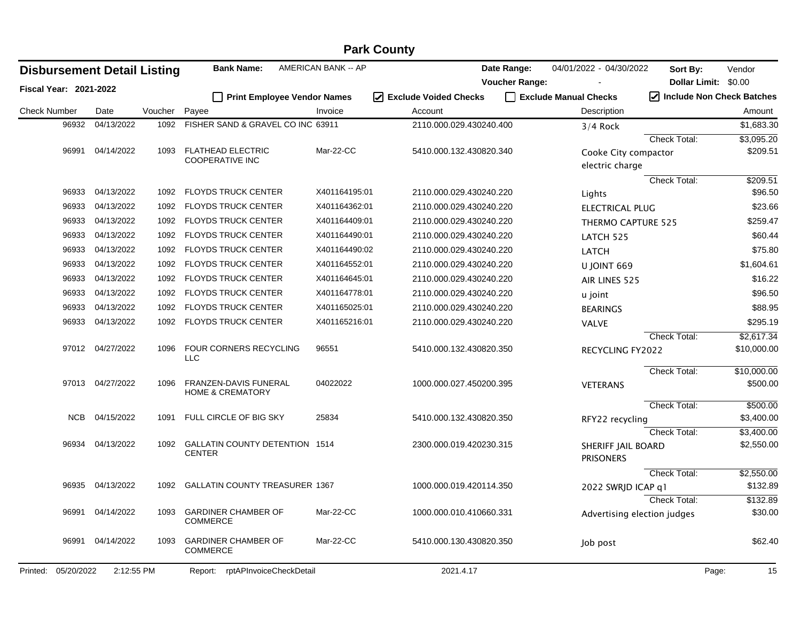|                               | <b>Park County</b> |                                    |         |                                                      |                            |                                 |                       |                                         |                                     |                          |  |
|-------------------------------|--------------------|------------------------------------|---------|------------------------------------------------------|----------------------------|---------------------------------|-----------------------|-----------------------------------------|-------------------------------------|--------------------------|--|
|                               |                    | <b>Disbursement Detail Listing</b> |         | <b>Bank Name:</b>                                    | <b>AMERICAN BANK -- AP</b> |                                 | Date Range:           | 04/01/2022 - 04/30/2022                 | Sort By:                            | Vendor                   |  |
| <b>Fiscal Year: 2021-2022</b> |                    |                                    |         |                                                      |                            |                                 | <b>Voucher Range:</b> |                                         | Dollar Limit: \$0.00                |                          |  |
|                               |                    |                                    |         | <b>Print Employee Vendor Names</b>                   |                            | $\sqrt{}$ Exclude Voided Checks |                       | Exclude Manual Checks                   | $\sqrt{}$ Include Non Check Batches |                          |  |
| <b>Check Number</b>           |                    | Date                               | Voucher | Payee                                                | Invoice                    | Account                         |                       | Description                             |                                     | Amount                   |  |
|                               | 96932              | 04/13/2022                         | 1092    | FISHER SAND & GRAVEL CO INC 63911                    |                            | 2110.000.029.430240.400         |                       | $3/4$ Rock                              |                                     | \$1,683.30               |  |
|                               |                    |                                    |         |                                                      |                            |                                 |                       |                                         | Check Total:                        | \$3,095.20               |  |
|                               | 96991              | 04/14/2022                         | 1093    | <b>FLATHEAD ELECTRIC</b><br><b>COOPERATIVE INC</b>   | Mar-22-CC                  | 5410.000.132.430820.340         |                       | Cooke City compactor<br>electric charge |                                     | \$209.51                 |  |
|                               |                    |                                    |         |                                                      |                            |                                 |                       |                                         | Check Total:                        | \$209.51                 |  |
|                               | 96933              | 04/13/2022                         | 1092    | <b>FLOYDS TRUCK CENTER</b>                           | X401164195:01              | 2110.000.029.430240.220         |                       | Lights                                  |                                     | \$96.50                  |  |
|                               | 96933              | 04/13/2022                         | 1092    | FLOYDS TRUCK CENTER                                  | X401164362:01              | 2110.000.029.430240.220         |                       | <b>ELECTRICAL PLUG</b>                  |                                     | \$23.66                  |  |
|                               | 96933              | 04/13/2022                         | 1092    | <b>FLOYDS TRUCK CENTER</b>                           | X401164409:01              | 2110.000.029.430240.220         |                       | <b>THERMO CAPTURE 525</b>               |                                     | \$259.47                 |  |
|                               | 96933              | 04/13/2022                         | 1092    | <b>FLOYDS TRUCK CENTER</b>                           | X401164490:01              | 2110.000.029.430240.220         |                       | LATCH 525                               |                                     | \$60.44                  |  |
|                               | 96933              | 04/13/2022                         | 1092    | <b>FLOYDS TRUCK CENTER</b>                           | X401164490:02              | 2110.000.029.430240.220         |                       | <b>LATCH</b>                            |                                     | \$75.80                  |  |
|                               | 96933              | 04/13/2022                         | 1092    | <b>FLOYDS TRUCK CENTER</b>                           | X401164552:01              | 2110.000.029.430240.220         |                       | U JOINT 669                             |                                     | \$1,604.61               |  |
|                               | 96933              | 04/13/2022                         | 1092    | <b>FLOYDS TRUCK CENTER</b>                           | X401164645:01              | 2110.000.029.430240.220         |                       | AIR LINES 525                           |                                     | \$16.22                  |  |
|                               | 96933              | 04/13/2022                         | 1092    | <b>FLOYDS TRUCK CENTER</b>                           | X401164778:01              | 2110.000.029.430240.220         |                       | u joint                                 |                                     | \$96.50                  |  |
|                               | 96933              | 04/13/2022                         | 1092    | <b>FLOYDS TRUCK CENTER</b>                           | X401165025:01              | 2110.000.029.430240.220         |                       | <b>BEARINGS</b>                         |                                     | \$88.95                  |  |
|                               | 96933              | 04/13/2022                         | 1092    | FLOYDS TRUCK CENTER                                  | X401165216:01              | 2110.000.029.430240.220         |                       | <b>VALVE</b>                            |                                     | \$295.19                 |  |
|                               |                    |                                    |         |                                                      |                            |                                 |                       |                                         | <b>Check Total:</b>                 | \$2,617.34               |  |
|                               |                    | 97012 04/27/2022                   | 1096    | FOUR CORNERS RECYCLING<br><b>LLC</b>                 | 96551                      | 5410.000.132.430820.350         |                       | <b>RECYCLING FY2022</b>                 |                                     | \$10,000.00              |  |
|                               |                    |                                    |         |                                                      |                            |                                 |                       |                                         | Check Total:                        | \$10,000.00              |  |
|                               | 97013              | 04/27/2022                         | 1096    | FRANZEN-DAVIS FUNERAL<br><b>HOME &amp; CREMATORY</b> | 04022022                   | 1000.000.027.450200.395         |                       | <b>VETERANS</b>                         |                                     | \$500.00                 |  |
|                               | <b>NCB</b>         | 04/15/2022                         | 1091    | FULL CIRCLE OF BIG SKY                               | 25834                      |                                 |                       |                                         | Check Total:                        | \$500.00                 |  |
|                               |                    |                                    |         |                                                      |                            | 5410.000.132.430820.350         |                       | RFY22 recycling                         |                                     | \$3,400.00               |  |
|                               | 96934              | 04/13/2022                         | 1092    | GALLATIN COUNTY DETENTION 1514<br><b>CENTER</b>      |                            | 2300.000.019.420230.315         |                       | SHERIFF JAIL BOARD<br><b>PRISONERS</b>  | Check Total:                        | \$3,400.00<br>\$2,550.00 |  |
|                               |                    |                                    |         |                                                      |                            |                                 |                       |                                         | Check Total:                        | \$2,550.00               |  |
|                               | 96935              | 04/13/2022                         | 1092    | <b>GALLATIN COUNTY TREASURER 1367</b>                |                            | 1000.000.019.420114.350         |                       | 2022 SWRJD ICAP q1                      |                                     | \$132.89                 |  |
|                               |                    |                                    |         |                                                      |                            |                                 |                       |                                         | <b>Check Total:</b>                 | \$132.89                 |  |
|                               | 96991              | 04/14/2022                         | 1093    | <b>GARDINER CHAMBER OF</b><br><b>COMMERCE</b>        | Mar-22-CC                  | 1000.000.010.410660.331         |                       | Advertising election judges             |                                     | \$30.00                  |  |
|                               | 96991              | 04/14/2022                         | 1093    | <b>GARDINER CHAMBER OF</b><br><b>COMMERCE</b>        | Mar-22-CC                  | 5410.000.130.430820.350         |                       | Job post                                |                                     | \$62.40                  |  |
| Printed:                      | 05/20/2022         | 2:12:55 PM                         |         | Report: rptAPInvoiceCheckDetail                      |                            | 2021.4.17                       |                       |                                         | Page:                               | 15                       |  |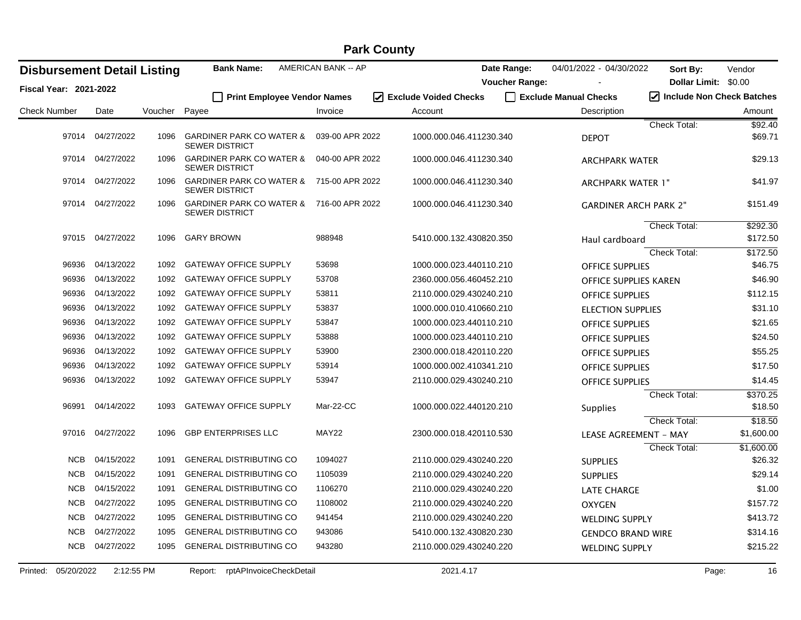| <b>Disbursement Detail Listing</b> |                  |         | <b>Bank Name:</b>                                                 | AMERICAN BANK -- AP |                         | Date Range:           | 04/01/2022 - 04/30/2022      | Sort By:                    | Vendor     |
|------------------------------------|------------------|---------|-------------------------------------------------------------------|---------------------|-------------------------|-----------------------|------------------------------|-----------------------------|------------|
| <b>Fiscal Year: 2021-2022</b>      |                  |         |                                                                   |                     |                         | <b>Voucher Range:</b> |                              | Dollar Limit: \$0.00        |            |
|                                    |                  |         | <b>Print Employee Vendor Names</b>                                |                     | √ Exclude Voided Checks |                       | Exclude Manual Checks        | I Include Non Check Batches |            |
| <b>Check Number</b>                | Date             | Voucher | Payee                                                             | Invoice             | Account                 |                       | Description                  |                             | Amount     |
|                                    |                  |         |                                                                   |                     |                         |                       |                              | <b>Check Total:</b>         | \$92.40    |
|                                    | 97014 04/27/2022 | 1096    | <b>GARDINER PARK CO WATER &amp;</b><br><b>SEWER DISTRICT</b>      | 039-00 APR 2022     | 1000.000.046.411230.340 |                       | <b>DEPOT</b>                 |                             | \$69.71    |
| 97014                              | 04/27/2022       | 1096    | <b>GARDINER PARK CO WATER &amp;</b><br><b>SEWER DISTRICT</b>      | 040-00 APR 2022     | 1000.000.046.411230.340 |                       | <b>ARCHPARK WATER</b>        |                             | \$29.13    |
| 97014                              | 04/27/2022       | 1096    | <b>GARDINER PARK CO WATER &amp;</b><br><b>SEWER DISTRICT</b>      | 715-00 APR 2022     | 1000.000.046.411230.340 |                       | <b>ARCHPARK WATER 1"</b>     |                             | \$41.97    |
|                                    | 97014 04/27/2022 | 1096    | GARDINER PARK CO WATER & 716-00 APR 2022<br><b>SEWER DISTRICT</b> |                     | 1000.000.046.411230.340 |                       | <b>GARDINER ARCH PARK 2"</b> |                             | \$151.49   |
|                                    |                  |         |                                                                   |                     |                         |                       |                              | <b>Check Total:</b>         | \$292.30   |
|                                    | 97015 04/27/2022 | 1096    | <b>GARY BROWN</b>                                                 | 988948              | 5410.000.132.430820.350 |                       | Haul cardboard               |                             | \$172.50   |
|                                    |                  |         |                                                                   |                     |                         |                       |                              | Check Total:                | \$172.50   |
| 96936                              | 04/13/2022       | 1092    | <b>GATEWAY OFFICE SUPPLY</b>                                      | 53698               | 1000.000.023.440110.210 |                       | <b>OFFICE SUPPLIES</b>       |                             | \$46.75    |
| 96936                              | 04/13/2022       | 1092    | <b>GATEWAY OFFICE SUPPLY</b>                                      | 53708               | 2360.000.056.460452.210 |                       | OFFICE SUPPLIES KAREN        |                             | \$46.90    |
| 96936                              | 04/13/2022       | 1092    | <b>GATEWAY OFFICE SUPPLY</b>                                      | 53811               | 2110.000.029.430240.210 |                       | <b>OFFICE SUPPLIES</b>       |                             | \$112.15   |
| 96936                              | 04/13/2022       | 1092    | <b>GATEWAY OFFICE SUPPLY</b>                                      | 53837               | 1000.000.010.410660.210 |                       | <b>ELECTION SUPPLIES</b>     |                             | \$31.10    |
| 96936                              | 04/13/2022       | 1092    | <b>GATEWAY OFFICE SUPPLY</b>                                      | 53847               | 1000.000.023.440110.210 |                       | <b>OFFICE SUPPLIES</b>       |                             | \$21.65    |
| 96936                              | 04/13/2022       | 1092    | <b>GATEWAY OFFICE SUPPLY</b>                                      | 53888               | 1000.000.023.440110.210 |                       | <b>OFFICE SUPPLIES</b>       |                             | \$24.50    |
| 96936                              | 04/13/2022       | 1092    | <b>GATEWAY OFFICE SUPPLY</b>                                      | 53900               | 2300.000.018.420110.220 |                       | <b>OFFICE SUPPLIES</b>       |                             | \$55.25    |
| 96936                              | 04/13/2022       | 1092    | <b>GATEWAY OFFICE SUPPLY</b>                                      | 53914               | 1000.000.002.410341.210 |                       | <b>OFFICE SUPPLIES</b>       |                             | \$17.50    |
| 96936                              | 04/13/2022       | 1092    | <b>GATEWAY OFFICE SUPPLY</b>                                      | 53947               | 2110.000.029.430240.210 |                       | <b>OFFICE SUPPLIES</b>       |                             | \$14.45    |
|                                    |                  |         |                                                                   |                     |                         |                       |                              | Check Total:                | \$370.25   |
| 96991                              | 04/14/2022       | 1093    | <b>GATEWAY OFFICE SUPPLY</b>                                      | Mar-22-CC           | 1000.000.022.440120.210 |                       | <b>Supplies</b>              |                             | \$18.50    |
|                                    |                  |         |                                                                   |                     |                         |                       |                              | Check Total:                | \$18.50    |
| 97016                              | 04/27/2022       | 1096    | <b>GBP ENTERPRISES LLC</b>                                        | MAY22               | 2300.000.018.420110.530 |                       | <b>LEASE AGREEMENT - MAY</b> |                             | \$1,600.00 |
|                                    |                  |         |                                                                   |                     |                         |                       |                              | Check Total:                | \$1,600.00 |
| NCB                                | 04/15/2022       | 1091    | <b>GENERAL DISTRIBUTING CO</b>                                    | 1094027             | 2110.000.029.430240.220 |                       | <b>SUPPLIES</b>              |                             | \$26.32    |
| <b>NCB</b>                         | 04/15/2022       | 1091    | <b>GENERAL DISTRIBUTING CO</b>                                    | 1105039             | 2110.000.029.430240.220 |                       | <b>SUPPLIES</b>              |                             | \$29.14    |
| <b>NCB</b>                         | 04/15/2022       | 1091    | <b>GENERAL DISTRIBUTING CO</b>                                    | 1106270             | 2110.000.029.430240.220 |                       | <b>LATE CHARGE</b>           |                             | \$1.00     |
| <b>NCB</b>                         | 04/27/2022       | 1095    | <b>GENERAL DISTRIBUTING CO</b>                                    | 1108002             | 2110.000.029.430240.220 |                       | <b>OXYGEN</b>                |                             | \$157.72   |
| <b>NCB</b>                         | 04/27/2022       | 1095    | <b>GENERAL DISTRIBUTING CO</b>                                    | 941454              | 2110.000.029.430240.220 |                       | <b>WELDING SUPPLY</b>        |                             | \$413.72   |
| <b>NCB</b>                         | 04/27/2022       | 1095    | <b>GENERAL DISTRIBUTING CO</b>                                    | 943086              | 5410.000.132.430820.230 |                       | <b>GENDCO BRAND WIRE</b>     |                             | \$314.16   |
| <b>NCB</b>                         | 04/27/2022       | 1095    | <b>GENERAL DISTRIBUTING CO</b>                                    | 943280              | 2110.000.029.430240.220 |                       | WELDING SUPPLY               |                             | \$215.22   |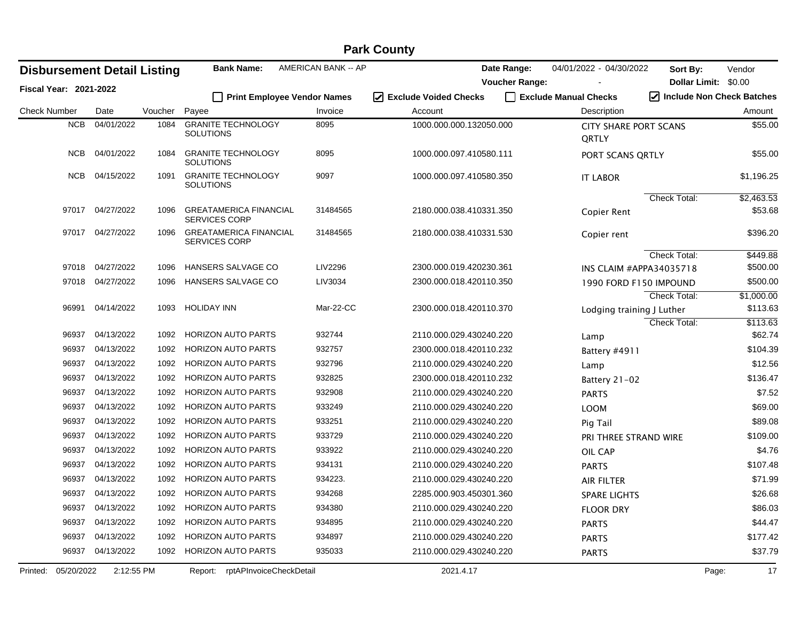| <b>Disbursement Detail Listing</b> |                  |            |         | <b>Bank Name:</b>                                     | AMERICAN BANK -- AP         |                         | Date Range:           | 04/01/2022 - 04/30/2022               | Sort By:            | Vendor                    |
|------------------------------------|------------------|------------|---------|-------------------------------------------------------|-----------------------------|-------------------------|-----------------------|---------------------------------------|---------------------|---------------------------|
| <b>Fiscal Year: 2021-2022</b>      |                  |            |         |                                                       |                             |                         | <b>Voucher Range:</b> |                                       |                     | Dollar Limit: \$0.00      |
|                                    |                  |            |         |                                                       | Print Employee Vendor Names | ☑ Exclude Voided Checks |                       | Exclude Manual Checks                 |                     | Include Non Check Batches |
| <b>Check Number</b>                | Date             |            | Voucher | Payee                                                 | Invoice                     | Account                 |                       | Description                           |                     | Amount                    |
|                                    | <b>NCB</b>       | 04/01/2022 | 1084    | <b>GRANITE TECHNOLOGY</b><br><b>SOLUTIONS</b>         | 8095                        | 1000.000.000.132050.000 |                       | <b>CITY SHARE PORT SCANS</b><br>QRTLY |                     | \$55.00                   |
|                                    | <b>NCB</b>       | 04/01/2022 | 1084    | <b>GRANITE TECHNOLOGY</b><br>SOLUTIONS                | 8095                        | 1000.000.097.410580.111 |                       | PORT SCANS ORTLY                      |                     | \$55.00                   |
|                                    | NCB              | 04/15/2022 | 1091    | <b>GRANITE TECHNOLOGY</b><br>SOLUTIONS                | 9097                        | 1000.000.097.410580.350 |                       | <b>IT LABOR</b>                       |                     | \$1,196.25                |
|                                    |                  |            |         |                                                       |                             |                         |                       |                                       | Check Total:        | \$2,463.53                |
|                                    | 97017 04/27/2022 |            | 1096    | <b>GREATAMERICA FINANCIAL</b><br><b>SERVICES CORP</b> | 31484565                    | 2180.000.038.410331.350 |                       | Copier Rent                           |                     | \$53.68                   |
|                                    | 97017            | 04/27/2022 | 1096    | <b>GREATAMERICA FINANCIAL</b><br>SERVICES CORP        | 31484565                    | 2180.000.038.410331.530 |                       | Copier rent                           |                     | \$396.20                  |
|                                    |                  |            |         |                                                       |                             |                         |                       |                                       | <b>Check Total:</b> | \$449.88                  |
|                                    | 97018            | 04/27/2022 | 1096    | <b>HANSERS SALVAGE CO</b>                             | LIV2296                     | 2300.000.019.420230.361 |                       | INS CLAIM #APPA34035718               |                     | \$500.00                  |
|                                    | 97018            | 04/27/2022 | 1096    | HANSERS SALVAGE CO                                    | LIV3034                     | 2300.000.018.420110.350 |                       | 1990 FORD F150 IMPOUND                |                     | \$500.00                  |
|                                    |                  |            |         |                                                       |                             |                         |                       |                                       | <b>Check Total:</b> | \$1,000.00                |
|                                    | 96991            | 04/14/2022 | 1093    | <b>HOLIDAY INN</b>                                    | Mar-22-CC                   | 2300.000.018.420110.370 |                       | Lodging training J Luther             |                     | \$113.63                  |
|                                    |                  |            |         |                                                       |                             |                         |                       |                                       | <b>Check Total:</b> | \$113.63                  |
|                                    | 96937            | 04/13/2022 | 1092    | <b>HORIZON AUTO PARTS</b>                             | 932744                      | 2110.000.029.430240.220 |                       | Lamp                                  |                     | \$62.74                   |
|                                    | 96937            | 04/13/2022 | 1092    | <b>HORIZON AUTO PARTS</b>                             | 932757                      | 2300.000.018.420110.232 |                       | Battery #4911                         |                     | \$104.39                  |
|                                    | 96937            | 04/13/2022 | 1092    | <b>HORIZON AUTO PARTS</b>                             | 932796                      | 2110.000.029.430240.220 |                       | Lamp                                  |                     | \$12.56                   |
|                                    | 96937            | 04/13/2022 | 1092    | <b>HORIZON AUTO PARTS</b>                             | 932825                      | 2300.000.018.420110.232 |                       | Battery 21-02                         |                     | \$136.47                  |
|                                    | 96937            | 04/13/2022 | 1092    | <b>HORIZON AUTO PARTS</b>                             | 932908                      | 2110.000.029.430240.220 |                       | <b>PARTS</b>                          |                     | \$7.52                    |
|                                    | 96937            | 04/13/2022 | 1092    | <b>HORIZON AUTO PARTS</b>                             | 933249                      | 2110.000.029.430240.220 |                       | <b>LOOM</b>                           |                     | \$69.00                   |
|                                    | 96937            | 04/13/2022 | 1092    | <b>HORIZON AUTO PARTS</b>                             | 933251                      | 2110.000.029.430240.220 |                       | Pig Tail                              |                     | \$89.08                   |
|                                    | 96937            | 04/13/2022 | 1092    | <b>HORIZON AUTO PARTS</b>                             | 933729                      | 2110.000.029.430240.220 |                       | <b>PRI THREE STRAND WIRE</b>          |                     | \$109.00                  |
|                                    | 96937            | 04/13/2022 | 1092    | <b>HORIZON AUTO PARTS</b>                             | 933922                      | 2110.000.029.430240.220 |                       | OIL CAP                               |                     | \$4.76                    |
|                                    | 96937            | 04/13/2022 | 1092    | <b>HORIZON AUTO PARTS</b>                             | 934131                      | 2110.000.029.430240.220 |                       | <b>PARTS</b>                          |                     | \$107.48                  |
|                                    | 96937            | 04/13/2022 | 1092    | <b>HORIZON AUTO PARTS</b>                             | 934223.                     | 2110.000.029.430240.220 |                       | <b>AIR FILTER</b>                     |                     | \$71.99                   |
|                                    | 96937            | 04/13/2022 | 1092    | <b>HORIZON AUTO PARTS</b>                             | 934268                      | 2285.000.903.450301.360 |                       | <b>SPARE LIGHTS</b>                   |                     | \$26.68                   |
|                                    | 96937            | 04/13/2022 | 1092    | <b>HORIZON AUTO PARTS</b>                             | 934380                      | 2110.000.029.430240.220 |                       | <b>FLOOR DRY</b>                      |                     | \$86.03                   |
|                                    | 96937            | 04/13/2022 | 1092    | HORIZON AUTO PARTS                                    | 934895                      | 2110.000.029.430240.220 |                       | <b>PARTS</b>                          |                     | \$44.47                   |
|                                    | 96937            | 04/13/2022 | 1092    | <b>HORIZON AUTO PARTS</b>                             | 934897                      | 2110.000.029.430240.220 |                       | <b>PARTS</b>                          |                     | \$177.42                  |
|                                    | 96937            | 04/13/2022 | 1092    | <b>HORIZON AUTO PARTS</b>                             | 935033                      | 2110.000.029.430240.220 |                       | <b>PARTS</b>                          |                     | \$37.79                   |
| Printed:                           | 05/20/2022       | 2:12:55 PM |         | Report: rptAPInvoiceCheckDetail                       |                             | 2021.4.17               |                       |                                       |                     | 17<br>Page:               |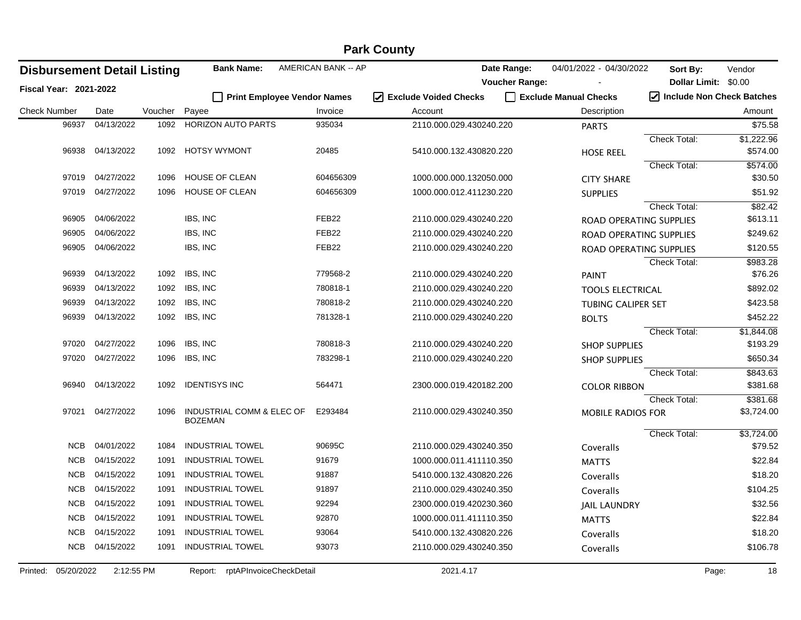| <b>Disbursement Detail Listing</b> |                  |         | <b>Bank Name:</b>                           | AMERICAN BANK -- AP |                                  | Date Range:           | 04/01/2022 - 04/30/2022   | Sort By:                  | Vendor     |
|------------------------------------|------------------|---------|---------------------------------------------|---------------------|----------------------------------|-----------------------|---------------------------|---------------------------|------------|
| <b>Fiscal Year: 2021-2022</b>      |                  |         |                                             |                     |                                  | <b>Voucher Range:</b> |                           | Dollar Limit: \$0.00      |            |
|                                    |                  |         | Print Employee Vendor Names                 |                     | $\sqrt{ }$ Exclude Voided Checks |                       | Exclude Manual Checks     | Include Non Check Batches |            |
| <b>Check Number</b>                | Date             | Voucher | Payee                                       | Invoice             | Account                          |                       | Description               |                           | Amount     |
| 96937                              | 04/13/2022       | 1092    | <b>HORIZON AUTO PARTS</b>                   | 935034              | 2110.000.029.430240.220          |                       | <b>PARTS</b>              |                           | \$75.58    |
|                                    |                  |         |                                             |                     |                                  |                       |                           | Check Total:              | \$1,222.96 |
| 96938                              | 04/13/2022       | 1092    | <b>HOTSY WYMONT</b>                         | 20485               | 5410.000.132.430820.220          |                       | <b>HOSE REEL</b>          |                           | \$574.00   |
|                                    |                  |         |                                             |                     |                                  |                       |                           | <b>Check Total:</b>       | \$574.00   |
|                                    | 97019 04/27/2022 | 1096    | HOUSE OF CLEAN                              | 604656309           | 1000.000.000.132050.000          |                       | <b>CITY SHARE</b>         |                           | \$30.50    |
|                                    | 97019 04/27/2022 | 1096    | <b>HOUSE OF CLEAN</b>                       | 604656309           | 1000.000.012.411230.220          |                       | <b>SUPPLIES</b>           |                           | \$51.92    |
|                                    |                  |         |                                             |                     |                                  |                       |                           | <b>Check Total:</b>       | \$82.42    |
| 96905                              | 04/06/2022       |         | IBS, INC                                    | FEB <sub>22</sub>   | 2110.000.029.430240.220          |                       | ROAD OPERATING SUPPLIES   |                           | \$613.11   |
| 96905                              | 04/06/2022       |         | IBS, INC                                    | FEB <sub>22</sub>   | 2110.000.029.430240.220          |                       | ROAD OPERATING SUPPLIES   |                           | \$249.62   |
| 96905                              | 04/06/2022       |         | IBS, INC                                    | FEB <sub>22</sub>   | 2110.000.029.430240.220          |                       | ROAD OPERATING SUPPLIES   |                           | \$120.55   |
|                                    |                  |         |                                             |                     |                                  |                       |                           | Check Total:              | \$983.28   |
| 96939                              | 04/13/2022       | 1092    | IBS, INC                                    | 779568-2            | 2110.000.029.430240.220          |                       | <b>PAINT</b>              |                           | \$76.26    |
| 96939                              | 04/13/2022       | 1092    | IBS, INC                                    | 780818-1            | 2110.000.029.430240.220          |                       | <b>TOOLS ELECTRICAL</b>   |                           | \$892.02   |
| 96939                              | 04/13/2022       | 1092    | IBS, INC                                    | 780818-2            | 2110.000.029.430240.220          |                       | <b>TUBING CALIPER SET</b> |                           | \$423.58   |
| 96939                              | 04/13/2022       | 1092    | IBS, INC                                    | 781328-1            | 2110.000.029.430240.220          |                       | <b>BOLTS</b>              |                           | \$452.22   |
|                                    |                  |         |                                             |                     |                                  |                       |                           | Check Total:              | \$1,844.08 |
| 97020                              | 04/27/2022       | 1096    | IBS, INC                                    | 780818-3            | 2110.000.029.430240.220          |                       | <b>SHOP SUPPLIES</b>      |                           | \$193.29   |
| 97020                              | 04/27/2022       | 1096    | IBS, INC                                    | 783298-1            | 2110.000.029.430240.220          |                       | <b>SHOP SUPPLIES</b>      |                           | \$650.34   |
|                                    |                  |         |                                             |                     |                                  |                       |                           | Check Total:              | \$843.63   |
| 96940                              | 04/13/2022       | 1092    | <b>IDENTISYS INC</b>                        | 564471              | 2300.000.019.420182.200          |                       | <b>COLOR RIBBON</b>       |                           | \$381.68   |
|                                    |                  |         |                                             |                     |                                  |                       |                           | Check Total:              | \$381.68   |
| 97021                              | 04/27/2022       | 1096    | INDUSTRIAL COMM & ELEC OF<br><b>BOZEMAN</b> | E293484             | 2110.000.029.430240.350          |                       | <b>MOBILE RADIOS FOR</b>  |                           | \$3,724.00 |
|                                    |                  |         |                                             |                     |                                  |                       |                           | Check Total:              | \$3,724.00 |
| NCB                                | 04/01/2022       | 1084    | <b>INDUSTRIAL TOWEL</b>                     | 90695C              | 2110.000.029.430240.350          |                       | Coveralls                 |                           | \$79.52    |
| <b>NCB</b>                         | 04/15/2022       | 1091    | <b>INDUSTRIAL TOWEL</b>                     | 91679               | 1000.000.011.411110.350          |                       | <b>MATTS</b>              |                           | \$22.84    |
|                                    | NCB 04/15/2022   | 1091    | <b>INDUSTRIAL TOWEL</b>                     | 91887               | 5410.000.132.430820.226          |                       | Coveralls                 |                           | \$18.20    |
| <b>NCB</b>                         | 04/15/2022       | 1091    | <b>INDUSTRIAL TOWEL</b>                     | 91897               | 2110.000.029.430240.350          |                       | Coveralls                 |                           | \$104.25   |
| <b>NCB</b>                         | 04/15/2022       | 1091    | <b>INDUSTRIAL TOWEL</b>                     | 92294               | 2300.000.019.420230.360          |                       | <b>JAIL LAUNDRY</b>       |                           | \$32.56    |
| <b>NCB</b>                         | 04/15/2022       | 1091    | <b>INDUSTRIAL TOWEL</b>                     | 92870               | 1000.000.011.411110.350          |                       | <b>MATTS</b>              |                           | \$22.84    |
| <b>NCB</b>                         | 04/15/2022       | 1091    | <b>INDUSTRIAL TOWEL</b>                     | 93064               | 5410.000.132.430820.226          |                       | Coveralls                 |                           | \$18.20    |
| <b>NCB</b>                         | 04/15/2022       | 1091    | <b>INDUSTRIAL TOWEL</b>                     | 93073               | 2110.000.029.430240.350          |                       | Coveralls                 |                           | \$106.78   |
|                                    |                  |         |                                             |                     |                                  |                       |                           |                           |            |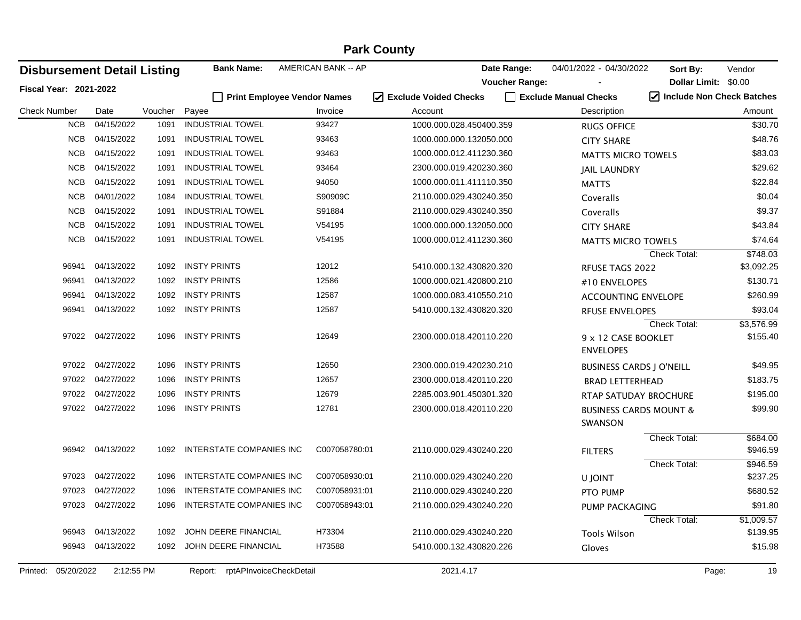|                        |            |                                    |         |                                 |                                    | <b>Park County</b>              |                       |                                              |                                                |            |
|------------------------|------------|------------------------------------|---------|---------------------------------|------------------------------------|---------------------------------|-----------------------|----------------------------------------------|------------------------------------------------|------------|
|                        |            | <b>Disbursement Detail Listing</b> |         | <b>Bank Name:</b>               | AMERICAN BANK -- AP                |                                 | Date Range:           | 04/01/2022 - 04/30/2022                      | Sort By:                                       | Vendor     |
| Fiscal Year: 2021-2022 |            |                                    |         |                                 |                                    |                                 | <b>Voucher Range:</b> |                                              | Dollar Limit: \$0.00                           |            |
|                        |            |                                    |         |                                 | <b>Print Employee Vendor Names</b> | $\sqrt{}$ Exclude Voided Checks |                       | Exclude Manual Checks                        | $\sqrt{\phantom{a}}$ Include Non Check Batches |            |
| <b>Check Number</b>    |            | Date                               | Voucher | Payee                           | Invoice                            | Account                         |                       | Description                                  |                                                | Amount     |
|                        | <b>NCB</b> | 04/15/2022                         | 1091    | <b>INDUSTRIAL TOWEL</b>         | 93427                              | 1000.000.028.450400.359         |                       | <b>RUGS OFFICE</b>                           |                                                | \$30.70    |
|                        | <b>NCB</b> | 04/15/2022                         | 1091    | <b>INDUSTRIAL TOWEL</b>         | 93463                              | 1000.000.000.132050.000         |                       | <b>CITY SHARE</b>                            |                                                | \$48.76    |
|                        | <b>NCB</b> | 04/15/2022                         | 1091    | <b>INDUSTRIAL TOWEL</b>         | 93463                              | 1000.000.012.411230.360         |                       | <b>MATTS MICRO TOWELS</b>                    |                                                | \$83.03    |
|                        | <b>NCB</b> | 04/15/2022                         | 1091    | <b>INDUSTRIAL TOWEL</b>         | 93464                              | 2300.000.019.420230.360         |                       | <b>JAIL LAUNDRY</b>                          |                                                | \$29.62    |
|                        | NCB        | 04/15/2022                         | 1091    | <b>INDUSTRIAL TOWEL</b>         | 94050                              | 1000.000.011.411110.350         |                       | <b>MATTS</b>                                 |                                                | \$22.84    |
|                        | <b>NCB</b> | 04/01/2022                         | 1084    | <b>INDUSTRIAL TOWEL</b>         | S90909C                            | 2110.000.029.430240.350         |                       | Coveralls                                    |                                                | \$0.04     |
|                        | NCB        | 04/15/2022                         | 1091    | <b>INDUSTRIAL TOWEL</b>         | S91884                             | 2110.000.029.430240.350         |                       | Coveralls                                    |                                                | \$9.37     |
|                        | <b>NCB</b> | 04/15/2022                         | 1091    | <b>INDUSTRIAL TOWEL</b>         | V54195                             | 1000.000.000.132050.000         |                       | <b>CITY SHARE</b>                            |                                                | \$43.84    |
|                        | <b>NCB</b> | 04/15/2022                         | 1091    | <b>INDUSTRIAL TOWEL</b>         | V54195                             | 1000.000.012.411230.360         |                       | <b>MATTS MICRO TOWELS</b>                    |                                                | \$74.64    |
|                        |            |                                    |         |                                 |                                    |                                 |                       |                                              | Check Total:                                   | \$748.03   |
|                        | 96941      | 04/13/2022                         | 1092    | <b>INSTY PRINTS</b>             | 12012                              | 5410.000.132.430820.320         |                       | <b>RFUSE TAGS 2022</b>                       |                                                | \$3,092.25 |
|                        | 96941      | 04/13/2022                         | 1092    | <b>INSTY PRINTS</b>             | 12586                              | 1000.000.021.420800.210         |                       | #10 ENVELOPES                                |                                                | \$130.71   |
|                        | 96941      | 04/13/2022                         | 1092    | <b>INSTY PRINTS</b>             | 12587                              | 1000.000.083.410550.210         |                       | ACCOUNTING ENVELOPE                          |                                                | \$260.99   |
|                        | 96941      | 04/13/2022                         | 1092    | <b>INSTY PRINTS</b>             | 12587                              | 5410.000.132.430820.320         |                       | <b>RFUSE ENVELOPES</b>                       |                                                | \$93.04    |
|                        |            |                                    |         |                                 |                                    |                                 |                       |                                              | Check Total:                                   | \$3,576.99 |
|                        |            | 97022 04/27/2022                   | 1096    | <b>INSTY PRINTS</b>             | 12649                              | 2300.000.018.420110.220         |                       | 9 x 12 CASE BOOKLET<br><b>ENVELOPES</b>      |                                                | \$155.40   |
|                        |            | 97022 04/27/2022                   | 1096    | <b>INSTY PRINTS</b>             | 12650                              | 2300.000.019.420230.210         |                       | <b>BUSINESS CARDS J O'NEILL</b>              |                                                | \$49.95    |
|                        | 97022      | 04/27/2022                         | 1096    | <b>INSTY PRINTS</b>             | 12657                              | 2300.000.018.420110.220         |                       | <b>BRAD LETTERHEAD</b>                       |                                                | \$183.75   |
|                        | 97022      | 04/27/2022                         | 1096    | <b>INSTY PRINTS</b>             | 12679                              | 2285.003.901.450301.320         |                       | RTAP SATUDAY BROCHURE                        |                                                | \$195.00   |
|                        |            | 97022 04/27/2022                   | 1096    | <b>INSTY PRINTS</b>             | 12781                              | 2300.000.018.420110.220         |                       | <b>BUSINESS CARDS MOUNT &amp;</b><br>SWANSON |                                                | \$99.90    |
|                        |            |                                    |         |                                 |                                    |                                 |                       |                                              | <b>Check Total:</b>                            | \$684.00   |
|                        |            | 96942 04/13/2022                   | 1092    | <b>INTERSTATE COMPANIES INC</b> | C007058780:01                      | 2110.000.029.430240.220         |                       | <b>FILTERS</b>                               |                                                | \$946.59   |
|                        |            |                                    |         |                                 |                                    |                                 |                       |                                              | Check Total:                                   | \$946.59   |
|                        | 97023      | 04/27/2022                         | 1096    | INTERSTATE COMPANIES INC        | C007058930:01                      | 2110.000.029.430240.220         |                       | U JOINT                                      |                                                | \$237.25   |
|                        | 97023      | 04/27/2022                         | 1096    | <b>INTERSTATE COMPANIES INC</b> | C007058931:01                      | 2110.000.029.430240.220         |                       | PTO PUMP                                     |                                                | \$680.52   |
|                        |            | 97023 04/27/2022                   | 1096    | INTERSTATE COMPANIES INC        | C007058943:01                      | 2110.000.029.430240.220         |                       | PUMP PACKAGING                               |                                                | \$91.80    |
|                        |            |                                    |         |                                 |                                    |                                 |                       |                                              | Check Total:                                   | \$1,009.57 |
|                        | 96943      | 04/13/2022                         | 1092    | JOHN DEERE FINANCIAL            | H73304                             | 2110.000.029.430240.220         |                       | <b>Tools Wilson</b>                          |                                                | \$139.95   |
|                        |            | 96943 04/13/2022                   | 1092    | JOHN DEERE FINANCIAL            | H73588                             | 5410.000.132.430820.226         |                       | Gloves                                       |                                                | \$15.98    |
| Printed:               | 05/20/2022 | 2:12:55 PM                         |         | Report: rptAPInvoiceCheckDetail |                                    | 2021.4.17                       |                       |                                              | Page:                                          | 19         |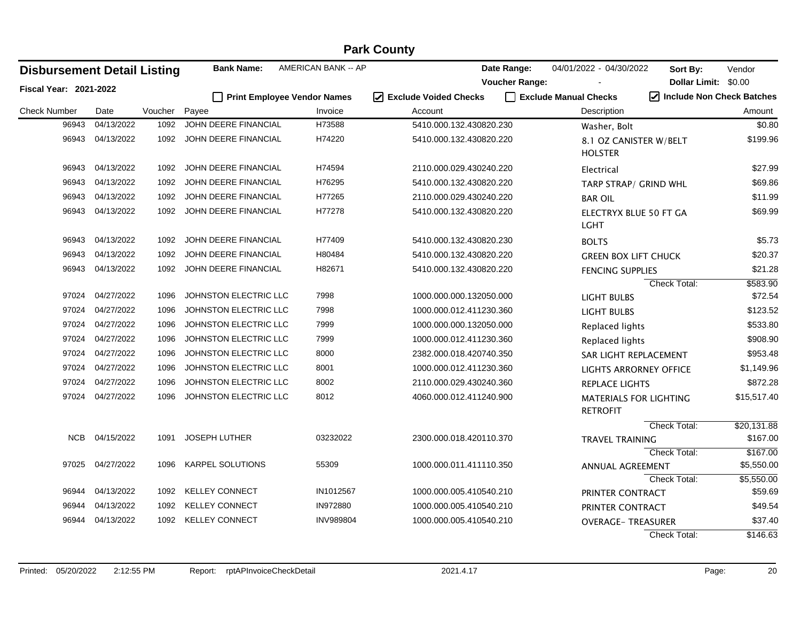| <b>Disbursement Detail Listing</b> |                  |         | <b>Bank Name:</b>           | AMERICAN BANK -- AP |                                   | Date Range:           | 04/01/2022 - 04/30/2022                          | Sort By:             | Vendor                                         |
|------------------------------------|------------------|---------|-----------------------------|---------------------|-----------------------------------|-----------------------|--------------------------------------------------|----------------------|------------------------------------------------|
| <b>Fiscal Year: 2021-2022</b>      |                  |         |                             |                     |                                   | <b>Voucher Range:</b> |                                                  | Dollar Limit: \$0.00 |                                                |
|                                    |                  |         | Print Employee Vendor Names |                     | ☑<br><b>Exclude Voided Checks</b> |                       | Exclude Manual Checks                            |                      | $\sqrt{\phantom{a}}$ Include Non Check Batches |
| <b>Check Number</b>                | Date             | Voucher | Payee                       | Invoice             | Account                           |                       | Description                                      |                      | Amount                                         |
| 96943                              | 04/13/2022       | 1092    | JOHN DEERE FINANCIAL        | H73588              | 5410.000.132.430820.230           |                       | Washer, Bolt                                     |                      | \$0.80                                         |
|                                    | 96943 04/13/2022 | 1092    | JOHN DEERE FINANCIAL        | H74220              | 5410.000.132.430820.220           |                       | 8.1 OZ CANISTER W/BELT<br><b>HOLSTER</b>         |                      | \$199.96                                       |
| 96943                              | 04/13/2022       | 1092    | JOHN DEERE FINANCIAL        | H74594              | 2110.000.029.430240.220           |                       | Electrical                                       |                      | \$27.99                                        |
| 96943                              | 04/13/2022       | 1092    | JOHN DEERE FINANCIAL        | H76295              | 5410.000.132.430820.220           |                       | TARP STRAP/ GRIND WHL                            |                      | \$69.86                                        |
| 96943                              | 04/13/2022       | 1092    | JOHN DEERE FINANCIAL        | H77265              | 2110.000.029.430240.220           |                       | <b>BAR OIL</b>                                   |                      | \$11.99                                        |
| 96943                              | 04/13/2022       | 1092    | JOHN DEERE FINANCIAL        | H77278              | 5410.000.132.430820.220           |                       | ELECTRYX BLUE 50 FT GA<br>LGHT                   |                      | \$69.99                                        |
| 96943                              | 04/13/2022       | 1092    | JOHN DEERE FINANCIAL        | H77409              | 5410.000.132.430820.230           |                       | <b>BOLTS</b>                                     |                      | \$5.73                                         |
| 96943                              | 04/13/2022       | 1092    | JOHN DEERE FINANCIAL        | H80484              | 5410.000.132.430820.220           |                       | <b>GREEN BOX LIFT CHUCK</b>                      |                      | \$20.37                                        |
| 96943                              | 04/13/2022       | 1092    | JOHN DEERE FINANCIAL        | H82671              | 5410.000.132.430820.220           |                       | <b>FENCING SUPPLIES</b>                          |                      | \$21.28                                        |
|                                    |                  |         |                             |                     |                                   |                       |                                                  | Check Total:         | \$583.90                                       |
| 97024                              | 04/27/2022       | 1096    | JOHNSTON ELECTRIC LLC       | 7998                | 1000.000.000.132050.000           |                       | LIGHT BULBS                                      |                      | \$72.54                                        |
| 97024                              | 04/27/2022       | 1096    | JOHNSTON ELECTRIC LLC       | 7998                | 1000.000.012.411230.360           |                       | <b>LIGHT BULBS</b>                               |                      | \$123.52                                       |
| 97024                              | 04/27/2022       | 1096    | JOHNSTON ELECTRIC LLC       | 7999                | 1000.000.000.132050.000           |                       | Replaced lights                                  |                      | \$533.80                                       |
| 97024                              | 04/27/2022       | 1096    | JOHNSTON ELECTRIC LLC       | 7999                | 1000.000.012.411230.360           |                       | Replaced lights                                  |                      | \$908.90                                       |
| 97024                              | 04/27/2022       | 1096    | JOHNSTON ELECTRIC LLC       | 8000                | 2382.000.018.420740.350           |                       | SAR LIGHT REPLACEMENT                            |                      | \$953.48                                       |
| 97024                              | 04/27/2022       | 1096    | JOHNSTON ELECTRIC LLC       | 8001                | 1000.000.012.411230.360           |                       | LIGHTS ARRORNEY OFFICE                           |                      | \$1,149.96                                     |
| 97024                              | 04/27/2022       | 1096    | JOHNSTON ELECTRIC LLC       | 8002                | 2110.000.029.430240.360           |                       | <b>REPLACE LIGHTS</b>                            |                      | \$872.28                                       |
| 97024                              | 04/27/2022       | 1096    | JOHNSTON ELECTRIC LLC       | 8012                | 4060.000.012.411240.900           |                       | <b>MATERIALS FOR LIGHTING</b><br><b>RETROFIT</b> |                      | \$15,517.40                                    |
|                                    |                  |         |                             |                     |                                   |                       |                                                  | Check Total:         | \$20,131.88                                    |
| <b>NCB</b>                         | 04/15/2022       | 1091    | JOSEPH LUTHER               | 03232022            | 2300.000.018.420110.370           |                       | <b>TRAVEL TRAINING</b>                           |                      | \$167.00                                       |
|                                    |                  |         |                             |                     |                                   |                       |                                                  | Check Total:         | \$167.00                                       |
|                                    | 97025 04/27/2022 | 1096    | KARPEL SOLUTIONS            | 55309               | 1000.000.011.411110.350           |                       | ANNUAL AGREEMENT                                 |                      | \$5,550.00                                     |
|                                    |                  |         |                             |                     |                                   |                       |                                                  | Check Total:         | \$5,550.00                                     |
| 96944                              | 04/13/2022       |         | 1092 KELLEY CONNECT         | IN1012567           | 1000.000.005.410540.210           |                       | PRINTER CONTRACT                                 |                      | \$59.69                                        |
| 96944                              | 04/13/2022       | 1092    | <b>KELLEY CONNECT</b>       | IN972880            | 1000.000.005.410540.210           |                       | PRINTER CONTRACT                                 |                      | \$49.54                                        |
| 96944                              | 04/13/2022       | 1092    | <b>KELLEY CONNECT</b>       | <b>INV989804</b>    | 1000.000.005.410540.210           |                       | <b>OVERAGE- TREASURER</b>                        |                      | \$37.40                                        |
|                                    |                  |         |                             |                     |                                   |                       |                                                  | Check Total:         | \$146.63                                       |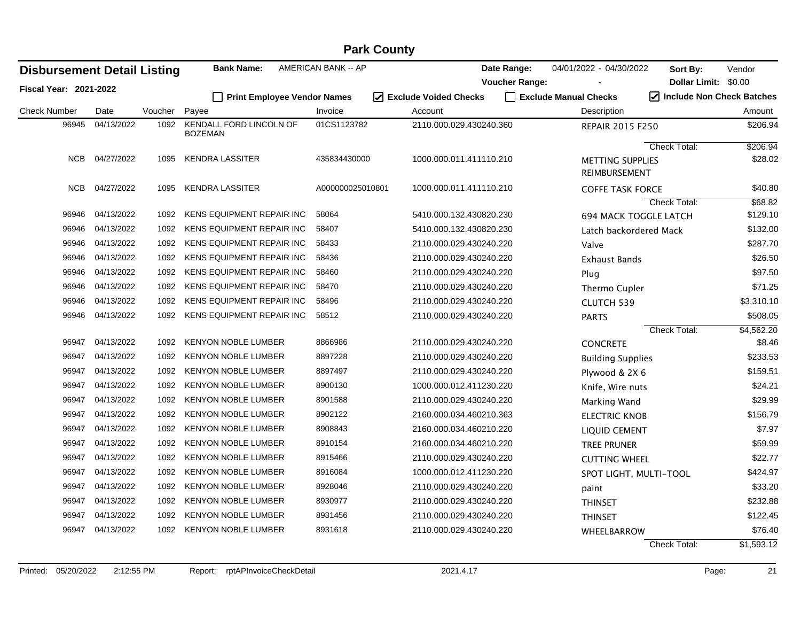| <b>Disbursement Detail Listing</b> |            |         | <b>Bank Name:</b>                         | AMERICAN BANK -- AP |                                   | Date Range:           | 04/01/2022 - 04/30/2022           | Sort By:             | Vendor                                         |
|------------------------------------|------------|---------|-------------------------------------------|---------------------|-----------------------------------|-----------------------|-----------------------------------|----------------------|------------------------------------------------|
| Fiscal Year: 2021-2022             |            |         |                                           |                     |                                   | <b>Voucher Range:</b> |                                   | Dollar Limit: \$0.00 |                                                |
|                                    |            |         | Print Employee Vendor Names               |                     | ☑<br><b>Exclude Voided Checks</b> |                       | Exclude Manual Checks             |                      | $\sqrt{\phantom{a}}$ Include Non Check Batches |
| <b>Check Number</b>                | Date       | Voucher | Payee                                     | Invoice             | Account                           |                       | Description                       |                      | Amount                                         |
| 96945                              | 04/13/2022 | 1092    | KENDALL FORD LINCOLN OF<br><b>BOZEMAN</b> | 01CS1123782         | 2110.000.029.430240.360           |                       | <b>REPAIR 2015 F250</b>           |                      | \$206.94                                       |
|                                    |            |         |                                           |                     |                                   |                       |                                   | Check Total:         | \$206.94                                       |
| <b>NCB</b>                         | 04/27/2022 | 1095    | <b>KENDRA LASSITER</b>                    | 435834430000        | 1000.000.011.411110.210           |                       | METTING SUPPLIES<br>REIMBURSEMENT |                      | \$28.02                                        |
| NCB                                | 04/27/2022 | 1095    | <b>KENDRA LASSITER</b>                    | A000000025010801    | 1000.000.011.411110.210           |                       | <b>COFFE TASK FORCE</b>           |                      | \$40.80                                        |
|                                    |            |         |                                           |                     |                                   |                       |                                   | Check Total:         | \$68.82                                        |
| 96946                              | 04/13/2022 | 1092    | <b>KENS EQUIPMENT REPAIR INC</b>          | 58064               | 5410.000.132.430820.230           |                       | <b>694 MACK TOGGLE LATCH</b>      |                      | \$129.10                                       |
| 96946                              | 04/13/2022 | 1092    | KENS EQUIPMENT REPAIR INC                 | 58407               | 5410.000.132.430820.230           |                       | Latch backordered Mack            |                      | \$132.00                                       |
| 96946                              | 04/13/2022 | 1092    | KENS EQUIPMENT REPAIR INC                 | 58433               | 2110.000.029.430240.220           |                       | Valve                             |                      | \$287.70                                       |
| 96946                              | 04/13/2022 | 1092    | KENS EQUIPMENT REPAIR INC                 | 58436               | 2110.000.029.430240.220           |                       | Exhaust Bands                     |                      | \$26.50                                        |
| 96946                              | 04/13/2022 | 1092    | KENS EQUIPMENT REPAIR INC                 | 58460               | 2110.000.029.430240.220           |                       | Plug                              |                      | \$97.50                                        |
| 96946                              | 04/13/2022 | 1092    | KENS EQUIPMENT REPAIR INC                 | 58470               | 2110.000.029.430240.220           |                       | Thermo Cupler                     |                      | \$71.25                                        |
| 96946                              | 04/13/2022 | 1092    | <b>KENS EQUIPMENT REPAIR INC</b>          | 58496               | 2110.000.029.430240.220           |                       | CLUTCH 539                        |                      | \$3,310.10                                     |
| 96946                              | 04/13/2022 | 1092    | KENS EQUIPMENT REPAIR INC                 | 58512               | 2110.000.029.430240.220           |                       | <b>PARTS</b>                      |                      | \$508.05                                       |
|                                    |            |         |                                           |                     |                                   |                       |                                   | Check Total:         | \$4,562.20                                     |
| 96947                              | 04/13/2022 | 1092    | <b>KENYON NOBLE LUMBER</b>                | 8866986             | 2110.000.029.430240.220           |                       | <b>CONCRETE</b>                   |                      | \$8.46                                         |
| 96947                              | 04/13/2022 | 1092    | KENYON NOBLE LUMBER                       | 8897228             | 2110.000.029.430240.220           |                       | <b>Building Supplies</b>          |                      | \$233.53                                       |
| 96947                              | 04/13/2022 | 1092    | <b>KENYON NOBLE LUMBER</b>                | 8897497             | 2110.000.029.430240.220           |                       | Plywood & 2X 6                    |                      | \$159.51                                       |
| 96947                              | 04/13/2022 | 1092    | <b>KENYON NOBLE LUMBER</b>                | 8900130             | 1000.000.012.411230.220           |                       | Knife, Wire nuts                  |                      | \$24.21                                        |
| 96947                              | 04/13/2022 | 1092    | <b>KENYON NOBLE LUMBER</b>                | 8901588             | 2110.000.029.430240.220           |                       | Marking Wand                      |                      | \$29.99                                        |
| 96947                              | 04/13/2022 | 1092    | <b>KENYON NOBLE LUMBER</b>                | 8902122             | 2160.000.034.460210.363           |                       | <b>ELECTRIC KNOB</b>              |                      | \$156.79                                       |
| 96947                              | 04/13/2022 | 1092    | <b>KENYON NOBLE LUMBER</b>                | 8908843             | 2160.000.034.460210.220           |                       | <b>LIQUID CEMENT</b>              |                      | \$7.97                                         |
| 96947                              | 04/13/2022 | 1092    | <b>KENYON NOBLE LUMBER</b>                | 8910154             | 2160.000.034.460210.220           |                       | <b>TREE PRUNER</b>                |                      | \$59.99                                        |
| 96947                              | 04/13/2022 | 1092    | <b>KENYON NOBLE LUMBER</b>                | 8915466             | 2110.000.029.430240.220           |                       | <b>CUTTING WHEEL</b>              |                      | \$22.77                                        |
| 96947                              | 04/13/2022 | 1092    | <b>KENYON NOBLE LUMBER</b>                | 8916084             | 1000.000.012.411230.220           |                       | SPOT LIGHT, MULTI-TOOL            |                      | \$424.97                                       |
| 96947                              | 04/13/2022 | 1092    | <b>KENYON NOBLE LUMBER</b>                | 8928046             | 2110.000.029.430240.220           |                       | paint                             |                      | \$33.20                                        |
| 96947                              | 04/13/2022 | 1092    | <b>KENYON NOBLE LUMBER</b>                | 8930977             | 2110.000.029.430240.220           |                       | <b>THINSET</b>                    |                      | \$232.88                                       |
| 96947                              | 04/13/2022 | 1092    | KENYON NOBLE LUMBER                       | 8931456             | 2110.000.029.430240.220           |                       | <b>THINSET</b>                    |                      | \$122.45                                       |
| 96947                              | 04/13/2022 | 1092    | <b>KENYON NOBLE LUMBER</b>                | 8931618             | 2110.000.029.430240.220           |                       | WHEELBARROW                       |                      | \$76.40                                        |
|                                    |            |         |                                           |                     |                                   |                       |                                   | <b>Check Total:</b>  | \$1,593.12                                     |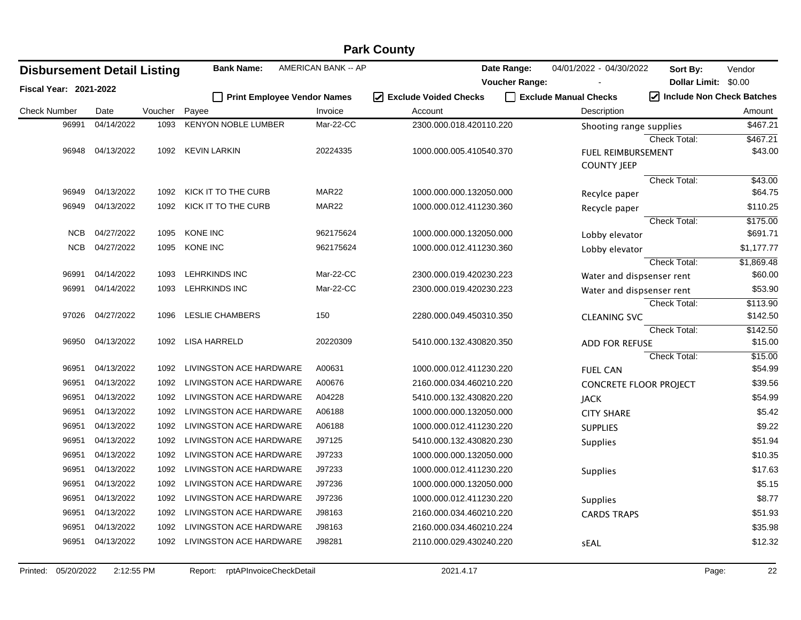|                                    |            |         |                                    |                     | <b>Park County</b>               |                       |                         |                               |                      |
|------------------------------------|------------|---------|------------------------------------|---------------------|----------------------------------|-----------------------|-------------------------|-------------------------------|----------------------|
| <b>Disbursement Detail Listing</b> |            |         | <b>Bank Name:</b>                  | AMERICAN BANK -- AP |                                  | Date Range:           | 04/01/2022 - 04/30/2022 | Sort By:                      | Vendor               |
| <b>Fiscal Year: 2021-2022</b>      |            |         |                                    |                     |                                  | <b>Voucher Range:</b> |                         | Dollar Limit: \$0.00          |                      |
|                                    |            |         | <b>Print Employee Vendor Names</b> |                     | $\sqrt{ }$ Exclude Voided Checks |                       | Exclude Manual Checks   | Include Non Check Batches     |                      |
| <b>Check Number</b>                | Date       | Voucher | Payee                              | Invoice             | Account                          |                       | Description             |                               | Amount               |
| 96991                              | 04/14/2022 | 1093    | <b>KENYON NOBLE LUMBER</b>         | Mar-22-CC           | 2300.000.018.420110.220          |                       |                         | Shooting range supplies       | \$467.21             |
|                                    |            |         |                                    |                     |                                  |                       |                         | Check Total:                  | \$467.21             |
| 96948                              | 04/13/2022 | 1092    | <b>KEVIN LARKIN</b>                | 20224335            | 1000.000.005.410540.370          |                       | <b>COUNTY JEEP</b>      | <b>FUEL REIMBURSEMENT</b>     | \$43.00              |
|                                    |            |         |                                    |                     |                                  |                       |                         | <b>Check Total:</b>           | \$43.00              |
| 96949                              | 04/13/2022 | 1092    | KICK IT TO THE CURB                | MAR <sub>22</sub>   | 1000.000.000.132050.000          |                       | Recylce paper           |                               | \$64.75              |
| 96949                              | 04/13/2022 | 1092    | KICK IT TO THE CURB                | MAR <sub>22</sub>   | 1000.000.012.411230.360          |                       | Recycle paper           |                               | \$110.25             |
|                                    |            |         |                                    |                     |                                  |                       |                         | Check Total:                  | \$175.00             |
| <b>NCB</b>                         | 04/27/2022 | 1095    | <b>KONE INC</b>                    | 962175624           | 1000.000.000.132050.000          |                       | Lobby elevator          |                               | \$691.71             |
| <b>NCB</b>                         | 04/27/2022 | 1095    | KONE INC                           | 962175624           | 1000.000.012.411230.360          |                       | Lobby elevator          |                               | \$1,177.77           |
|                                    |            |         |                                    |                     |                                  |                       |                         | Check Total:                  | \$1,869.48           |
| 96991                              | 04/14/2022 | 1093    | <b>LEHRKINDS INC</b>               | Mar-22-CC           | 2300.000.019.420230.223          |                       |                         | Water and dispsenser rent     | \$60.00              |
| 96991                              | 04/14/2022 | 1093    | LEHRKINDS INC                      | Mar-22-CC           | 2300.000.019.420230.223          |                       |                         | Water and dispsenser rent     | \$53.90              |
| 97026                              | 04/27/2022 | 1096    | <b>LESLIE CHAMBERS</b>             | 150                 |                                  |                       |                         | Check Total:                  | \$113.90<br>\$142.50 |
|                                    |            |         |                                    |                     | 2280.000.049.450310.350          |                       | <b>CLEANING SVC</b>     | <b>Check Total:</b>           | \$142.50             |
| 96950                              | 04/13/2022 | 1092    | <b>LISA HARRELD</b>                | 20220309            | 5410.000.132.430820.350          |                       | <b>ADD FOR REFUSE</b>   |                               | \$15.00              |
|                                    |            |         |                                    |                     |                                  |                       |                         | <b>Check Total:</b>           | \$15.00              |
| 96951                              | 04/13/2022 | 1092    | LIVINGSTON ACE HARDWARE            | A00631              | 1000.000.012.411230.220          |                       | <b>FUEL CAN</b>         |                               | \$54.99              |
| 96951                              | 04/13/2022 | 1092    | LIVINGSTON ACE HARDWARE            | A00676              | 2160.000.034.460210.220          |                       |                         | <b>CONCRETE FLOOR PROJECT</b> | \$39.56              |
| 96951                              | 04/13/2022 | 1092    | LIVINGSTON ACE HARDWARE            | A04228              | 5410.000.132.430820.220          |                       | <b>JACK</b>             |                               | \$54.99              |
| 96951                              | 04/13/2022 | 1092    | LIVINGSTON ACE HARDWARE            | A06188              | 1000.000.000.132050.000          |                       | <b>CITY SHARE</b>       |                               | \$5.42               |
| 96951                              | 04/13/2022 | 1092    | LIVINGSTON ACE HARDWARE            | A06188              | 1000.000.012.411230.220          |                       | <b>SUPPLIES</b>         |                               | \$9.22               |
| 96951                              | 04/13/2022 | 1092    | LIVINGSTON ACE HARDWARE            | J97125              | 5410.000.132.430820.230          |                       | <b>Supplies</b>         |                               | \$51.94              |
| 96951                              | 04/13/2022 | 1092    | LIVINGSTON ACE HARDWARE            | J97233              | 1000.000.000.132050.000          |                       |                         |                               | \$10.35              |
| 96951                              | 04/13/2022 | 1092    | LIVINGSTON ACE HARDWARE            | J97233              | 1000.000.012.411230.220          |                       | <b>Supplies</b>         |                               | \$17.63              |
| 96951                              | 04/13/2022 | 1092    | LIVINGSTON ACE HARDWARE            | J97236              | 1000.000.000.132050.000          |                       |                         |                               | \$5.15               |
| 96951                              | 04/13/2022 | 1092    | LIVINGSTON ACE HARDWARE            | J97236              | 1000.000.012.411230.220          |                       | <b>Supplies</b>         |                               | \$8.77               |
| 96951                              | 04/13/2022 | 1092    | LIVINGSTON ACE HARDWARE            | J98163              | 2160.000.034.460210.220          |                       | <b>CARDS TRAPS</b>      |                               | \$51.93              |
| 96951                              | 04/13/2022 | 1092    | LIVINGSTON ACE HARDWARE            | J98163              | 2160.000.034.460210.224          |                       |                         |                               | \$35.98              |
| 96951                              | 04/13/2022 | 1092    | LIVINGSTON ACE HARDWARE            | J98281              | 2110.000.029.430240.220          |                       | sEAL                    |                               | \$12.32              |
|                                    |            |         |                                    |                     |                                  |                       |                         |                               |                      |

#### Printed: 05/20/2022 2:12:55 PM Report: rptAPInvoiceCheckDetail 2021.4.17 2021.4.17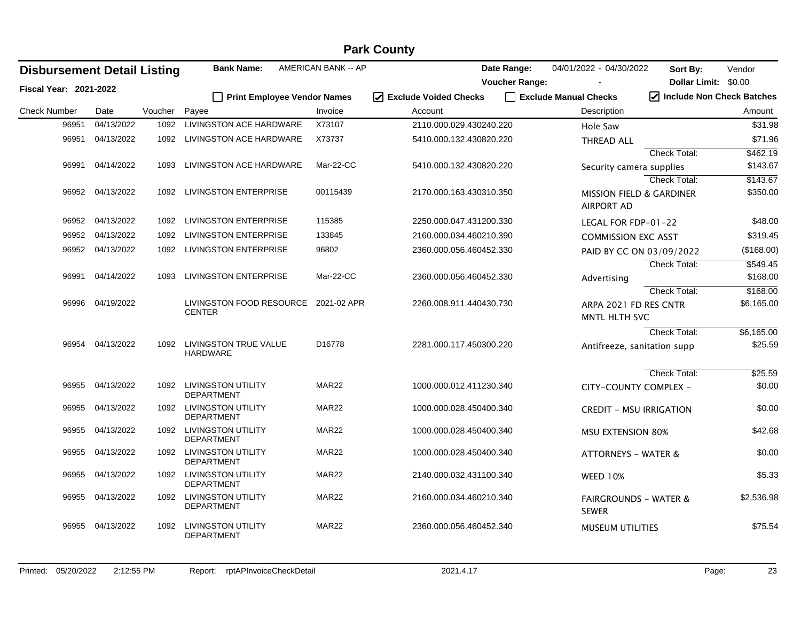|                                    |                  |         |                                                |                            | <b>Park County</b>                                        |                       |                                                          |                             |            |
|------------------------------------|------------------|---------|------------------------------------------------|----------------------------|-----------------------------------------------------------|-----------------------|----------------------------------------------------------|-----------------------------|------------|
| <b>Disbursement Detail Listing</b> |                  |         | <b>Bank Name:</b>                              | <b>AMERICAN BANK -- AP</b> |                                                           | Date Range:           | 04/01/2022 - 04/30/2022                                  | Sort By:                    | Vendor     |
| <b>Fiscal Year: 2021-2022</b>      |                  |         |                                                |                            |                                                           | <b>Voucher Range:</b> |                                                          | Dollar Limit: \$0.00        |            |
|                                    |                  |         | Print Employee Vendor Names                    |                            | $\vert \mathcal{V} \vert$<br><b>Exclude Voided Checks</b> |                       | Exclude Manual Checks                                    | √ Include Non Check Batches |            |
| <b>Check Number</b>                | Date             | Voucher | Payee                                          | Invoice                    | Account                                                   |                       | Description                                              |                             | Amount     |
| 96951                              | 04/13/2022       | 1092    | LIVINGSTON ACE HARDWARE                        | X73107                     | 2110.000.029.430240.220                                   |                       | Hole Saw                                                 |                             | \$31.98    |
| 96951                              | 04/13/2022       | 1092    | LIVINGSTON ACE HARDWARE                        | X73737                     | 5410.000.132.430820.220                                   |                       | <b>THREAD ALL</b>                                        |                             | \$71.96    |
|                                    |                  |         |                                                |                            |                                                           |                       |                                                          | Check Total:                | \$462.19   |
| 96991                              | 04/14/2022       | 1093    | LIVINGSTON ACE HARDWARE                        | Mar-22-CC                  | 5410.000.132.430820.220                                   |                       | Security camera supplies                                 |                             | \$143.67   |
|                                    |                  |         |                                                |                            |                                                           |                       |                                                          | Check Total:                | \$143.67   |
|                                    | 96952 04/13/2022 | 1092    | <b>LIVINGSTON ENTERPRISE</b>                   | 00115439                   | 2170.000.163.430310.350                                   |                       | <b>MISSION FIELD &amp; GARDINER</b><br><b>AIRPORT AD</b> |                             | \$350.00   |
| 96952                              | 04/13/2022       | 1092    | <b>LIVINGSTON ENTERPRISE</b>                   | 115385                     | 2250.000.047.431200.330                                   |                       | LEGAL FOR FDP-01-22                                      |                             | \$48.00    |
| 96952                              | 04/13/2022       | 1092    | <b>LIVINGSTON ENTERPRISE</b>                   | 133845                     | 2160.000.034.460210.390                                   |                       | <b>COMMISSION EXC ASST</b>                               |                             | \$319.45   |
| 96952                              | 04/13/2022       | 1092    | <b>LIVINGSTON ENTERPRISE</b>                   | 96802                      | 2360.000.056.460452.330                                   |                       | PAID BY CC ON 03/09/2022                                 |                             | (\$168.00) |
|                                    |                  |         |                                                |                            |                                                           |                       |                                                          | <b>Check Total:</b>         | \$549.45   |
| 96991                              | 04/14/2022       | 1093    | <b>LIVINGSTON ENTERPRISE</b>                   | Mar-22-CC                  | 2360.000.056.460452.330                                   |                       | Advertising                                              |                             | \$168.00   |
|                                    |                  |         |                                                |                            |                                                           |                       |                                                          | <b>Check Total:</b>         | \$168.00   |
| 96996                              | 04/19/2022       |         | LIVINGSTON FOOD RESOURCE                       | 2021-02 APR                | 2260.008.911.440430.730                                   |                       | ARPA 2021 FD RES CNTR                                    |                             | \$6,165.00 |
|                                    |                  |         | <b>CENTER</b>                                  |                            |                                                           |                       | MNTL HLTH SVC                                            |                             |            |
|                                    |                  |         |                                                |                            |                                                           |                       |                                                          | <b>Check Total:</b>         | \$6,165.00 |
| 96954                              | 04/13/2022       | 1092    | LIVINGSTON TRUE VALUE<br><b>HARDWARE</b>       | D16778                     | 2281.000.117.450300.220                                   |                       | Antifreeze, sanitation supp                              |                             | \$25.59    |
|                                    |                  |         |                                                |                            |                                                           |                       |                                                          | <b>Check Total:</b>         | \$25.59    |
| 96955                              | 04/13/2022       | 1092    | <b>LIVINGSTON UTILITY</b>                      | MAR <sub>22</sub>          | 1000.000.012.411230.340                                   |                       | CITY-COUNTY COMPLEX -                                    |                             | \$0.00     |
|                                    |                  |         | <b>DEPARTMENT</b>                              |                            |                                                           |                       |                                                          |                             |            |
| 96955                              | 04/13/2022       | 1092    | <b>LIVINGSTON UTILITY</b><br><b>DEPARTMENT</b> | MAR <sub>22</sub>          | 1000.000.028.450400.340                                   |                       | <b>CREDIT - MSU IRRIGATION</b>                           |                             | \$0.00     |
| 96955                              | 04/13/2022       | 1092    | <b>LIVINGSTON UTILITY</b>                      | MAR <sub>22</sub>          | 1000.000.028.450400.340                                   |                       | <b>MSU EXTENSION 80%</b>                                 |                             | \$42.68    |
|                                    |                  |         | <b>DEPARTMENT</b>                              |                            |                                                           |                       |                                                          |                             |            |
| 96955                              | 04/13/2022       | 1092    | <b>LIVINGSTON UTILITY</b><br><b>DEPARTMENT</b> | MAR <sub>22</sub>          | 1000.000.028.450400.340                                   |                       | <b>ATTORNEYS - WATER &amp;</b>                           |                             | \$0.00     |
| 96955                              | 04/13/2022       | 1092    | <b>LIVINGSTON UTILITY</b>                      | MAR <sub>22</sub>          | 2140.000.032.431100.340                                   |                       | <b>WEED 10%</b>                                          |                             | \$5.33     |
|                                    |                  |         | <b>DEPARTMENT</b>                              |                            |                                                           |                       |                                                          |                             |            |
| 96955                              | 04/13/2022       | 1092    | <b>LIVINGSTON UTILITY</b><br><b>DEPARTMENT</b> | MAR <sub>22</sub>          | 2160.000.034.460210.340                                   |                       | <b>FAIRGROUNDS - WATER &amp;</b><br><b>SEWER</b>         |                             | \$2,536.98 |
| 96955                              | 04/13/2022       | 1092    | <b>LIVINGSTON UTILITY</b><br><b>DEPARTMENT</b> | MAR22                      | 2360.000.056.460452.340                                   |                       | <b>MUSEUM UTILITIES</b>                                  |                             | \$75.54    |
|                                    |                  |         |                                                |                            |                                                           |                       |                                                          |                             |            |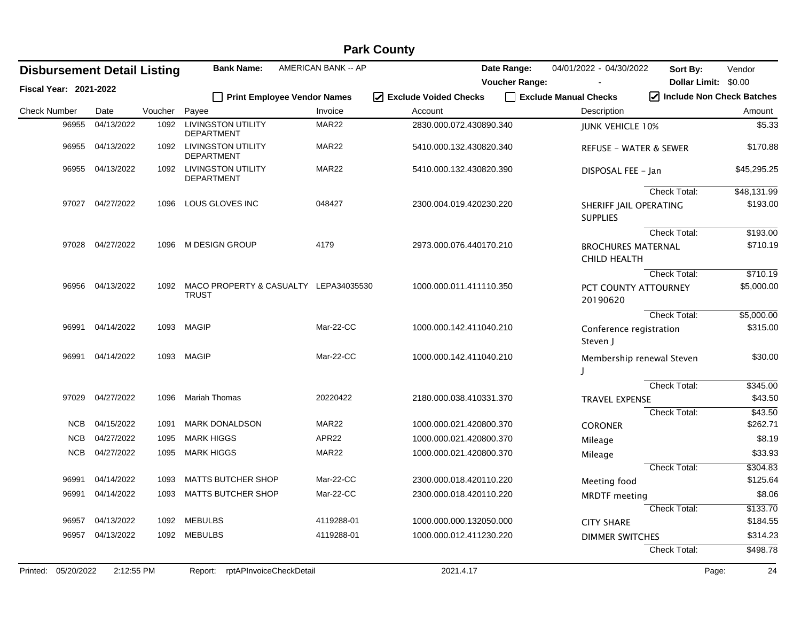|                        |            |                                    |         |                                                       |                             | <b>Fain Coulity</b>               |                       |                                                  |                           |             |
|------------------------|------------|------------------------------------|---------|-------------------------------------------------------|-----------------------------|-----------------------------------|-----------------------|--------------------------------------------------|---------------------------|-------------|
|                        |            | <b>Disbursement Detail Listing</b> |         | <b>Bank Name:</b>                                     | AMERICAN BANK -- AP         |                                   | Date Range:           | 04/01/2022 - 04/30/2022                          | Sort By:                  | Vendor      |
| Fiscal Year: 2021-2022 |            |                                    |         |                                                       |                             |                                   | <b>Voucher Range:</b> |                                                  | Dollar Limit: \$0.00      |             |
|                        |            |                                    |         |                                                       | Print Employee Vendor Names | <b>Exclude Voided Checks</b><br>☑ |                       | Exclude Manual Checks                            | Include Non Check Batches |             |
| <b>Check Number</b>    |            | Date                               | Voucher | Payee                                                 | Invoice                     | Account                           |                       | Description                                      |                           | Amount      |
|                        | 96955      | 04/13/2022                         | 1092    | <b>LIVINGSTON UTILITY</b><br><b>DEPARTMENT</b>        | MAR22                       | 2830.000.072.430890.340           |                       | <b>JUNK VEHICLE 10%</b>                          |                           | \$5.33      |
|                        | 96955      | 04/13/2022                         | 1092    | <b>LIVINGSTON UTILITY</b><br><b>DEPARTMENT</b>        | MAR22                       | 5410.000.132.430820.340           |                       | <b>REFUSE - WATER &amp; SEWER</b>                |                           | \$170.88    |
|                        | 96955      | 04/13/2022                         | 1092    | <b>LIVINGSTON UTILITY</b><br><b>DEPARTMENT</b>        | MAR22                       | 5410.000.132.430820.390           |                       | DISPOSAL FEE - Jan                               |                           | \$45,295.25 |
|                        |            |                                    |         |                                                       |                             |                                   |                       |                                                  | <b>Check Total:</b>       | \$48,131.99 |
|                        |            | 97027 04/27/2022                   | 1096    | LOUS GLOVES INC                                       | 048427                      | 2300.004.019.420230.220           |                       | SHERIFF JAIL OPERATING<br><b>SUPPLIES</b>        |                           | \$193.00    |
|                        |            |                                    |         |                                                       |                             |                                   |                       |                                                  | Check Total:              | \$193.00    |
|                        |            | 97028 04/27/2022                   | 1096    | M DESIGN GROUP                                        | 4179                        | 2973.000.076.440170.210           |                       | <b>BROCHURES MATERNAL</b><br><b>CHILD HEALTH</b> |                           | \$710.19    |
|                        |            |                                    |         |                                                       |                             |                                   |                       |                                                  | Check Total:              | \$710.19    |
|                        |            | 96956 04/13/2022                   | 1092    | MACO PROPERTY & CASUALTY LEPA34035530<br><b>TRUST</b> |                             | 1000.000.011.411110.350           |                       | PCT COUNTY ATTOURNEY<br>20190620                 |                           | \$5,000.00  |
|                        |            |                                    |         |                                                       |                             |                                   |                       |                                                  | <b>Check Total:</b>       | \$5,000.00  |
|                        | 96991      | 04/14/2022                         |         | 1093 MAGIP                                            | Mar-22-CC                   | 1000.000.142.411040.210           |                       | Conference registration<br>Steven J              |                           | \$315.00    |
|                        | 96991      | 04/14/2022                         |         | 1093 MAGIP                                            | Mar-22-CC                   | 1000.000.142.411040.210           |                       | Membership renewal Steven                        |                           | \$30.00     |
|                        |            |                                    |         |                                                       |                             |                                   |                       |                                                  | <b>Check Total:</b>       | \$345.00    |
|                        | 97029      | 04/27/2022                         | 1096    | <b>Mariah Thomas</b>                                  | 20220422                    | 2180.000.038.410331.370           |                       | <b>TRAVEL EXPENSE</b>                            |                           | \$43.50     |
|                        |            |                                    |         |                                                       |                             |                                   |                       |                                                  | <b>Check Total:</b>       | \$43.50     |
|                        | <b>NCB</b> | 04/15/2022                         | 1091    | <b>MARK DONALDSON</b>                                 | MAR <sub>22</sub>           | 1000.000.021.420800.370           |                       | <b>CORONER</b>                                   |                           | \$262.71    |
|                        | <b>NCB</b> | 04/27/2022                         | 1095    | <b>MARK HIGGS</b>                                     | APR22                       | 1000.000.021.420800.370           |                       | Mileage                                          |                           | \$8.19      |
|                        | <b>NCB</b> | 04/27/2022                         | 1095    | <b>MARK HIGGS</b>                                     | MAR <sub>22</sub>           | 1000.000.021.420800.370           |                       | Mileage                                          |                           | \$33.93     |
|                        |            |                                    |         |                                                       |                             |                                   |                       |                                                  | <b>Check Total:</b>       | \$304.83    |
|                        | 96991      | 04/14/2022                         | 1093    | <b>MATTS BUTCHER SHOP</b>                             | Mar-22-CC                   | 2300.000.018.420110.220           |                       | Meeting food                                     |                           | \$125.64    |
|                        | 96991      | 04/14/2022                         | 1093    | <b>MATTS BUTCHER SHOP</b>                             | Mar-22-CC                   | 2300.000.018.420110.220           |                       | <b>MRDTF</b> meeting                             |                           | \$8.06      |
|                        |            |                                    |         |                                                       |                             |                                   |                       |                                                  | <b>Check Total:</b>       | \$133.70    |
|                        | 96957      | 04/13/2022                         |         | 1092 MEBULBS                                          | 4119288-01                  | 1000.000.000.132050.000           |                       | <b>CITY SHARE</b>                                |                           | \$184.55    |
|                        | 96957      | 04/13/2022                         |         | 1092 MEBULBS                                          | 4119288-01                  | 1000.000.012.411230.220           |                       | <b>DIMMER SWITCHES</b>                           |                           | \$314.23    |
|                        |            |                                    |         |                                                       |                             |                                   |                       |                                                  | Check Total:              | \$498.78    |
| Printed: 05/20/2022    |            | 2:12:55 PM                         |         | rptAPInvoiceCheckDetail<br>Report:                    |                             | 2021.4.17                         |                       |                                                  | Page:                     | 24          |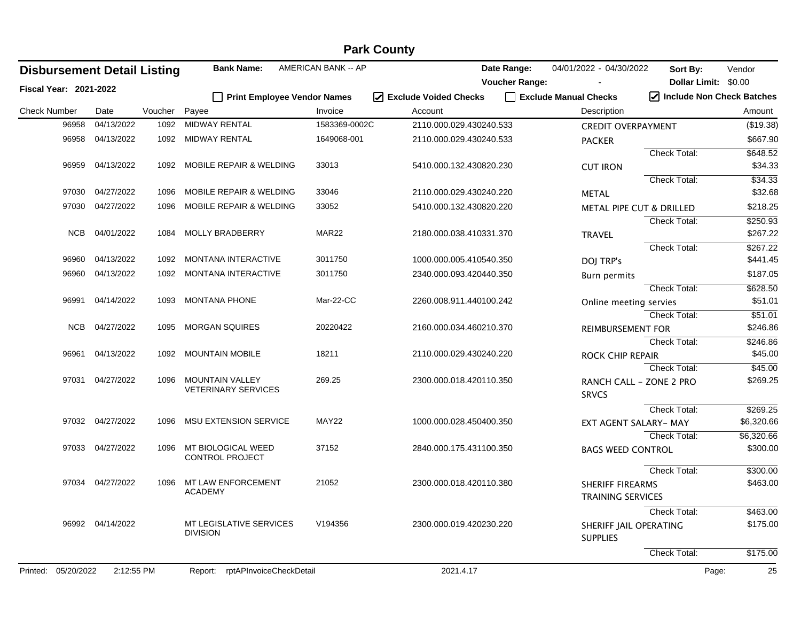|                                    | <b>Park County</b> |         |                                                      |                            |                         |                       |                                           |                             |                      |  |  |
|------------------------------------|--------------------|---------|------------------------------------------------------|----------------------------|-------------------------|-----------------------|-------------------------------------------|-----------------------------|----------------------|--|--|
| <b>Disbursement Detail Listing</b> |                    |         | <b>Bank Name:</b>                                    | <b>AMERICAN BANK -- AP</b> |                         | Date Range:           | 04/01/2022 - 04/30/2022                   | Sort By:                    | Vendor               |  |  |
| <b>Fiscal Year: 2021-2022</b>      |                    |         |                                                      |                            |                         | <b>Voucher Range:</b> |                                           | Dollar Limit: \$0.00        |                      |  |  |
|                                    |                    |         | <b>Print Employee Vendor Names</b>                   |                            | I Exclude Voided Checks |                       | Exclude Manual Checks                     | 7 Include Non Check Batches |                      |  |  |
| <b>Check Number</b>                | Date               | Voucher | Payee                                                | Invoice                    | Account                 |                       | Description                               |                             | Amount               |  |  |
| 96958                              | 04/13/2022         | 1092    | MIDWAY RENTAL                                        | 1583369-0002C              | 2110.000.029.430240.533 |                       | <b>CREDIT OVERPAYMENT</b>                 |                             | (\$19.38)            |  |  |
| 96958                              | 04/13/2022         | 1092    | MIDWAY RENTAL                                        | 1649068-001                | 2110.000.029.430240.533 |                       | <b>PACKER</b>                             |                             | \$667.90             |  |  |
|                                    |                    |         |                                                      |                            |                         |                       |                                           | Check Total:                | \$648.52             |  |  |
| 96959                              | 04/13/2022         |         | 1092 MOBILE REPAIR & WELDING                         | 33013                      | 5410.000.132.430820.230 |                       | <b>CUT IRON</b>                           |                             | \$34.33              |  |  |
|                                    |                    |         |                                                      |                            |                         |                       |                                           | Check Total:                | \$34.33              |  |  |
| 97030                              | 04/27/2022         | 1096    | <b>MOBILE REPAIR &amp; WELDING</b>                   | 33046                      | 2110.000.029.430240.220 |                       | <b>METAL</b>                              |                             | \$32.68              |  |  |
| 97030                              | 04/27/2022         | 1096    | <b>MOBILE REPAIR &amp; WELDING</b>                   | 33052                      | 5410.000.132.430820.220 |                       | METAL PIPE CUT & DRILLED                  |                             | \$218.25             |  |  |
|                                    |                    |         |                                                      |                            |                         |                       |                                           | Check Total:                | \$250.93             |  |  |
| <b>NCB</b>                         | 04/01/2022         | 1084    | MOLLY BRADBERRY                                      | MAR <sub>22</sub>          | 2180.000.038.410331.370 |                       | <b>TRAVEL</b>                             |                             | \$267.22             |  |  |
|                                    |                    |         |                                                      |                            |                         |                       |                                           | <b>Check Total:</b>         | \$267.22             |  |  |
| 96960                              | 04/13/2022         | 1092    | <b>MONTANA INTERACTIVE</b>                           | 3011750                    | 1000.000.005.410540.350 |                       | DOJ TRP's                                 |                             | \$441.45             |  |  |
| 96960                              | 04/13/2022         | 1092    | <b>MONTANA INTERACTIVE</b>                           | 3011750                    | 2340.000.093.420440.350 |                       | <b>Burn permits</b>                       |                             | \$187.05             |  |  |
|                                    |                    |         |                                                      |                            |                         |                       |                                           | Check Total:                | \$628.50             |  |  |
| 96991                              | 04/14/2022         | 1093    | <b>MONTANA PHONE</b>                                 | Mar-22-CC                  | 2260.008.911.440100.242 |                       | Online meeting servies                    |                             | \$51.01              |  |  |
|                                    |                    |         |                                                      |                            |                         |                       |                                           | Check Total:                | \$51.01              |  |  |
| NCB                                | 04/27/2022         | 1095    | <b>MORGAN SQUIRES</b>                                | 20220422                   | 2160.000.034.460210.370 |                       | <b>REIMBURSEMENT FOR</b>                  |                             | \$246.86             |  |  |
|                                    |                    |         |                                                      |                            |                         |                       |                                           | Check Total:                | \$246.86             |  |  |
| 96961                              | 04/13/2022         |         | 1092 MOUNTAIN MOBILE                                 | 18211                      | 2110.000.029.430240.220 |                       | <b>ROCK CHIP REPAIR</b>                   |                             | \$45.00              |  |  |
|                                    |                    |         |                                                      |                            |                         |                       |                                           | Check Total:                | \$45.00              |  |  |
| 97031                              | 04/27/2022         | 1096    | <b>MOUNTAIN VALLEY</b><br><b>VETERINARY SERVICES</b> | 269.25                     | 2300.000.018.420110.350 |                       | RANCH CALL - ZONE 2 PRO                   |                             | \$269.25             |  |  |
|                                    |                    |         |                                                      |                            |                         |                       | <b>SRVCS</b>                              |                             |                      |  |  |
|                                    |                    |         |                                                      |                            |                         |                       |                                           | Check Total:                | \$269.25             |  |  |
|                                    | 97032 04/27/2022   | 1096    | <b>MSU EXTENSION SERVICE</b>                         | MAY22                      | 1000.000.028.450400.350 |                       | EXT AGENT SALARY- MAY                     |                             | \$6,320.66           |  |  |
|                                    |                    |         |                                                      |                            |                         |                       |                                           | <b>Check Total:</b>         | \$6,320.66           |  |  |
|                                    | 97033 04/27/2022   | 1096    | MT BIOLOGICAL WEED<br><b>CONTROL PROJECT</b>         | 37152                      | 2840.000.175.431100.350 |                       | <b>BAGS WEED CONTROL</b>                  |                             | \$300.00             |  |  |
|                                    |                    |         |                                                      |                            |                         |                       |                                           | Check Total:                | \$300.00             |  |  |
| 97034                              | 04/27/2022         | 1096    | MT LAW ENFORCEMENT                                   | 21052                      | 2300.000.018.420110.380 |                       | <b>SHERIFF FIREARMS</b>                   |                             | \$463.00             |  |  |
|                                    |                    |         | <b>ACADEMY</b>                                       |                            |                         |                       | TRAINING SERVICES                         |                             |                      |  |  |
|                                    |                    |         |                                                      |                            |                         |                       |                                           |                             |                      |  |  |
|                                    | 96992 04/14/2022   |         | MT LEGISLATIVE SERVICES                              | V194356                    | 2300.000.019.420230.220 |                       |                                           | Check Total:                | \$463.00<br>\$175.00 |  |  |
|                                    |                    |         | <b>DIVISION</b>                                      |                            |                         |                       | SHERIFF JAIL OPERATING<br><b>SUPPLIES</b> |                             |                      |  |  |
|                                    |                    |         |                                                      |                            |                         |                       |                                           |                             |                      |  |  |
|                                    |                    |         |                                                      |                            |                         |                       |                                           | Check Total:                | \$175.00             |  |  |
| Printed: 05/20/2022                | 2:12:55 PM         |         | Report: rptAPInvoiceCheckDetail                      |                            | 2021.4.17               |                       |                                           | Page:                       | 25                   |  |  |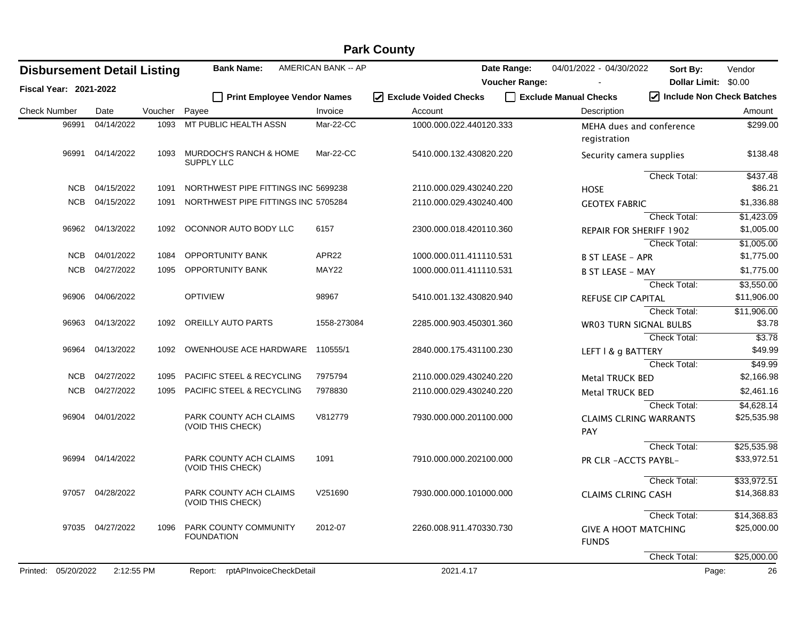|                                    |                  |         |                                                        |                            | <b>Park County</b>               |                       |                                             |                                                |                     |
|------------------------------------|------------------|---------|--------------------------------------------------------|----------------------------|----------------------------------|-----------------------|---------------------------------------------|------------------------------------------------|---------------------|
| <b>Disbursement Detail Listing</b> |                  |         | <b>Bank Name:</b>                                      | <b>AMERICAN BANK -- AP</b> |                                  | Date Range:           | 04/01/2022 - 04/30/2022                     | Sort By:                                       | Vendor              |
| Fiscal Year: 2021-2022             |                  |         |                                                        |                            |                                  | <b>Voucher Range:</b> |                                             | <b>Dollar Limit:</b>                           | \$0.00              |
|                                    |                  |         | <b>Print Employee Vendor Names</b>                     |                            | $\sqrt{ }$ Exclude Voided Checks |                       | Exclude Manual Checks                       | $\sqrt{\phantom{a}}$ Include Non Check Batches |                     |
| <b>Check Number</b>                | Date             | Voucher | Payee                                                  | Invoice                    | Account                          |                       | Description                                 |                                                | Amount              |
| 96991                              | 04/14/2022       | 1093    | MT PUBLIC HEALTH ASSN                                  | Mar-22-CC                  | 1000.000.022.440120.333          |                       | MEHA dues and conference<br>registration    |                                                | \$299.00            |
|                                    | 96991 04/14/2022 | 1093    | <b>MURDOCH'S RANCH &amp; HOME</b><br><b>SUPPLY LLC</b> | Mar-22-CC                  | 5410.000.132.430820.220          |                       | Security camera supplies                    |                                                | \$138.48            |
| NCB                                | 04/15/2022       | 1091    | NORTHWEST PIPE FITTINGS INC 5699238                    |                            | 2110.000.029.430240.220          |                       | <b>HOSE</b>                                 | Check Total:                                   | \$437.48<br>\$86.21 |
| NCB                                | 04/15/2022       | 1091    | NORTHWEST PIPE FITTINGS INC 5705284                    |                            | 2110.000.029.430240.400          |                       | <b>GEOTEX FABRIC</b>                        |                                                | \$1,336.88          |
|                                    |                  |         |                                                        |                            |                                  |                       |                                             | Check Total:                                   | \$1,423.09          |
| 96962                              | 04/13/2022       | 1092    | OCONNOR AUTO BODY LLC                                  | 6157                       | 2300.000.018.420110.360          |                       | <b>REPAIR FOR SHERIFF 1902</b>              |                                                | \$1,005.00          |
|                                    |                  |         |                                                        |                            |                                  |                       |                                             | Check Total:                                   | \$1,005.00          |
| <b>NCB</b>                         | 04/01/2022       | 1084    | OPPORTUNITY BANK                                       | APR22                      | 1000.000.011.411110.531          |                       | <b>B ST LEASE - APR</b>                     |                                                | \$1,775.00          |
| NCB                                | 04/27/2022       | 1095    | <b>OPPORTUNITY BANK</b>                                | MAY22                      | 1000.000.011.411110.531          |                       | <b>B ST LEASE - MAY</b>                     |                                                | \$1,775.00          |
|                                    |                  |         |                                                        |                            |                                  |                       |                                             | <b>Check Total:</b>                            | \$3,550.00          |
| 96906                              | 04/06/2022       |         | <b>OPTIVIEW</b>                                        | 98967                      | 5410.001.132.430820.940          |                       | <b>REFUSE CIP CAPITAL</b>                   |                                                | \$11,906.00         |
|                                    |                  |         |                                                        |                            |                                  |                       |                                             | <b>Check Total:</b>                            | \$11,906.00         |
| 96963                              | 04/13/2022       | 1092    | OREILLY AUTO PARTS                                     | 1558-273084                | 2285.000.903.450301.360          |                       | <b>WR03 TURN SIGNAL BULBS</b>               |                                                | \$3.78              |
|                                    |                  |         |                                                        |                            |                                  |                       |                                             | <b>Check Total:</b>                            | \$3.78              |
| 96964                              | 04/13/2022       | 1092    | OWENHOUSE ACE HARDWARE                                 | 110555/1                   | 2840.000.175.431100.230          |                       | LEFT   & g BATTERY                          |                                                | \$49.99             |
|                                    |                  |         |                                                        |                            |                                  |                       |                                             | <b>Check Total:</b>                            | \$49.99             |
| <b>NCB</b>                         | 04/27/2022       | 1095    | <b>PACIFIC STEEL &amp; RECYCLING</b>                   | 7975794                    | 2110.000.029.430240.220          |                       | <b>Metal TRUCK BED</b>                      |                                                | \$2,166.98          |
| NCB                                | 04/27/2022       | 1095    | PACIFIC STEEL & RECYCLING                              | 7978830                    | 2110.000.029.430240.220          |                       | Metal TRUCK BED                             |                                                | \$2,461.16          |
|                                    |                  |         |                                                        |                            |                                  |                       |                                             | <b>Check Total:</b>                            | \$4,628.14          |
|                                    | 96904 04/01/2022 |         | PARK COUNTY ACH CLAIMS<br>(VOID THIS CHECK)            | V812779                    | 7930.000.000.201100.000          |                       | <b>CLAIMS CLRING WARRANTS</b><br>PAY        |                                                | \$25,535.98         |
|                                    |                  |         |                                                        |                            |                                  |                       |                                             | <b>Check Total:</b>                            | \$25,535.98         |
|                                    | 96994 04/14/2022 |         | PARK COUNTY ACH CLAIMS<br>(VOID THIS CHECK)            | 1091                       | 7910.000.000.202100.000          |                       | PR CLR - ACCTS PAYBL-                       |                                                | \$33,972.51         |
|                                    |                  |         |                                                        |                            |                                  |                       |                                             | <b>Check Total:</b>                            | \$33,972.51         |
|                                    | 97057 04/28/2022 |         | PARK COUNTY ACH CLAIMS<br>(VOID THIS CHECK)            | V251690                    | 7930.000.000.101000.000          |                       | <b>CLAIMS CLRING CASH</b>                   |                                                | \$14,368.83         |
|                                    |                  |         |                                                        |                            |                                  |                       |                                             | Check Total:                                   | \$14,368.83         |
|                                    | 97035 04/27/2022 | 1096    | PARK COUNTY COMMUNITY<br><b>FOUNDATION</b>             | 2012-07                    | 2260.008.911.470330.730          |                       | <b>GIVE A HOOT MATCHING</b><br><b>FUNDS</b> |                                                | \$25,000.00         |
|                                    |                  |         |                                                        |                            |                                  |                       |                                             | Check Total:                                   | \$25,000.00         |
| Printed: 05/20/2022                | 2:12:55 PM       |         | Report: rptAPInvoiceCheckDetail                        |                            | 2021.4.17                        |                       |                                             | Page:                                          | 26                  |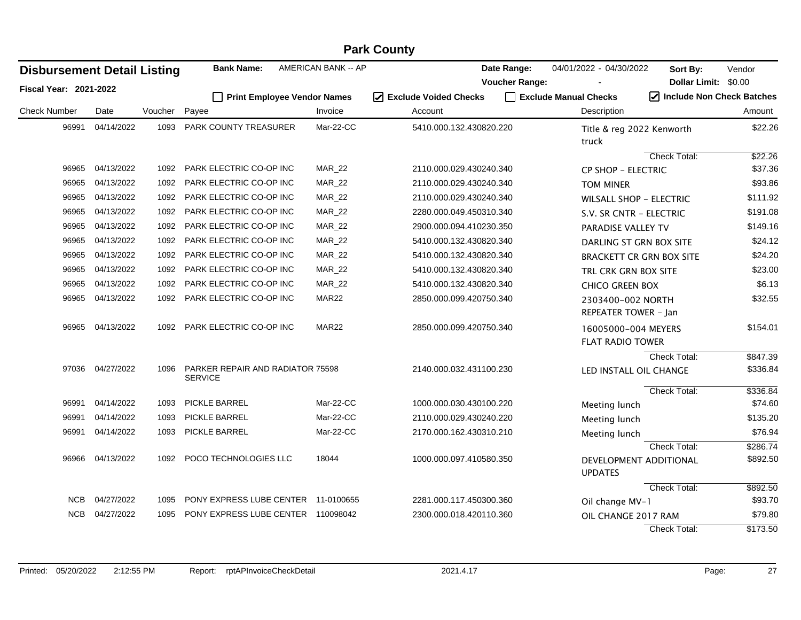| <b>Disbursement Detail Listing</b> |                  |         | <b>Bank Name:</b>                                  | <b>AMERICAN BANK -- AP</b> |                                   | Date Range:           | 04/01/2022 - 04/30/2022                        | Sort By:             | Vendor                                         |
|------------------------------------|------------------|---------|----------------------------------------------------|----------------------------|-----------------------------------|-----------------------|------------------------------------------------|----------------------|------------------------------------------------|
| <b>Fiscal Year: 2021-2022</b>      |                  |         |                                                    |                            |                                   | <b>Voucher Range:</b> |                                                | Dollar Limit: \$0.00 |                                                |
|                                    |                  |         | Print Employee Vendor Names                        |                            | ☑<br><b>Exclude Voided Checks</b> |                       | Exclude Manual Checks                          |                      | $\sqrt{\phantom{a}}$ Include Non Check Batches |
| <b>Check Number</b>                | Date             | Voucher | Payee                                              | Invoice                    | Account                           |                       | Description                                    |                      | Amount                                         |
| 96991                              | 04/14/2022       |         | 1093 PARK COUNTY TREASURER                         | Mar-22-CC                  | 5410.000.132.430820.220           |                       | Title & reg 2022 Kenworth<br>truck             |                      | \$22.26                                        |
|                                    |                  |         |                                                    |                            |                                   |                       |                                                | Check Total:         | \$22.26                                        |
| 96965                              | 04/13/2022       | 1092    | PARK ELECTRIC CO-OP INC                            | <b>MAR_22</b>              | 2110.000.029.430240.340           |                       | <b>CP SHOP - ELECTRIC</b>                      |                      | \$37.36                                        |
| 96965                              | 04/13/2022       | 1092    | PARK ELECTRIC CO-OP INC                            | <b>MAR_22</b>              | 2110.000.029.430240.340           |                       | <b>TOM MINER</b>                               |                      | \$93.86                                        |
| 96965                              | 04/13/2022       | 1092    | PARK ELECTRIC CO-OP INC                            | <b>MAR_22</b>              | 2110.000.029.430240.340           |                       | <b>WILSALL SHOP - ELECTRIC</b>                 |                      | \$111.92                                       |
| 96965                              | 04/13/2022       | 1092    | PARK ELECTRIC CO-OP INC                            | <b>MAR_22</b>              | 2280.000.049.450310.340           |                       | S.V. SR CNTR - ELECTRIC                        |                      | \$191.08                                       |
| 96965                              | 04/13/2022       | 1092    | PARK ELECTRIC CO-OP INC                            | <b>MAR_22</b>              | 2900.000.094.410230.350           |                       | PARADISE VALLEY TV                             |                      | \$149.16                                       |
| 96965                              | 04/13/2022       | 1092    | PARK ELECTRIC CO-OP INC                            | <b>MAR_22</b>              | 5410.000.132.430820.340           |                       | DARLING ST GRN BOX SITE                        |                      | \$24.12                                        |
| 96965                              | 04/13/2022       | 1092    | PARK ELECTRIC CO-OP INC                            | <b>MAR_22</b>              | 5410.000.132.430820.340           |                       | <b>BRACKETT CR GRN BOX SITE</b>                |                      | \$24.20                                        |
| 96965                              | 04/13/2022       | 1092    | PARK ELECTRIC CO-OP INC                            | <b>MAR_22</b>              | 5410.000.132.430820.340           |                       | TRL CRK GRN BOX SITE                           |                      | \$23.00                                        |
| 96965                              | 04/13/2022       | 1092    | PARK ELECTRIC CO-OP INC                            | <b>MAR_22</b>              | 5410.000.132.430820.340           |                       | <b>CHICO GREEN BOX</b>                         |                      | \$6.13                                         |
| 96965                              | 04/13/2022       | 1092    | PARK ELECTRIC CO-OP INC                            | MAR22                      | 2850.000.099.420750.340           |                       | 2303400-002 NORTH<br>REPEATER TOWER - Jan      |                      | \$32.55                                        |
|                                    | 96965 04/13/2022 |         | 1092 PARK ELECTRIC CO-OP INC                       | MAR22                      | 2850.000.099.420750.340           |                       | 16005000-004 MEYERS<br><b>FLAT RADIO TOWER</b> |                      | \$154.01                                       |
|                                    | 97036 04/27/2022 | 1096    | PARKER REPAIR AND RADIATOR 75598<br><b>SERVICE</b> |                            | 2140.000.032.431100.230           |                       | LED INSTALL OIL CHANGE                         | Check Total:         | \$847.39<br>\$336.84                           |
|                                    |                  |         |                                                    |                            |                                   |                       |                                                | Check Total:         | \$336.84                                       |
| 96991                              | 04/14/2022       | 1093    | PICKLE BARREL                                      | Mar-22-CC                  | 1000.000.030.430100.220           |                       | Meeting lunch                                  |                      | \$74.60                                        |
| 96991                              | 04/14/2022       | 1093    | <b>PICKLE BARREL</b>                               | Mar-22-CC                  | 2110.000.029.430240.220           |                       | Meeting lunch                                  |                      | \$135.20                                       |
| 96991                              | 04/14/2022       | 1093    | <b>PICKLE BARREL</b>                               | Mar-22-CC                  | 2170.000.162.430310.210           |                       | Meeting lunch                                  |                      | \$76.94                                        |
|                                    |                  |         |                                                    |                            |                                   |                       |                                                | <b>Check Total:</b>  | \$286.74                                       |
| 96966                              | 04/13/2022       |         | 1092 POCO TECHNOLOGIES LLC                         | 18044                      | 1000.000.097.410580.350           |                       | DEVELOPMENT ADDITIONAL<br><b>UPDATES</b>       |                      | \$892.50                                       |
|                                    |                  |         |                                                    |                            |                                   |                       |                                                | <b>Check Total:</b>  | \$892.50                                       |
| NCB                                | 04/27/2022       | 1095    | PONY EXPRESS LUBE CENTER 11-0100655                |                            | 2281.000.117.450300.360           |                       | Oil change MV-1                                |                      | \$93.70                                        |
| <b>NCB</b>                         | 04/27/2022       | 1095    | PONY EXPRESS LUBE CENTER 110098042                 |                            | 2300.000.018.420110.360           |                       | OIL CHANGE 2017 RAM                            |                      | \$79.80                                        |
|                                    |                  |         |                                                    |                            |                                   |                       |                                                | <b>Check Total:</b>  | \$173.50                                       |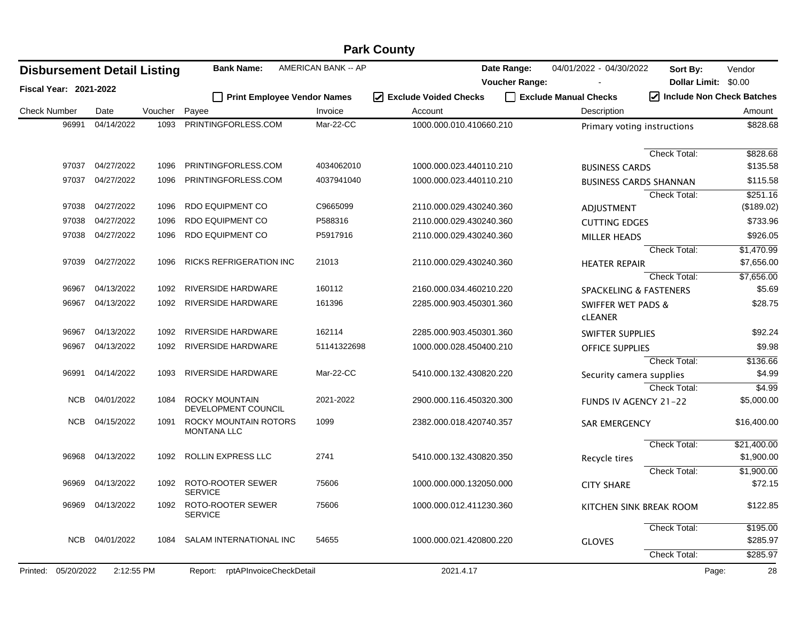|                                    | <b>Park County</b> |         |                                             |                     |                                  |                       |                                                 |                             |             |  |  |
|------------------------------------|--------------------|---------|---------------------------------------------|---------------------|----------------------------------|-----------------------|-------------------------------------------------|-----------------------------|-------------|--|--|
| <b>Disbursement Detail Listing</b> |                    |         | <b>Bank Name:</b>                           | AMERICAN BANK -- AP |                                  | Date Range:           | 04/01/2022 - 04/30/2022                         | Sort By:                    | Vendor      |  |  |
| <b>Fiscal Year: 2021-2022</b>      |                    |         |                                             |                     |                                  | <b>Voucher Range:</b> |                                                 | Dollar Limit: \$0.00        |             |  |  |
|                                    |                    |         | <b>Print Employee Vendor Names</b>          |                     | $\sqrt{ }$ Exclude Voided Checks |                       | Exclude Manual Checks                           | 7 Include Non Check Batches |             |  |  |
| <b>Check Number</b>                | Date               | Voucher | Payee                                       | Invoice             | Account                          |                       | Description                                     |                             | Amount      |  |  |
| 96991                              | 04/14/2022         | 1093    | PRINTINGFORLESS.COM                         | Mar-22-CC           | 1000.000.010.410660.210          |                       | Primary voting instructions                     |                             | \$828.68    |  |  |
|                                    |                    |         |                                             |                     |                                  |                       |                                                 | Check Total:                | \$828.68    |  |  |
| 97037                              | 04/27/2022         | 1096    | PRINTINGFORLESS.COM                         | 4034062010          | 1000.000.023.440110.210          |                       | <b>BUSINESS CARDS</b>                           |                             | \$135.58    |  |  |
| 97037                              | 04/27/2022         | 1096    | PRINTINGFORLESS.COM                         | 4037941040          | 1000.000.023.440110.210          |                       | <b>BUSINESS CARDS SHANNAN</b>                   |                             | \$115.58    |  |  |
|                                    |                    |         |                                             |                     |                                  |                       |                                                 | Check Total:                | \$251.16    |  |  |
| 97038                              | 04/27/2022         | 1096    | RDO EQUIPMENT CO                            | C9665099            | 2110.000.029.430240.360          |                       | ADJUSTMENT                                      |                             | (\$189.02)  |  |  |
| 97038                              | 04/27/2022         | 1096    | RDO EQUIPMENT CO                            | P588316             | 2110.000.029.430240.360          |                       | <b>CUTTING EDGES</b>                            |                             | \$733.96    |  |  |
| 97038                              | 04/27/2022         | 1096    | RDO EQUIPMENT CO                            | P5917916            | 2110.000.029.430240.360          |                       | <b>MILLER HEADS</b>                             |                             | \$926.05    |  |  |
|                                    |                    |         |                                             |                     |                                  |                       |                                                 | Check Total:                | \$1,470.99  |  |  |
| 97039                              | 04/27/2022         | 1096    | <b>RICKS REFRIGERATION INC</b>              | 21013               | 2110.000.029.430240.360          |                       | <b>HEATER REPAIR</b>                            |                             | \$7,656.00  |  |  |
|                                    |                    |         |                                             |                     |                                  |                       |                                                 | <b>Check Total:</b>         | \$7,656.00  |  |  |
| 96967                              | 04/13/2022         | 1092    | RIVERSIDE HARDWARE                          | 160112              | 2160.000.034.460210.220          |                       | <b>SPACKELING &amp; FASTENERS</b>               |                             | \$5.69      |  |  |
| 96967                              | 04/13/2022         | 1092    | RIVERSIDE HARDWARE                          | 161396              | 2285.000.903.450301.360          |                       | <b>SWIFFER WET PADS &amp;</b><br><b>CLEANER</b> |                             | \$28.75     |  |  |
| 96967                              | 04/13/2022         | 1092    | RIVERSIDE HARDWARE                          | 162114              | 2285.000.903.450301.360          |                       | SWIFTER SUPPLIES                                |                             | \$92.24     |  |  |
| 96967                              | 04/13/2022         | 1092    | <b>RIVERSIDE HARDWARE</b>                   | 51141322698         | 1000.000.028.450400.210          |                       | <b>OFFICE SUPPLIES</b>                          |                             | \$9.98      |  |  |
|                                    |                    |         |                                             |                     |                                  |                       |                                                 | Check Total:                | \$136.66    |  |  |
| 96991                              | 04/14/2022         | 1093    | RIVERSIDE HARDWARE                          | Mar-22-CC           | 5410.000.132.430820.220          |                       | Security camera supplies                        |                             | \$4.99      |  |  |
|                                    |                    |         |                                             |                     |                                  |                       |                                                 | Check Total:                | \$4.99      |  |  |
| <b>NCB</b>                         | 04/01/2022         | 1084    | ROCKY MOUNTAIN<br>DEVELOPMENT COUNCIL       | 2021-2022           | 2900.000.116.450320.300          |                       | FUNDS IV AGENCY 21-22                           |                             | \$5,000.00  |  |  |
| <b>NCB</b>                         | 04/15/2022         | 1091    | ROCKY MOUNTAIN ROTORS<br><b>MONTANA LLC</b> | 1099                | 2382.000.018.420740.357          |                       | <b>SAR EMERGENCY</b>                            |                             | \$16,400.00 |  |  |
|                                    |                    |         |                                             |                     |                                  |                       |                                                 | Check Total:                | \$21,400.00 |  |  |
| 96968                              | 04/13/2022         | 1092    | ROLLIN EXPRESS LLC                          | 2741                | 5410.000.132.430820.350          |                       | Recycle tires                                   |                             | \$1,900.00  |  |  |
|                                    |                    |         |                                             |                     |                                  |                       |                                                 | <b>Check Total:</b>         | \$1,900.00  |  |  |
| 96969                              | 04/13/2022         | 1092    | ROTO-ROOTER SEWER<br><b>SERVICE</b>         | 75606               | 1000.000.000.132050.000          |                       | <b>CITY SHARE</b>                               |                             | \$72.15     |  |  |
|                                    | 96969 04/13/2022   |         | 1092 ROTO-ROOTER SEWER<br><b>SERVICE</b>    | 75606               | 1000.000.012.411230.360          |                       | KITCHEN SINK BREAK ROOM                         |                             | \$122.85    |  |  |
|                                    |                    |         |                                             |                     |                                  |                       |                                                 | Check Total:                | \$195.00    |  |  |
| NCB                                | 04/01/2022         | 1084    | SALAM INTERNATIONAL INC                     | 54655               | 1000.000.021.420800.220          |                       | <b>GLOVES</b>                                   |                             | \$285.97    |  |  |
|                                    |                    |         |                                             |                     |                                  |                       |                                                 | <b>Check Total:</b>         | \$285.97    |  |  |
| Printed: 05/20/2022                | 2:12:55 PM         |         | Report: rptAPInvoiceCheckDetail             |                     | 2021.4.17                        |                       |                                                 | Page:                       | 28          |  |  |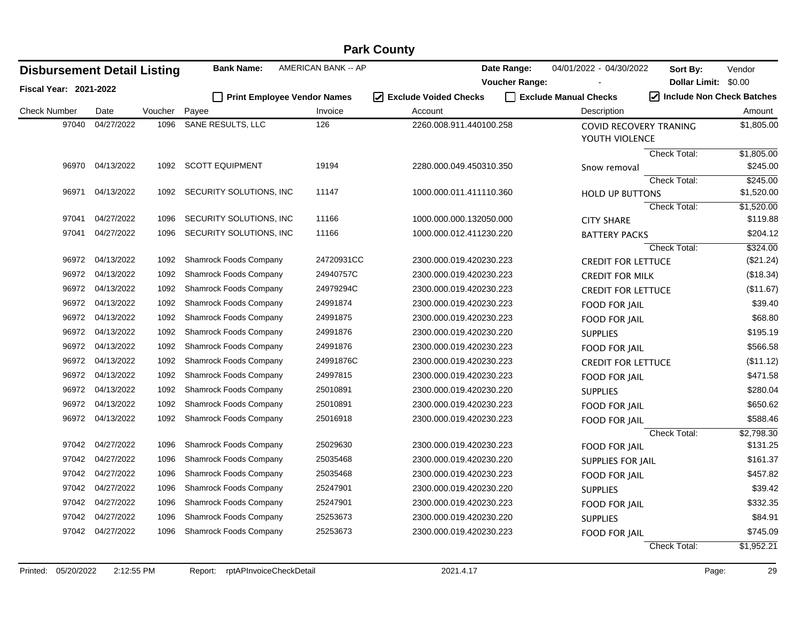| <b>Disbursement Detail Listing</b> |                  |         | <b>Bank Name:</b>                  | AMERICAN BANK -- AP |                                                       | Date Range:           | 04/01/2022 - 04/30/2022   | Sort By:             | Vendor                    |
|------------------------------------|------------------|---------|------------------------------------|---------------------|-------------------------------------------------------|-----------------------|---------------------------|----------------------|---------------------------|
| <b>Fiscal Year: 2021-2022</b>      |                  |         |                                    |                     |                                                       | <b>Voucher Range:</b> |                           | Dollar Limit: \$0.00 |                           |
|                                    |                  |         | <b>Print Employee Vendor Names</b> |                     | <b>Exclude Voided Checks</b><br>$\blacktriangleright$ |                       | Exclude Manual Checks     |                      | Include Non Check Batches |
| <b>Check Number</b>                | Date             | Voucher | Payee                              | Invoice             | Account                                               |                       | Description               |                      | Amount                    |
| 97040                              | 04/27/2022       | 1096    | SANE RESULTS, LLC                  | 126                 | 2260.008.911.440100.258                               |                       | COVID RECOVERY TRANING    |                      | \$1,805.00                |
|                                    |                  |         |                                    |                     |                                                       |                       | YOUTH VIOLENCE            |                      |                           |
|                                    |                  |         |                                    |                     |                                                       |                       |                           | Check Total:         | \$1,805.00                |
| 96970                              | 04/13/2022       | 1092    | <b>SCOTT EQUIPMENT</b>             | 19194               | 2280.000.049.450310.350                               |                       | Snow removal              |                      | \$245.00                  |
| 96971                              | 04/13/2022       | 1092    | SECURITY SOLUTIONS, INC            | 11147               |                                                       |                       |                           | Check Total:         | \$245.00                  |
|                                    |                  |         |                                    |                     | 1000.000.011.411110.360                               |                       | <b>HOLD UP BUTTONS</b>    | <b>Check Total:</b>  | \$1,520.00<br>\$1,520.00  |
| 97041                              | 04/27/2022       | 1096    | SECURITY SOLUTIONS, INC            | 11166               | 1000.000.000.132050.000                               |                       | <b>CITY SHARE</b>         |                      | \$119.88                  |
| 97041                              | 04/27/2022       | 1096    | SECURITY SOLUTIONS, INC            | 11166               | 1000.000.012.411230.220                               |                       | <b>BATTERY PACKS</b>      |                      | \$204.12                  |
|                                    |                  |         |                                    |                     |                                                       |                       |                           | <b>Check Total:</b>  | \$324.00                  |
| 96972                              | 04/13/2022       | 1092    | Shamrock Foods Company             | 24720931CC          | 2300.000.019.420230.223                               |                       | <b>CREDIT FOR LETTUCE</b> |                      | (\$21.24)                 |
| 96972                              | 04/13/2022       | 1092    | Shamrock Foods Company             | 24940757C           | 2300.000.019.420230.223                               |                       | <b>CREDIT FOR MILK</b>    |                      | (\$18.34)                 |
| 96972                              | 04/13/2022       | 1092    | Shamrock Foods Company             | 24979294C           | 2300.000.019.420230.223                               |                       | <b>CREDIT FOR LETTUCE</b> |                      | (\$11.67)                 |
| 96972                              | 04/13/2022       | 1092    | Shamrock Foods Company             | 24991874            | 2300.000.019.420230.223                               |                       | <b>FOOD FOR JAIL</b>      |                      | \$39.40                   |
| 96972                              | 04/13/2022       | 1092    | Shamrock Foods Company             | 24991875            | 2300.000.019.420230.223                               |                       | <b>FOOD FOR JAIL</b>      |                      | \$68.80                   |
| 96972                              | 04/13/2022       | 1092    | Shamrock Foods Company             | 24991876            | 2300.000.019.420230.220                               |                       | <b>SUPPLIES</b>           |                      | \$195.19                  |
| 96972                              | 04/13/2022       | 1092    | Shamrock Foods Company             | 24991876            | 2300.000.019.420230.223                               |                       | <b>FOOD FOR JAIL</b>      |                      | \$566.58                  |
| 96972                              | 04/13/2022       | 1092    | Shamrock Foods Company             | 24991876C           | 2300.000.019.420230.223                               |                       | <b>CREDIT FOR LETTUCE</b> |                      | (\$11.12)                 |
| 96972                              | 04/13/2022       | 1092    | Shamrock Foods Company             | 24997815            | 2300.000.019.420230.223                               |                       | <b>FOOD FOR JAIL</b>      |                      | \$471.58                  |
| 96972                              | 04/13/2022       | 1092    | <b>Shamrock Foods Company</b>      | 25010891            | 2300.000.019.420230.220                               |                       | <b>SUPPLIES</b>           |                      | \$280.04                  |
| 96972                              | 04/13/2022       | 1092    | <b>Shamrock Foods Company</b>      | 25010891            | 2300.000.019.420230.223                               |                       | <b>FOOD FOR JAIL</b>      |                      | \$650.62                  |
|                                    | 96972 04/13/2022 | 1092    | <b>Shamrock Foods Company</b>      | 25016918            | 2300.000.019.420230.223                               |                       | <b>FOOD FOR JAIL</b>      |                      | \$588.46                  |
|                                    |                  |         |                                    |                     |                                                       |                       |                           | Check Total:         | \$2,798.30                |
|                                    | 97042 04/27/2022 | 1096    | Shamrock Foods Company             | 25029630            | 2300.000.019.420230.223                               |                       | <b>FOOD FOR JAIL</b>      |                      | \$131.25                  |
| 97042                              | 04/27/2022       | 1096    | Shamrock Foods Company             | 25035468            | 2300.000.019.420230.220                               |                       | SUPPLIES FOR JAIL         |                      | \$161.37                  |
| 97042                              | 04/27/2022       | 1096    | Shamrock Foods Company             | 25035468            | 2300.000.019.420230.223                               |                       | <b>FOOD FOR JAIL</b>      |                      | \$457.82                  |
| 97042                              | 04/27/2022       | 1096    | <b>Shamrock Foods Company</b>      | 25247901            | 2300.000.019.420230.220                               |                       | <b>SUPPLIES</b>           |                      | \$39.42                   |
| 97042                              | 04/27/2022       | 1096    | Shamrock Foods Company             | 25247901            | 2300.000.019.420230.223                               |                       | <b>FOOD FOR JAIL</b>      |                      | \$332.35                  |
| 97042                              | 04/27/2022       | 1096    | Shamrock Foods Company             | 25253673            | 2300.000.019.420230.220                               |                       | <b>SUPPLIES</b>           |                      | \$84.91                   |
| 97042                              | 04/27/2022       | 1096    | Shamrock Foods Company             | 25253673            | 2300.000.019.420230.223                               |                       | <b>FOOD FOR JAIL</b>      |                      | \$745.09                  |
|                                    |                  |         |                                    |                     |                                                       |                       |                           | <b>Check Total:</b>  | \$1,952.21                |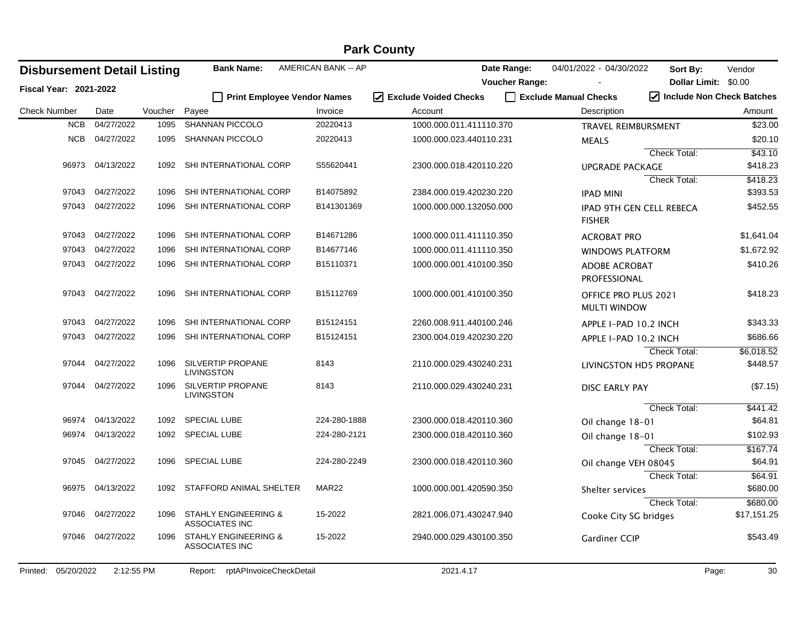|                     | <b>Park County</b>            |                                    |         |                                                          |                                    |                         |                       |                                                    |                           |             |  |
|---------------------|-------------------------------|------------------------------------|---------|----------------------------------------------------------|------------------------------------|-------------------------|-----------------------|----------------------------------------------------|---------------------------|-------------|--|
|                     |                               | <b>Disbursement Detail Listing</b> |         | <b>Bank Name:</b>                                        | AMERICAN BANK -- AP                |                         | Date Range:           | 04/01/2022 - 04/30/2022                            | Sort By:                  | Vendor      |  |
|                     | <b>Fiscal Year: 2021-2022</b> |                                    |         |                                                          |                                    |                         | <b>Voucher Range:</b> |                                                    | Dollar Limit: \$0.00      |             |  |
|                     |                               |                                    |         |                                                          | <b>Print Employee Vendor Names</b> | I Exclude Voided Checks |                       | Exclude Manual Checks                              | Include Non Check Batches |             |  |
| <b>Check Number</b> |                               | Date                               | Voucher | Payee                                                    | Invoice                            | Account                 |                       | Description                                        |                           | Amount      |  |
|                     | <b>NCB</b>                    | 04/27/2022                         | 1095    | SHANNAN PICCOLO                                          | 20220413                           | 1000.000.011.411110.370 |                       | TRAVEL REIMBURSMENT                                |                           | \$23.00     |  |
|                     | NCB                           | 04/27/2022                         | 1095    | <b>SHANNAN PICCOLO</b>                                   | 20220413                           | 1000.000.023.440110.231 |                       | <b>MEALS</b>                                       |                           | \$20.10     |  |
|                     |                               |                                    |         |                                                          |                                    |                         |                       |                                                    | Check Total:              | \$43.10     |  |
|                     |                               | 96973 04/13/2022                   | 1092    | SHI INTERNATIONAL CORP                                   | S55620441                          | 2300.000.018.420110.220 |                       | <b>UPGRADE PACKAGE</b>                             |                           | \$418.23    |  |
|                     |                               |                                    |         |                                                          |                                    |                         |                       |                                                    | Check Total:              | \$418.23    |  |
|                     | 97043                         | 04/27/2022                         | 1096    | SHI INTERNATIONAL CORP                                   | B14075892                          | 2384.000.019.420230.220 |                       | <b>IPAD MINI</b>                                   |                           | \$393.53    |  |
|                     | 97043                         | 04/27/2022                         | 1096    | SHI INTERNATIONAL CORP                                   | B141301369                         | 1000.000.000.132050.000 |                       | <b>IPAD 9TH GEN CELL REBECA</b><br><b>FISHER</b>   |                           | \$452.55    |  |
|                     | 97043                         | 04/27/2022                         | 1096    | SHI INTERNATIONAL CORP                                   | B14671286                          | 1000.000.011.411110.350 |                       | <b>ACROBAT PRO</b>                                 |                           | \$1,641.04  |  |
|                     | 97043                         | 04/27/2022                         | 1096    | SHI INTERNATIONAL CORP                                   | B14677146                          | 1000.000.011.411110.350 |                       | <b>WINDOWS PLATFORM</b>                            |                           | \$1,672.92  |  |
|                     | 97043                         | 04/27/2022                         | 1096    | SHI INTERNATIONAL CORP                                   | B15110371                          | 1000.000.001.410100.350 |                       | <b>ADOBE ACROBAT</b><br>PROFESSIONAL               |                           | \$410.26    |  |
|                     |                               | 97043 04/27/2022                   | 1096    | SHI INTERNATIONAL CORP                                   | B15112769                          | 1000.000.001.410100.350 |                       | <b>OFFICE PRO PLUS 2021</b><br><b>MULTI WINDOW</b> |                           | \$418.23    |  |
|                     | 97043                         | 04/27/2022                         | 1096    | SHI INTERNATIONAL CORP                                   | B15124151                          | 2260.008.911.440100.246 |                       | APPLE I-PAD 10.2 INCH                              |                           | \$343.33    |  |
|                     | 97043                         | 04/27/2022                         | 1096    | SHI INTERNATIONAL CORP                                   | B15124151                          | 2300.004.019.420230.220 |                       | APPLE I-PAD 10.2 INCH                              |                           | \$686.66    |  |
|                     |                               |                                    |         |                                                          |                                    |                         |                       |                                                    | Check Total:              | \$6,018.52  |  |
|                     | 97044                         | 04/27/2022                         | 1096    | SILVERTIP PROPANE<br><b>LIVINGSTON</b>                   | 8143                               | 2110.000.029.430240.231 |                       | LIVINGSTON HD5 PROPANE                             |                           | \$448.57    |  |
|                     | 97044                         | 04/27/2022                         | 1096    | SILVERTIP PROPANE<br>LIVINGSTON                          | 8143                               | 2110.000.029.430240.231 |                       | <b>DISC EARLY PAY</b>                              |                           | (\$7.15)    |  |
|                     |                               |                                    |         |                                                          |                                    |                         |                       |                                                    | Check Total:              | \$441.42    |  |
|                     | 96974                         | 04/13/2022                         | 1092    | <b>SPECIAL LUBE</b>                                      | 224-280-1888                       | 2300.000.018.420110.360 |                       | Oil change 18-01                                   |                           | \$64.81     |  |
|                     | 96974                         | 04/13/2022                         | 1092    | <b>SPECIAL LUBE</b>                                      | 224-280-2121                       | 2300.000.018.420110.360 |                       | Oil change 18-01                                   |                           | \$102.93    |  |
|                     |                               |                                    |         |                                                          |                                    |                         |                       |                                                    | Check Total:              | \$167.74    |  |
|                     | 97045                         | 04/27/2022                         | 1096    | <b>SPECIAL LUBE</b>                                      | 224-280-2249                       | 2300.000.018.420110.360 |                       | Oil change VEH 08045                               |                           | \$64.91     |  |
|                     |                               |                                    |         |                                                          |                                    |                         |                       |                                                    | Check Total:              | \$64.91     |  |
|                     |                               | 96975 04/13/2022                   |         | 1092 STAFFORD ANIMAL SHELTER                             | MAR22                              | 1000.000.001.420590.350 |                       | Shelter services                                   |                           | \$680.00    |  |
|                     |                               |                                    |         |                                                          |                                    |                         |                       |                                                    | Check Total:              | \$680.00    |  |
|                     | 97046                         | 04/27/2022                         | 1096    | <b>STAHLY ENGINEERING &amp;</b><br><b>ASSOCIATES INC</b> | 15-2022                            | 2821.006.071.430247.940 |                       | Cooke City SG bridges                              |                           | \$17,151.25 |  |
|                     |                               | 97046 04/27/2022                   | 1096    | <b>STAHLY ENGINEERING &amp;</b><br><b>ASSOCIATES INC</b> | 15-2022                            | 2940.000.029.430100.350 |                       | Gardiner CCIP                                      |                           | \$543.49    |  |
| Printed:            | 05/20/2022                    | 2:12:55 PM                         |         | rptAPInvoiceCheckDetail<br>Report:                       |                                    | 2021.4.17               |                       |                                                    | Page:                     | 30          |  |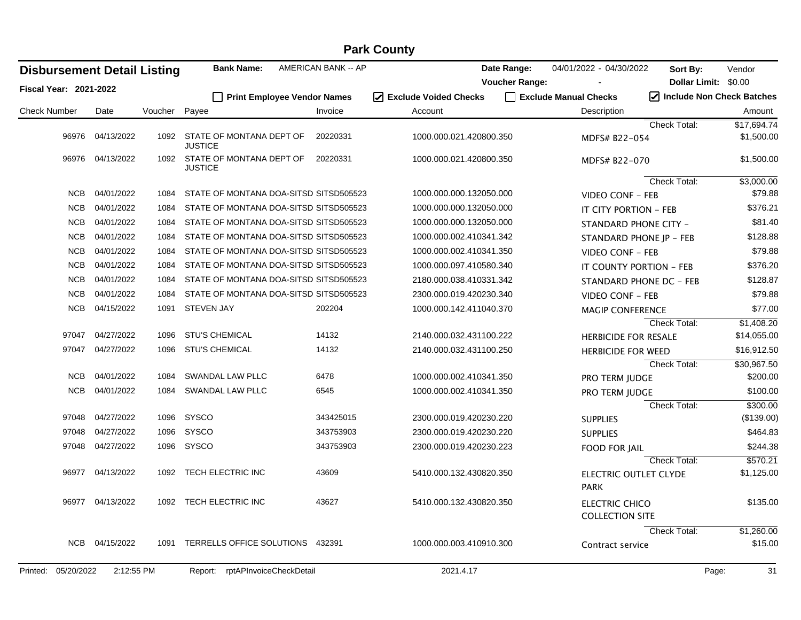| <b>Disbursement Detail Listing</b> |                  |         | <b>Bank Name:</b>                          | AMERICAN BANK -- AP |                                 | Date Range:           | 04/01/2022 - 04/30/2022                         | Sort By:             | Vendor                    |
|------------------------------------|------------------|---------|--------------------------------------------|---------------------|---------------------------------|-----------------------|-------------------------------------------------|----------------------|---------------------------|
| <b>Fiscal Year: 2021-2022</b>      |                  |         |                                            |                     |                                 | <b>Voucher Range:</b> |                                                 | Dollar Limit: \$0.00 |                           |
|                                    |                  |         | Print Employee Vendor Names                |                     | $\sqrt{}$ Exclude Voided Checks |                       | Exclude Manual Checks                           |                      | Include Non Check Batches |
| <b>Check Number</b>                | Date             | Voucher | Payee                                      | Invoice             | Account                         |                       | Description                                     |                      | Amount                    |
|                                    | 96976 04/13/2022 |         | 1092 STATE OF MONTANA DEPT OF              | 20220331            | 1000.000.021.420800.350         |                       |                                                 | Check Total:         | \$17.694.74<br>\$1,500.00 |
|                                    |                  |         | <b>JUSTICE</b>                             |                     |                                 |                       | MDFS# B22-054                                   |                      |                           |
|                                    | 96976 04/13/2022 | 1092    | STATE OF MONTANA DEPT OF<br><b>JUSTICE</b> | 20220331            | 1000.000.021.420800.350         |                       | MDFS# B22-070                                   |                      | \$1,500.00                |
|                                    |                  |         |                                            |                     |                                 |                       |                                                 | <b>Check Total:</b>  | \$3,000.00                |
|                                    | NCB 04/01/2022   | 1084    | STATE OF MONTANA DOA-SITSD SITSD505523     |                     | 1000.000.000.132050.000         |                       | <b>VIDEO CONF - FEB</b>                         |                      | \$79.88                   |
| <b>NCB</b>                         | 04/01/2022       | 1084    | STATE OF MONTANA DOA-SITSD SITSD505523     |                     | 1000.000.000.132050.000         |                       | IT CITY PORTION - FEB                           |                      | \$376.21                  |
| <b>NCB</b>                         | 04/01/2022       | 1084    | STATE OF MONTANA DOA-SITSD SITSD505523     |                     | 1000.000.000.132050.000         |                       | STANDARD PHONE CITY -                           |                      | \$81.40                   |
| <b>NCB</b>                         | 04/01/2022       | 1084    | STATE OF MONTANA DOA-SITSD SITSD505523     |                     | 1000.000.002.410341.342         |                       | STANDARD PHONE JP - FEB                         |                      | \$128.88                  |
| <b>NCB</b>                         | 04/01/2022       | 1084    | STATE OF MONTANA DOA-SITSD SITSD505523     |                     | 1000.000.002.410341.350         |                       | <b>VIDEO CONF - FEB</b>                         |                      | \$79.88                   |
| <b>NCB</b>                         | 04/01/2022       | 1084    | STATE OF MONTANA DOA-SITSD SITSD505523     |                     | 1000.000.097.410580.340         |                       | IT COUNTY PORTION - FEB                         |                      | \$376.20                  |
| <b>NCB</b>                         | 04/01/2022       | 1084    | STATE OF MONTANA DOA-SITSD SITSD505523     |                     | 2180.000.038.410331.342         |                       | STANDARD PHONE DC - FEB                         |                      | \$128.87                  |
| <b>NCB</b>                         | 04/01/2022       | 1084    | STATE OF MONTANA DOA-SITSD SITSD505523     |                     | 2300.000.019.420230.340         |                       | <b>VIDEO CONF - FEB</b>                         |                      | \$79.88                   |
| <b>NCB</b>                         | 04/15/2022       | 1091    | <b>STEVEN JAY</b>                          | 202204              | 1000.000.142.411040.370         |                       | <b>MAGIP CONFERENCE</b>                         |                      | \$77.00                   |
|                                    |                  |         |                                            |                     |                                 |                       |                                                 | Check Total:         | \$1,408.20                |
| 97047                              | 04/27/2022       | 1096    | <b>STU'S CHEMICAL</b>                      | 14132               | 2140.000.032.431100.222         |                       | <b>HERBICIDE FOR RESALE</b>                     |                      | \$14,055.00               |
| 97047                              | 04/27/2022       | 1096    | <b>STU'S CHEMICAL</b>                      | 14132               | 2140.000.032.431100.250         |                       | <b>HERBICIDE FOR WEED</b>                       |                      | \$16,912.50               |
|                                    |                  |         |                                            |                     |                                 |                       |                                                 | <b>Check Total:</b>  | \$30,967.50               |
| NCB                                | 04/01/2022       | 1084    | SWANDAL LAW PLLC                           | 6478                | 1000.000.002.410341.350         |                       | <b>PRO TERM JUDGE</b>                           |                      | \$200.00                  |
| <b>NCB</b>                         | 04/01/2022       | 1084    | <b>SWANDAL LAW PLLC</b>                    | 6545                | 1000.000.002.410341.350         |                       | PRO TERM JUDGE                                  |                      | \$100.00                  |
|                                    |                  |         |                                            |                     |                                 |                       |                                                 | Check Total:         | \$300.00                  |
| 97048                              | 04/27/2022       | 1096    | <b>SYSCO</b>                               | 343425015           | 2300.000.019.420230.220         |                       | <b>SUPPLIES</b>                                 |                      | (\$139.00)                |
| 97048                              | 04/27/2022       | 1096    | <b>SYSCO</b>                               | 343753903           | 2300.000.019.420230.220         |                       | <b>SUPPLIES</b>                                 |                      | \$464.83                  |
| 97048                              | 04/27/2022       | 1096    | SYSCO                                      | 343753903           | 2300.000.019.420230.223         |                       | <b>FOOD FOR JAIL</b>                            |                      | \$244.38                  |
|                                    |                  |         |                                            |                     |                                 |                       |                                                 | Check Total:         | \$570.21                  |
| 96977                              | 04/13/2022       | 1092    | TECH ELECTRIC INC                          | 43609               | 5410.000.132.430820.350         |                       | ELECTRIC OUTLET CLYDE<br><b>PARK</b>            |                      | \$1,125.00                |
| 96977                              | 04/13/2022       | 1092    | TECH ELECTRIC INC                          | 43627               | 5410.000.132.430820.350         |                       | <b>ELECTRIC CHICO</b><br><b>COLLECTION SITE</b> |                      | \$135.00                  |
|                                    |                  |         |                                            |                     |                                 |                       |                                                 | <b>Check Total:</b>  | \$1,260.00                |
| <b>NCB</b>                         | 04/15/2022       | 1091    | TERRELLS OFFICE SOLUTIONS                  | 432391              | 1000.000.003.410910.300         |                       | Contract service                                |                      | \$15.00                   |
| Printed: 05/20/2022                | 2:12:55 PM       |         | rptAPInvoiceCheckDetail<br>Report:         |                     | 2021.4.17                       |                       |                                                 |                      | 31<br>Page:               |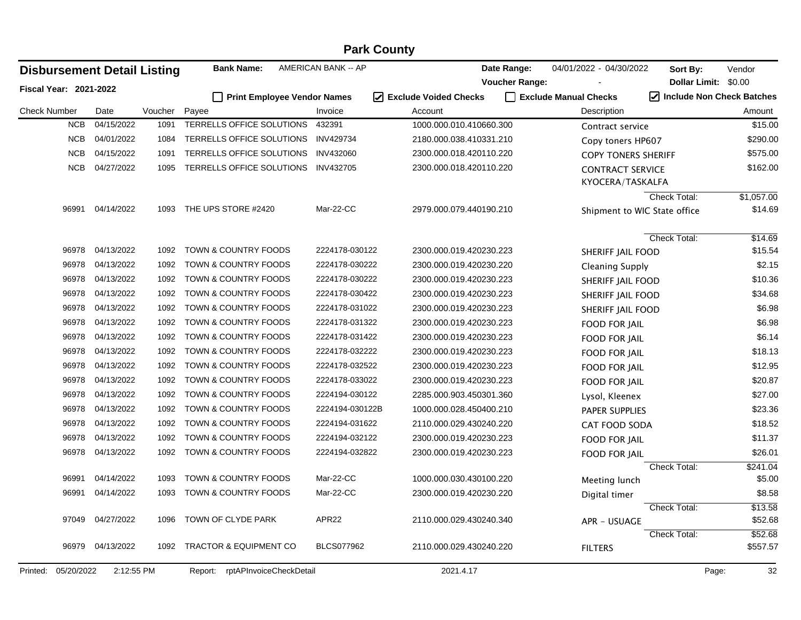| <b>Disbursement Detail Listing</b> |            |         | <b>Bank Name:</b>                  | AMERICAN BANK -- AP | Date Range:             | 04/01/2022 - 04/30/2022 | Sort By:                                    | Vendor                              |
|------------------------------------|------------|---------|------------------------------------|---------------------|-------------------------|-------------------------|---------------------------------------------|-------------------------------------|
| <b>Fiscal Year: 2021-2022</b>      |            |         |                                    |                     | <b>Voucher Range:</b>   |                         |                                             | Dollar Limit: \$0.00                |
|                                    |            |         | Print Employee Vendor Names        |                     | ☑ Exclude Voided Checks | Exclude Manual Checks   |                                             | $\sqrt{}$ Include Non Check Batches |
| <b>Check Number</b>                | Date       | Voucher | Payee                              | Invoice             | Account                 |                         | Description                                 | Amount                              |
| <b>NCB</b>                         | 04/15/2022 | 1091    | TERRELLS OFFICE SOLUTIONS          | 432391              | 1000.000.010.410660.300 |                         | Contract service                            | \$15.00                             |
| <b>NCB</b>                         | 04/01/2022 | 1084    | TERRELLS OFFICE SOLUTIONS          | <b>INV429734</b>    | 2180.000.038.410331.210 |                         | Copy toners HP607                           | \$290.00                            |
| <b>NCB</b>                         | 04/15/2022 | 1091    | TERRELLS OFFICE SOLUTIONS          | INV432060           | 2300.000.018.420110.220 |                         | <b>COPY TONERS SHERIFF</b>                  | \$575.00                            |
| <b>NCB</b>                         | 04/27/2022 | 1095    | TERRELLS OFFICE SOLUTIONS          | <b>INV432705</b>    | 2300.000.018.420110.220 |                         | <b>CONTRACT SERVICE</b><br>KYOCERA/TASKALFA | \$162.00                            |
|                                    |            |         |                                    |                     |                         |                         | <b>Check Total:</b>                         | \$1,057.00                          |
| 96991                              | 04/14/2022 | 1093    | THE UPS STORE #2420                | Mar-22-CC           | 2979.000.079.440190.210 |                         | Shipment to WIC State office                | \$14.69                             |
|                                    |            |         |                                    |                     |                         |                         | Check Total:                                | \$14.69                             |
| 96978                              | 04/13/2022 | 1092    | TOWN & COUNTRY FOODS               | 2224178-030122      | 2300.000.019.420230.223 |                         | <b>SHERIFF JAIL FOOD</b>                    | \$15.54                             |
| 96978                              | 04/13/2022 | 1092    | TOWN & COUNTRY FOODS               | 2224178-030222      | 2300.000.019.420230.220 |                         | Cleaning Supply                             | \$2.15                              |
| 96978                              | 04/13/2022 | 1092    | TOWN & COUNTRY FOODS               | 2224178-030222      | 2300.000.019.420230.223 |                         | SHERIFF JAIL FOOD                           | \$10.36                             |
| 96978                              | 04/13/2022 | 1092    | TOWN & COUNTRY FOODS               | 2224178-030422      | 2300.000.019.420230.223 |                         | SHERIFF JAIL FOOD                           | \$34.68                             |
| 96978                              | 04/13/2022 | 1092    | TOWN & COUNTRY FOODS               | 2224178-031022      | 2300.000.019.420230.223 |                         | SHERIFF JAIL FOOD                           | \$6.98                              |
| 96978                              | 04/13/2022 | 1092    | TOWN & COUNTRY FOODS               | 2224178-031322      | 2300.000.019.420230.223 |                         | <b>FOOD FOR JAIL</b>                        | \$6.98                              |
| 96978                              | 04/13/2022 | 1092    | TOWN & COUNTRY FOODS               | 2224178-031422      | 2300.000.019.420230.223 |                         | <b>FOOD FOR JAIL</b>                        | \$6.14                              |
| 96978                              | 04/13/2022 | 1092    | TOWN & COUNTRY FOODS               | 2224178-032222      | 2300.000.019.420230.223 |                         | <b>FOOD FOR JAIL</b>                        | \$18.13                             |
| 96978                              | 04/13/2022 | 1092    | TOWN & COUNTRY FOODS               | 2224178-032522      | 2300.000.019.420230.223 |                         | <b>FOOD FOR JAIL</b>                        | \$12.95                             |
| 96978                              | 04/13/2022 | 1092    | TOWN & COUNTRY FOODS               | 2224178-033022      | 2300.000.019.420230.223 |                         | <b>FOOD FOR JAIL</b>                        | \$20.87                             |
| 96978                              | 04/13/2022 | 1092    | TOWN & COUNTRY FOODS               | 2224194-030122      | 2285.000.903.450301.360 |                         | Lysol, Kleenex                              | \$27.00                             |
| 96978                              | 04/13/2022 | 1092    | TOWN & COUNTRY FOODS               | 2224194-030122B     | 1000.000.028.450400.210 |                         | PAPER SUPPLIES                              | \$23.36                             |
| 96978                              | 04/13/2022 | 1092    | TOWN & COUNTRY FOODS               | 2224194-031622      | 2110.000.029.430240.220 |                         | <b>CAT FOOD SODA</b>                        | \$18.52                             |
| 96978                              | 04/13/2022 | 1092    | TOWN & COUNTRY FOODS               | 2224194-032122      | 2300.000.019.420230.223 |                         | <b>FOOD FOR JAIL</b>                        | \$11.37                             |
| 96978                              | 04/13/2022 | 1092    | TOWN & COUNTRY FOODS               | 2224194-032822      | 2300.000.019.420230.223 |                         | <b>FOOD FOR JAIL</b>                        | \$26.01                             |
|                                    |            |         |                                    |                     |                         |                         | Check Total:                                | \$241.04                            |
| 96991                              | 04/14/2022 | 1093    | TOWN & COUNTRY FOODS               | Mar-22-CC           | 1000.000.030.430100.220 |                         | Meeting lunch                               | \$5.00                              |
| 96991                              | 04/14/2022 | 1093    | TOWN & COUNTRY FOODS               | Mar-22-CC           | 2300.000.019.420230.220 |                         | Digital timer                               | \$8.58                              |
|                                    |            |         |                                    |                     |                         |                         | Check Total:                                | \$13.58                             |
| 97049                              | 04/27/2022 | 1096    | TOWN OF CLYDE PARK                 | APR22               | 2110.000.029.430240.340 |                         | APR - USUAGE                                | \$52.68                             |
|                                    |            |         |                                    |                     |                         |                         | <b>Check Total:</b>                         | \$52.68                             |
| 96979                              | 04/13/2022 | 1092    | <b>TRACTOR &amp; EQUIPMENT CO</b>  | <b>BLCS077962</b>   | 2110.000.029.430240.220 | <b>FILTERS</b>          |                                             | \$557.57                            |
| Printed: 05/20/2022                | 2:12:55 PM |         | rptAPInvoiceCheckDetail<br>Report: |                     | 2021.4.17               |                         |                                             | 32<br>Page:                         |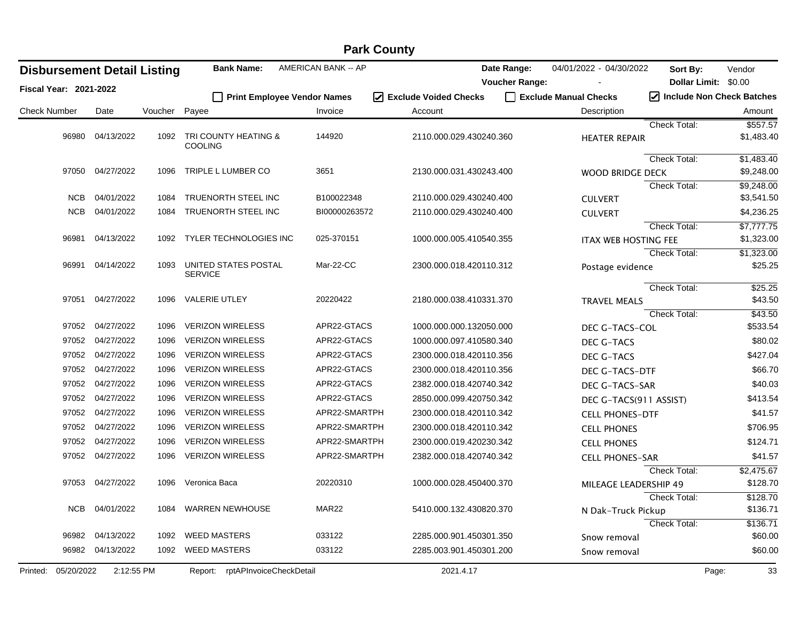|                     | <b>Park County</b>     |                                    |         |                                        |                     |                                  |                       |                             |                           |            |  |
|---------------------|------------------------|------------------------------------|---------|----------------------------------------|---------------------|----------------------------------|-----------------------|-----------------------------|---------------------------|------------|--|
|                     |                        | <b>Disbursement Detail Listing</b> |         | <b>Bank Name:</b>                      | AMERICAN BANK -- AP |                                  | Date Range:           | 04/01/2022 - 04/30/2022     | Sort By:                  | Vendor     |  |
|                     | Fiscal Year: 2021-2022 |                                    |         |                                        |                     |                                  | <b>Voucher Range:</b> |                             | Dollar Limit: \$0.00      |            |  |
|                     |                        |                                    |         | <b>Print Employee Vendor Names</b>     |                     | $\sqrt{ }$ Exclude Voided Checks |                       | Exclude Manual Checks       | Include Non Check Batches |            |  |
| <b>Check Number</b> |                        | Date                               | Voucher | Payee                                  | Invoice             | Account                          |                       | Description                 |                           | Amount     |  |
|                     |                        |                                    |         |                                        |                     |                                  |                       |                             | <b>Check Total:</b>       | \$557.57   |  |
|                     | 96980                  | 04/13/2022                         | 1092    | TRI COUNTY HEATING &<br><b>COOLING</b> | 144920              | 2110.000.029.430240.360          |                       | <b>HEATER REPAIR</b>        |                           | \$1,483.40 |  |
|                     |                        |                                    |         |                                        |                     |                                  |                       |                             | <b>Check Total:</b>       | \$1,483.40 |  |
|                     |                        | 97050 04/27/2022                   | 1096    | TRIPLE L LUMBER CO                     | 3651                | 2130.000.031.430243.400          |                       | <b>WOOD BRIDGE DECK</b>     |                           | \$9,248.00 |  |
|                     |                        |                                    |         |                                        |                     |                                  |                       |                             | Check Total:              | \$9,248.00 |  |
|                     | <b>NCB</b>             | 04/01/2022                         | 1084    | TRUENORTH STEEL INC                    | B100022348          | 2110.000.029.430240.400          |                       | <b>CULVERT</b>              |                           | \$3,541.50 |  |
|                     | <b>NCB</b>             | 04/01/2022                         | 1084    | TRUENORTH STEEL INC                    | BI00000263572       | 2110.000.029.430240.400          |                       | <b>CULVERT</b>              |                           | \$4,236.25 |  |
|                     |                        |                                    |         |                                        |                     |                                  |                       |                             | <b>Check Total:</b>       | \$7,777.75 |  |
|                     | 96981                  | 04/13/2022                         | 1092    | TYLER TECHNOLOGIES INC                 | 025-370151          | 1000.000.005.410540.355          |                       | <b>ITAX WEB HOSTING FEE</b> |                           | \$1,323.00 |  |
|                     |                        |                                    |         |                                        |                     |                                  |                       |                             | <b>Check Total:</b>       | \$1,323.00 |  |
|                     | 96991                  | 04/14/2022                         | 1093    | UNITED STATES POSTAL<br><b>SERVICE</b> | Mar-22-CC           | 2300.000.018.420110.312          |                       | Postage evidence            |                           | \$25.25    |  |
|                     |                        |                                    |         |                                        |                     |                                  |                       |                             | Check Total:              | \$25.25    |  |
|                     | 97051                  | 04/27/2022                         | 1096    | <b>VALERIE UTLEY</b>                   | 20220422            | 2180.000.038.410331.370          |                       | <b>TRAVEL MEALS</b>         |                           | \$43.50    |  |
|                     |                        |                                    |         |                                        |                     |                                  |                       |                             | Check Total:              | \$43.50    |  |
|                     | 97052                  | 04/27/2022                         | 1096    | <b>VERIZON WIRELESS</b>                | APR22-GTACS         | 1000.000.000.132050.000          |                       | DEC G-TACS-COL              |                           | \$533.54   |  |
|                     | 97052                  | 04/27/2022                         | 1096    | <b>VERIZON WIRELESS</b>                | APR22-GTACS         | 1000.000.097.410580.340          |                       | DEC G-TACS                  |                           | \$80.02    |  |
|                     | 97052                  | 04/27/2022                         | 1096    | <b>VERIZON WIRELESS</b>                | APR22-GTACS         | 2300.000.018.420110.356          |                       | DEC G-TACS                  |                           | \$427.04   |  |
|                     | 97052                  | 04/27/2022                         | 1096    | <b>VERIZON WIRELESS</b>                | APR22-GTACS         | 2300.000.018.420110.356          |                       | DEC G-TACS-DTF              |                           | \$66.70    |  |
|                     | 97052                  | 04/27/2022                         | 1096    | <b>VERIZON WIRELESS</b>                | APR22-GTACS         | 2382.000.018.420740.342          |                       | DEC G-TACS-SAR              |                           | \$40.03    |  |
|                     | 97052                  | 04/27/2022                         | 1096    | <b>VERIZON WIRELESS</b>                | APR22-GTACS         | 2850.000.099.420750.342          |                       | DEC G-TACS(911 ASSIST)      |                           | \$413.54   |  |
|                     | 97052                  | 04/27/2022                         | 1096    | <b>VERIZON WIRELESS</b>                | APR22-SMARTPH       | 2300.000.018.420110.342          |                       | <b>CELL PHONES-DTF</b>      |                           | \$41.57    |  |
|                     | 97052                  | 04/27/2022                         | 1096    | <b>VERIZON WIRELESS</b>                | APR22-SMARTPH       | 2300.000.018.420110.342          |                       | <b>CELL PHONES</b>          |                           | \$706.95   |  |
|                     | 97052                  | 04/27/2022                         | 1096    | <b>VERIZON WIRELESS</b>                | APR22-SMARTPH       | 2300.000.019.420230.342          |                       | <b>CELL PHONES</b>          |                           | \$124.71   |  |
|                     | 97052                  | 04/27/2022                         | 1096    | <b>VERIZON WIRELESS</b>                | APR22-SMARTPH       | 2382.000.018.420740.342          |                       | <b>CELL PHONES-SAR</b>      |                           | \$41.57    |  |
|                     |                        |                                    |         |                                        |                     |                                  |                       |                             | <b>Check Total:</b>       | \$2,475.67 |  |
|                     | 97053                  | 04/27/2022                         | 1096    | Veronica Baca                          | 20220310            | 1000.000.028.450400.370          |                       | MILEAGE LEADERSHIP 49       |                           | \$128.70   |  |
|                     |                        |                                    |         |                                        |                     |                                  |                       |                             | Check Total:              | \$128.70   |  |
|                     |                        | NCB 04/01/2022                     |         | 1084 WARREN NEWHOUSE                   | MAR22               | 5410.000.132.430820.370          |                       | N Dak-Truck Pickup          |                           | \$136.71   |  |
|                     |                        |                                    |         |                                        |                     |                                  |                       |                             | Check Total:              | \$136.71   |  |
|                     |                        | 96982 04/13/2022                   | 1092    | <b>WEED MASTERS</b>                    | 033122              | 2285.000.901.450301.350          |                       | Snow removal                |                           | \$60.00    |  |
|                     |                        | 96982 04/13/2022                   | 1092    | <b>WEED MASTERS</b>                    | 033122              | 2285.003.901.450301.200          |                       | Snow removal                |                           | \$60.00    |  |
| Printed:            | 05/20/2022             | 2:12:55 PM                         |         | Report: rptAPInvoiceCheckDetail        |                     | 2021.4.17                        |                       |                             | Page:                     | 33         |  |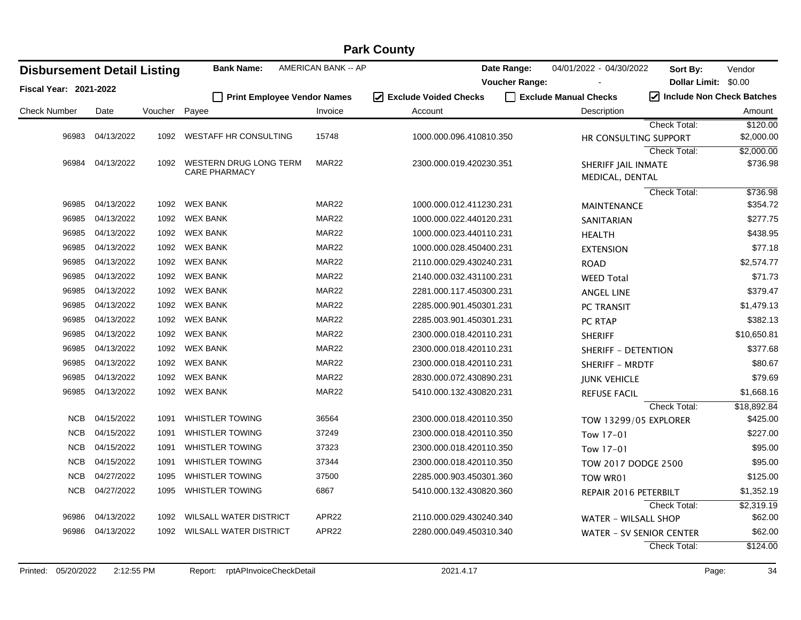|                                    | <b>Park County</b> |         |                                    |                     |                                 |                       |                                        |                           |                        |  |  |  |
|------------------------------------|--------------------|---------|------------------------------------|---------------------|---------------------------------|-----------------------|----------------------------------------|---------------------------|------------------------|--|--|--|
| <b>Disbursement Detail Listing</b> |                    |         | <b>Bank Name:</b>                  | AMERICAN BANK -- AP |                                 | Date Range:           | 04/01/2022 - 04/30/2022                | Sort By:                  | Vendor                 |  |  |  |
| Fiscal Year: 2021-2022             |                    |         |                                    |                     |                                 | <b>Voucher Range:</b> |                                        | Dollar Limit: \$0.00      |                        |  |  |  |
|                                    |                    |         | <b>Print Employee Vendor Names</b> |                     | $\sqrt{}$ Exclude Voided Checks |                       | Exclude Manual Checks                  | Include Non Check Batches |                        |  |  |  |
| <b>Check Number</b>                | Date               | Voucher | Payee                              | Invoice             | Account                         |                       | Description                            |                           | Amount                 |  |  |  |
|                                    |                    |         |                                    |                     |                                 |                       |                                        | Check Total:              | \$120.00               |  |  |  |
| 96983                              | 04/13/2022         | 1092    | <b>WESTAFF HR CONSULTING</b>       | 15748               | 1000.000.096.410810.350         |                       | HR CONSULTING SUPPORT                  |                           | \$2,000.00             |  |  |  |
| 96984                              | 04/13/2022         | 1092    | <b>WESTERN DRUG LONG TERM</b>      | MAR22               | 2300.000.019.420230.351         |                       |                                        | <b>Check Total:</b>       | \$2,000.00<br>\$736.98 |  |  |  |
|                                    |                    |         | <b>CARE PHARMACY</b>               |                     |                                 |                       | SHERIFF JAIL INMATE<br>MEDICAL, DENTAL |                           |                        |  |  |  |
|                                    |                    |         |                                    |                     |                                 |                       |                                        |                           | \$736.98               |  |  |  |
| 96985                              | 04/13/2022         | 1092    | <b>WEX BANK</b>                    | MAR <sub>22</sub>   | 1000.000.012.411230.231         |                       | <b>MAINTENANCE</b>                     | <b>Check Total:</b>       | \$354.72               |  |  |  |
| 96985                              | 04/13/2022         | 1092    | <b>WEX BANK</b>                    | <b>MAR22</b>        | 1000.000.022.440120.231         |                       | SANITARIAN                             |                           | \$277.75               |  |  |  |
| 96985                              | 04/13/2022         | 1092    | <b>WEX BANK</b>                    | MAR22               | 1000.000.023.440110.231         |                       | <b>HEALTH</b>                          |                           | \$438.95               |  |  |  |
| 96985                              | 04/13/2022         | 1092    | <b>WEX BANK</b>                    | MAR <sub>22</sub>   | 1000.000.028.450400.231         |                       | <b>EXTENSION</b>                       |                           | \$77.18                |  |  |  |
| 96985                              | 04/13/2022         | 1092    | <b>WEX BANK</b>                    | MAR22               | 2110.000.029.430240.231         |                       | <b>ROAD</b>                            |                           | \$2,574.77             |  |  |  |
| 96985                              | 04/13/2022         | 1092    | <b>WEX BANK</b>                    | MAR22               | 2140.000.032.431100.231         |                       | <b>WEED Total</b>                      |                           | \$71.73                |  |  |  |
| 96985                              | 04/13/2022         | 1092    | <b>WEX BANK</b>                    | MAR22               | 2281.000.117.450300.231         |                       | <b>ANGEL LINE</b>                      |                           | \$379.47               |  |  |  |
| 96985                              | 04/13/2022         | 1092    | <b>WEX BANK</b>                    | MAR <sub>22</sub>   | 2285.000.901.450301.231         |                       | PC TRANSIT                             |                           | \$1,479.13             |  |  |  |
| 96985                              | 04/13/2022         | 1092    | <b>WEX BANK</b>                    | MAR22               | 2285.003.901.450301.231         |                       | PC RTAP                                |                           | \$382.13               |  |  |  |
| 96985                              | 04/13/2022         | 1092    | <b>WEX BANK</b>                    | MAR <sub>22</sub>   | 2300.000.018.420110.231         |                       | <b>SHERIFF</b>                         |                           | \$10,650.81            |  |  |  |
| 96985                              | 04/13/2022         | 1092    | <b>WEX BANK</b>                    | MAR <sub>22</sub>   | 2300.000.018.420110.231         |                       | SHERIFF - DETENTION                    |                           | \$377.68               |  |  |  |
| 96985                              | 04/13/2022         | 1092    | <b>WEX BANK</b>                    | MAR <sub>22</sub>   | 2300.000.018.420110.231         |                       | <b>SHERIFF - MRDTF</b>                 |                           | \$80.67                |  |  |  |
| 96985                              | 04/13/2022         | 1092    | <b>WEX BANK</b>                    | MAR22               | 2830.000.072.430890.231         |                       | <b>JUNK VEHICLE</b>                    |                           | \$79.69                |  |  |  |
| 96985                              | 04/13/2022         | 1092    | <b>WEX BANK</b>                    | MAR22               | 5410.000.132.430820.231         |                       | <b>REFUSE FACIL</b>                    |                           | \$1,668.16             |  |  |  |
|                                    |                    |         |                                    |                     |                                 |                       |                                        | Check Total:              | \$18,892.84            |  |  |  |
| <b>NCB</b>                         | 04/15/2022         | 1091    | <b>WHISTLER TOWING</b>             | 36564               | 2300.000.018.420110.350         |                       | TOW 13299/05 EXPLORER                  |                           | \$425.00               |  |  |  |
| <b>NCB</b>                         | 04/15/2022         | 1091    | <b>WHISTLER TOWING</b>             | 37249               | 2300.000.018.420110.350         |                       | Tow 17-01                              |                           | \$227.00               |  |  |  |
| <b>NCB</b>                         | 04/15/2022         | 1091    | <b>WHISTLER TOWING</b>             | 37323               | 2300.000.018.420110.350         |                       | Tow 17-01                              |                           | \$95.00                |  |  |  |
| <b>NCB</b>                         | 04/15/2022         | 1091    | <b>WHISTLER TOWING</b>             | 37344               | 2300.000.018.420110.350         |                       | <b>TOW 2017 DODGE 2500</b>             |                           | \$95.00                |  |  |  |
| <b>NCB</b>                         | 04/27/2022         | 1095    | <b>WHISTLER TOWING</b>             | 37500               | 2285.000.903.450301.360         |                       | TOW WR01                               |                           | \$125.00               |  |  |  |
| <b>NCB</b>                         | 04/27/2022         | 1095    | <b>WHISTLER TOWING</b>             | 6867                | 5410.000.132.430820.360         |                       | REPAIR 2016 PETERBILT                  |                           | \$1,352.19             |  |  |  |
|                                    |                    |         |                                    |                     |                                 |                       |                                        | <b>Check Total:</b>       | \$2,319.19             |  |  |  |
| 96986                              | 04/13/2022         | 1092    | <b>WILSALL WATER DISTRICT</b>      | APR22               | 2110.000.029.430240.340         |                       | WATER - WILSALL SHOP                   |                           | \$62.00                |  |  |  |
| 96986                              | 04/13/2022         | 1092    | <b>WILSALL WATER DISTRICT</b>      | APR22               | 2280.000.049.450310.340         |                       | WATER - SV SENIOR CENTER               |                           | \$62.00                |  |  |  |
|                                    |                    |         |                                    |                     |                                 |                       |                                        | Check Total:              | \$124.00               |  |  |  |

Printed: 05/20/2022 2:12:55 PM Report: rptAPInvoiceCheckDetail 2021.4.17 2021.4.17 Page: 34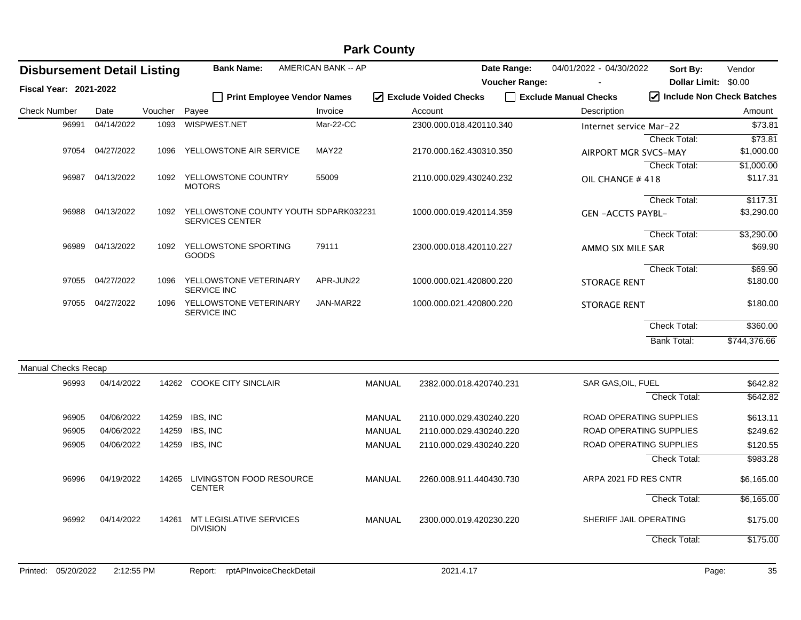|                               |            |                                    |         |                                                          |                            | <b>Park County</b>                       |                       |                         |                           |              |
|-------------------------------|------------|------------------------------------|---------|----------------------------------------------------------|----------------------------|------------------------------------------|-----------------------|-------------------------|---------------------------|--------------|
|                               |            | <b>Disbursement Detail Listing</b> |         | <b>Bank Name:</b>                                        | <b>AMERICAN BANK -- AP</b> |                                          | Date Range:           | 04/01/2022 - 04/30/2022 | Sort By:                  | Vendor       |
| <b>Fiscal Year: 2021-2022</b> |            |                                    |         |                                                          |                            |                                          | <b>Voucher Range:</b> |                         | Dollar Limit: \$0.00      |              |
|                               |            |                                    |         | □ Print Employee Vendor Names                            |                            | $\sqrt{ }$ Exclude Voided Checks         |                       | Exclude Manual Checks   | Include Non Check Batches |              |
| <b>Check Number</b>           |            | Date                               | Voucher | Payee                                                    | Invoice                    | Account                                  |                       | Description             |                           | Amount       |
|                               | 96991      | 04/14/2022                         | 1093    | WISPWEST.NET                                             | Mar-22-CC                  | 2300.000.018.420110.340                  |                       | Internet service Mar-22 |                           | \$73.81      |
|                               |            |                                    |         |                                                          |                            |                                          |                       |                         | Check Total:              | \$73.81      |
|                               |            | 97054 04/27/2022                   | 1096    | YELLOWSTONE AIR SERVICE                                  | MAY22                      | 2170.000.162.430310.350                  |                       | AIRPORT MGR SVCS-MAY    |                           | \$1,000.00   |
|                               |            |                                    |         |                                                          |                            |                                          |                       |                         | Check Total:              | \$1,000.00   |
|                               | 96987      | 04/13/2022                         |         | 1092 YELLOWSTONE COUNTRY<br><b>MOTORS</b>                | 55009                      | 2110.000.029.430240.232                  |                       | OIL CHANGE #418         |                           | \$117.31     |
|                               |            |                                    |         |                                                          |                            |                                          |                       |                         | <b>Check Total:</b>       | \$117.31     |
|                               | 96988      | 04/13/2022                         | 1092    | YELLOWSTONE COUNTY YOUTH SDPARK032231<br>SERVICES CENTER |                            | 1000.000.019.420114.359                  |                       | <b>GEN-ACCTS PAYBL-</b> |                           | \$3,290.00   |
|                               |            |                                    |         |                                                          |                            |                                          |                       |                         | <b>Check Total:</b>       | \$3,290.00   |
|                               |            | 96989 04/13/2022                   | 1092    | YELLOWSTONE SPORTING<br><b>GOODS</b>                     | 79111                      | 2300.000.018.420110.227                  |                       | AMMO SIX MILE SAR       |                           | \$69.90      |
|                               |            |                                    |         |                                                          |                            |                                          |                       |                         | Check Total:              | \$69.90      |
|                               |            | 97055 04/27/2022                   | 1096    | YELLOWSTONE VETERINARY<br><b>SERVICE INC</b>             | APR-JUN22                  | 1000.000.021.420800.220                  |                       | <b>STORAGE RENT</b>     |                           | \$180.00     |
|                               | 97055      | 04/27/2022                         | 1096    | YELLOWSTONE VETERINARY<br><b>SERVICE INC</b>             | JAN-MAR22                  | 1000.000.021.420800.220                  |                       | <b>STORAGE RENT</b>     |                           | \$180.00     |
|                               |            |                                    |         |                                                          |                            |                                          |                       |                         | Check Total:              | \$360.00     |
|                               |            |                                    |         |                                                          |                            |                                          |                       |                         | <b>Bank Total:</b>        | \$744,376.66 |
| <b>Manual Checks Recap</b>    |            |                                    |         |                                                          |                            |                                          |                       |                         |                           |              |
|                               | 96993      | 04/14/2022                         |         | 14262 COOKE CITY SINCLAIR                                |                            | <b>MANUAL</b><br>2382.000.018.420740.231 |                       | SAR GAS, OIL, FUEL      |                           | \$642.82     |
|                               |            |                                    |         |                                                          |                            |                                          |                       |                         | Check Total:              | \$642.82     |
|                               | 96905      | 04/06/2022                         | 14259   | IBS, INC                                                 |                            | MANUAL<br>2110.000.029.430240.220        |                       | ROAD OPERATING SUPPLIES |                           | \$613.11     |
|                               | 96905      | 04/06/2022                         | 14259   | IBS, INC                                                 |                            | MANUAL<br>2110.000.029.430240.220        |                       | ROAD OPERATING SUPPLIES |                           | \$249.62     |
|                               | 96905      | 04/06/2022                         | 14259   | IBS, INC                                                 |                            | MANUAL<br>2110.000.029.430240.220        |                       | ROAD OPERATING SUPPLIES |                           | \$120.55     |
|                               |            |                                    |         |                                                          |                            |                                          |                       |                         | Check Total:              | \$983.28     |
|                               | 96996      | 04/19/2022                         | 14265   | LIVINGSTON FOOD RESOURCE<br><b>CENTER</b>                |                            | <b>MANUAL</b><br>2260.008.911.440430.730 |                       | ARPA 2021 FD RES CNTR   |                           | \$6,165.00   |
|                               |            |                                    |         |                                                          |                            |                                          |                       |                         | Check Total:              | \$6,165.00   |
|                               | 96992      | 04/14/2022                         | 14261   | MT LEGISLATIVE SERVICES<br><b>DIVISION</b>               |                            | MANUAL<br>2300.000.019.420230.220        |                       | SHERIFF JAIL OPERATING  |                           | \$175.00     |
|                               |            |                                    |         |                                                          |                            |                                          |                       |                         | Check Total:              | \$175.00     |
| Printed:                      | 05/20/2022 | 2:12:55 PM                         |         | rptAPInvoiceCheckDetail<br>Report:                       |                            | 2021.4.17                                |                       |                         | Page:                     | 35           |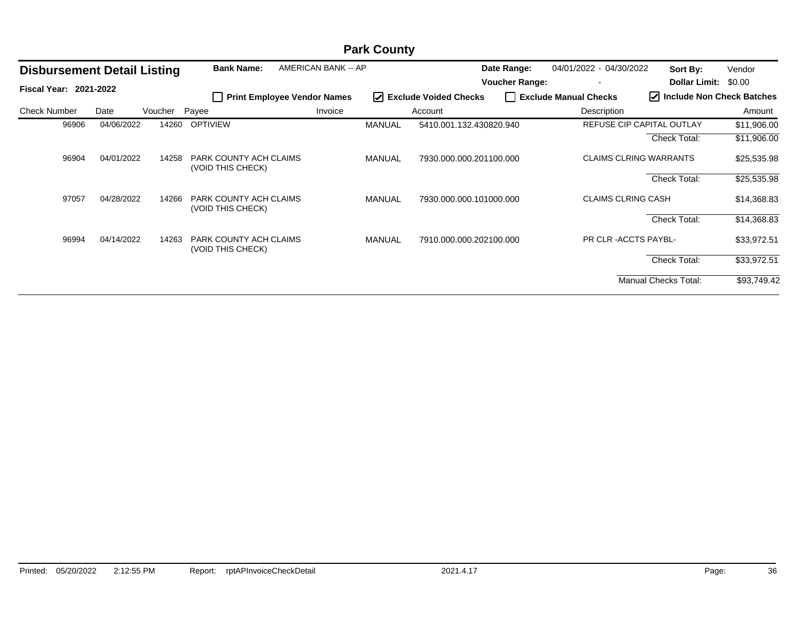|                                    | <b>Park County</b> |         |                                             |                                    |               |                         |                                      |                              |                                     |                  |  |
|------------------------------------|--------------------|---------|---------------------------------------------|------------------------------------|---------------|-------------------------|--------------------------------------|------------------------------|-------------------------------------|------------------|--|
| <b>Disbursement Detail Listing</b> |                    |         | <b>Bank Name:</b>                           | AMERICAN BANK -- AP                |               |                         | Date Range:<br><b>Voucher Range:</b> | 04/01/2022 - 04/30/2022      | Sort By:<br><b>Dollar Limit:</b>    | Vendor<br>\$0.00 |  |
| <b>Fiscal Year: 2021-2022</b>      |                    |         | $\overline{\phantom{a}}$                    | <b>Print Employee Vendor Names</b> |               | I Exclude Voided Checks |                                      | Exclude Manual Checks        | $\sqrt{}$ Include Non Check Batches |                  |  |
| <b>Check Number</b>                | Date               | Voucher | Payee                                       | Invoice                            |               | Account                 |                                      | Description                  |                                     | Amount           |  |
| 96906                              | 04/06/2022         | 14260   | <b>OPTIVIEW</b>                             |                                    | <b>MANUAL</b> | 5410.001.132.430820.940 |                                      |                              | <b>REFUSE CIP CAPITAL OUTLAY</b>    | \$11,906.00      |  |
|                                    |                    |         |                                             |                                    |               |                         |                                      |                              | <b>Check Total:</b>                 | \$11,906.00      |  |
| 96904                              | 04/01/2022         | 14258   | PARK COUNTY ACH CLAIMS<br>(VOID THIS CHECK) |                                    | MANUAL        | 7930.000.000.201100.000 |                                      |                              | <b>CLAIMS CLRING WARRANTS</b>       | \$25,535.98      |  |
|                                    |                    |         |                                             |                                    |               |                         |                                      |                              | <b>Check Total:</b>                 | \$25,535.98      |  |
| 97057                              | 04/28/2022         | 14266   | PARK COUNTY ACH CLAIMS<br>(VOID THIS CHECK) |                                    | MANUAL        | 7930.000.000.101000.000 |                                      | <b>CLAIMS CLRING CASH</b>    |                                     | \$14,368.83      |  |
|                                    |                    |         |                                             |                                    |               |                         |                                      |                              | <b>Check Total:</b>                 | \$14,368.83      |  |
| 96994                              | 04/14/2022         | 14263   | PARK COUNTY ACH CLAIMS<br>(VOID THIS CHECK) |                                    | MANUAL        | 7910.000.000.202100.000 |                                      | <b>PR CLR - ACCTS PAYBL-</b> |                                     | \$33,972.51      |  |
|                                    |                    |         |                                             |                                    |               |                         |                                      |                              | <b>Check Total:</b>                 | \$33,972.51      |  |
|                                    |                    |         |                                             |                                    |               |                         |                                      |                              | Manual Checks Total:                | \$93,749.42      |  |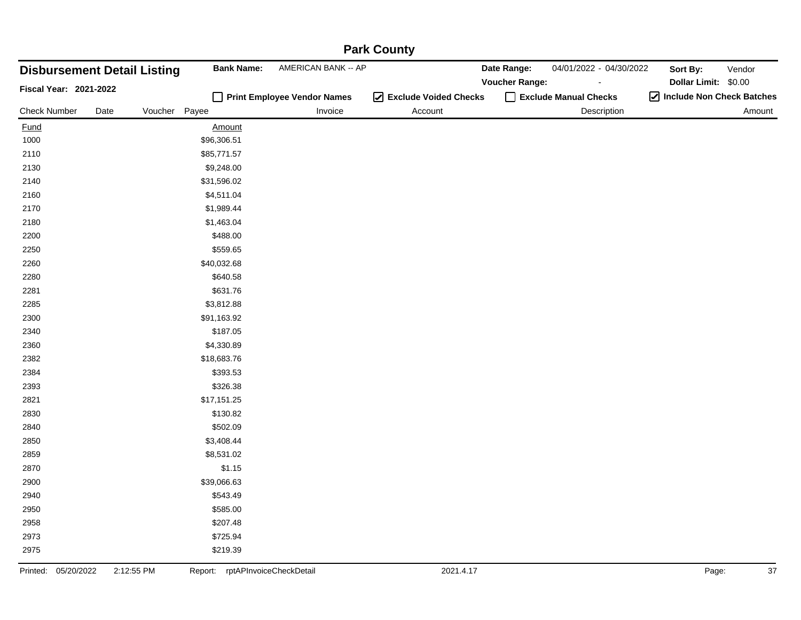| <b>Disbursement Detail Listing</b> |            |         | <b>Bank Name:</b>               | r and Obunly<br>AMERICAN BANK -- AP |                         | Date Range:           | 04/01/2022 - 04/30/2022 | Sort By:                    | Vendor |
|------------------------------------|------------|---------|---------------------------------|-------------------------------------|-------------------------|-----------------------|-------------------------|-----------------------------|--------|
| Fiscal Year: 2021-2022             |            |         |                                 |                                     |                         | <b>Voucher Range:</b> |                         | Dollar Limit: \$0.00        |        |
|                                    |            |         |                                 | Print Employee Vendor Names         | ☑ Exclude Voided Checks |                       | Exclude Manual Checks   | 7 Include Non Check Batches |        |
| <b>Check Number</b>                | Date       | Voucher | Payee                           | Invoice                             | Account                 |                       | Description             |                             | Amount |
| <b>Fund</b>                        |            |         | <b>Amount</b>                   |                                     |                         |                       |                         |                             |        |
| 1000                               |            |         | \$96,306.51                     |                                     |                         |                       |                         |                             |        |
| 2110                               |            |         | \$85,771.57                     |                                     |                         |                       |                         |                             |        |
| 2130                               |            |         | \$9,248.00                      |                                     |                         |                       |                         |                             |        |
| 2140                               |            |         | \$31,596.02                     |                                     |                         |                       |                         |                             |        |
| 2160                               |            |         | \$4,511.04                      |                                     |                         |                       |                         |                             |        |
| 2170                               |            |         | \$1,989.44                      |                                     |                         |                       |                         |                             |        |
| 2180                               |            |         | \$1,463.04                      |                                     |                         |                       |                         |                             |        |
| 2200                               |            |         | \$488.00                        |                                     |                         |                       |                         |                             |        |
| 2250                               |            |         | \$559.65                        |                                     |                         |                       |                         |                             |        |
| 2260                               |            |         | \$40,032.68                     |                                     |                         |                       |                         |                             |        |
| 2280                               |            |         | \$640.58                        |                                     |                         |                       |                         |                             |        |
| 2281                               |            |         | \$631.76                        |                                     |                         |                       |                         |                             |        |
| 2285                               |            |         | \$3,812.88                      |                                     |                         |                       |                         |                             |        |
| 2300                               |            |         | \$91,163.92                     |                                     |                         |                       |                         |                             |        |
| 2340                               |            |         | \$187.05                        |                                     |                         |                       |                         |                             |        |
| 2360                               |            |         | \$4,330.89                      |                                     |                         |                       |                         |                             |        |
| 2382                               |            |         | \$18,683.76                     |                                     |                         |                       |                         |                             |        |
| 2384                               |            |         | \$393.53                        |                                     |                         |                       |                         |                             |        |
| 2393                               |            |         | \$326.38                        |                                     |                         |                       |                         |                             |        |
| 2821                               |            |         | \$17,151.25                     |                                     |                         |                       |                         |                             |        |
| 2830                               |            |         | \$130.82                        |                                     |                         |                       |                         |                             |        |
| 2840                               |            |         | \$502.09                        |                                     |                         |                       |                         |                             |        |
| 2850                               |            |         | \$3,408.44                      |                                     |                         |                       |                         |                             |        |
| 2859                               |            |         | \$8,531.02                      |                                     |                         |                       |                         |                             |        |
| 2870                               |            |         | \$1.15                          |                                     |                         |                       |                         |                             |        |
| 2900                               |            |         | \$39,066.63                     |                                     |                         |                       |                         |                             |        |
| 2940                               |            |         | \$543.49                        |                                     |                         |                       |                         |                             |        |
| 2950                               |            |         | \$585.00                        |                                     |                         |                       |                         |                             |        |
| 2958                               |            |         | \$207.48                        |                                     |                         |                       |                         |                             |        |
| 2973                               |            |         | \$725.94                        |                                     |                         |                       |                         |                             |        |
| 2975                               |            |         | \$219.39                        |                                     |                         |                       |                         |                             |        |
| 05/20/2022<br>Printed:             | 2:12:55 PM |         | Report: rptAPInvoiceCheckDetail |                                     | 2021.4.17               |                       |                         | Page:                       | 37     |